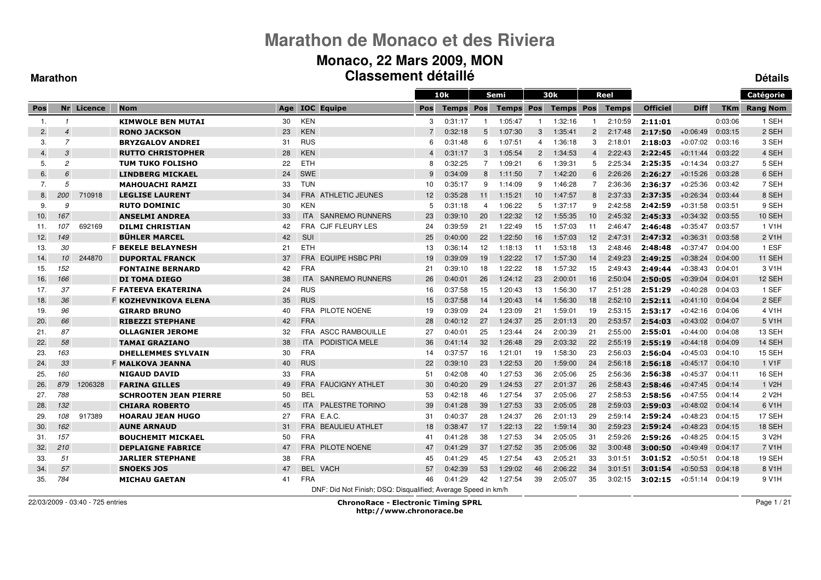#### **Monaco, 22 Mars 2009, MON Classement détailléDétails**

#### **Marathon**

|                  |                          |            |                              |     |            |                                                               |                       | 10k     |                | Semi             |                | 30k              |                 | Reel         |                 |             |            | Catégorie          |
|------------------|--------------------------|------------|------------------------------|-----|------------|---------------------------------------------------------------|-----------------------|---------|----------------|------------------|----------------|------------------|-----------------|--------------|-----------------|-------------|------------|--------------------|
| Pos              |                          | Nr Licence | <b>Nom</b>                   | Age |            | <b>IOC</b> Equipe                                             | Pos                   | Temps   | <b>Pos</b>     | <b>Temps Pos</b> |                | <b>Temps Pos</b> |                 | <b>Temps</b> | <b>Officiel</b> | <b>Diff</b> | <b>TKm</b> | <b>Rang Nom</b>    |
| -1.              |                          |            | <b>KIMWOLE BEN MUTAI</b>     | 30  | <b>KEN</b> |                                                               | 3                     | 0:31:17 | -1             | 1:05:47          |                | 1:32:16          |                 | 2:10:59      | 2:11:01         |             | 0:03:06    | 1 SEH              |
| 2.               | $\boldsymbol{\varDelta}$ |            | <b>RONO JACKSON</b>          | 23  | <b>KEN</b> |                                                               | 7                     | 0:32:18 | 5              | 1:07:30          | 3              | 1:35:41          | $\overline{2}$  | 2:17:48      | 2:17:50         | $+0:06:49$  | 0:03:15    | 2 SEH              |
| 3.               | $\overline{7}$           |            | <b>BRYZGALOV ANDREI</b>      | 31  | <b>RUS</b> |                                                               | 6                     | 0:31:48 | 6              | 1.07.51          | 4              | 1:36:18          | 3               | 2:18:01      | 2:18:03         | $+0:07:02$  | 0:03:16    | 3 SEH              |
| $\overline{4}$ . | 3                        |            | <b>RUTTO CHRISTOPHER</b>     | 28  | <b>KEN</b> |                                                               | $\boldsymbol{\Delta}$ | 0:31:17 | 3              | 1:05:54          | $\overline{2}$ | 1:34:53          | $\overline{4}$  | 2:22:43      | 2:22:45         | $+0.11.44$  | 0:03:22    | 4 SEH              |
| 5.               | $\overline{c}$           |            | TUM TUKO FOLISHO             | 22  | <b>ETH</b> |                                                               | 8                     | 0:32:25 | $\overline{7}$ | 1:09:21          | 6              | 1:39:31          | 5               | 2:25:34      | 2:25:35         | $+0.14.34$  | 0:03:27    | 5 SEH              |
| 6.               | $\epsilon$               |            | <b>LINDBERG MICKAEL</b>      | 24  | <b>SWE</b> |                                                               | 9                     | 0:34:09 | 8              | 1:11:50          | $\overline{7}$ | 1:42:20          | $6\overline{6}$ | 2:26:26      | 2:26:27         | $+0:15:26$  | 0:03:28    | 6 SEH              |
| 7.               | 5                        |            | <b>MAHOUACHI RAMZI</b>       | 33  | <b>TUN</b> |                                                               | 10                    | 0:35:17 | 9              | 1:14:09          | 9              | 1:46:28          | 7               | 2:36:36      | 2:36:37         | $+0.25.36$  | 0:03:42    | 7 SEH              |
| 8.               | 200                      | 710918     | <b>LEGLISE LAURENT</b>       | 34  | <b>FRA</b> | <b>ATHLETIC JEUNES</b>                                        | 12                    | 0:35:28 | 11             | 1:15:21          | 10             | 1:47:57          | 8               | 2:37:33      | 2:37:35         | $+0:26:34$  | 0:03:44    | 8 SEH              |
| 9.               | 9                        |            | <b>RUTO DOMINIC</b>          | 30  | <b>KEN</b> |                                                               | 5                     | 0:31:18 | $\overline{4}$ | 1:06:22          | 5              | 1:37:17          | 9               | 2:42:58      | 2:42:59         | $+0:31:58$  | 0:03:51    | 9 SEH              |
| 10.              | 167                      |            | <b>ANSELMI ANDREA</b>        | 33  | <b>ITA</b> | <b>SANREMO RUNNERS</b>                                        | 23                    | 0:39:10 | 20             | 1:22:32          | 12             | 1:55:35          | 10              | 2:45:32      | 2:45:33         | $+0:34:32$  | 0:03:55    | 10 SEH             |
| 11.              | 107                      | 692169     | <b>DILMI CHRISTIAN</b>       | 42  | FRA        | <b>CJF FLEURY LES</b>                                         | 24                    | 0:39:59 | 21             | 1:22:49          | 15             | 1:57:03          | 11              | 2:46:47      | 2:46:48         | $+0:35:47$  | 0:03:57    | 1 V1H              |
| 12.              | 149                      |            | <b>BÜHLER MARCEL</b>         | 42  | <b>SUI</b> |                                                               | 25                    | 0:40:00 | 22             | 1:22:50          | 16             | 1:57:03          | 12              | 2:47:31      | 2:47:32         | $+0.36.31$  | 0:03:58    | 2 V <sub>1</sub> H |
| 13.              | 30                       |            | <b>F BEKELE BELAYNESH</b>    | 21  | <b>ETH</b> |                                                               | 13                    | 0:36:14 | 12             | 1:18:13          | 11             | 1:53:18          | 13              | 2:48:46      | 2:48:48         | $+0:37:47$  | 0:04:00    | 1 ESF              |
| 14.              | 10                       | 244870     | <b>DUPORTAL FRANCK</b>       | 37  | <b>FRA</b> | <b>EQUIPE HSBC PRI</b>                                        | 19                    | 0:39:09 | 19             | 1:22:22          | 17             | 1:57:30          | 14              | 2:49:23      | 2:49:25         | $+0:38:24$  | 0:04:00    | 11 SEH             |
| 15.              | 152                      |            | <b>FONTAINE BERNARD</b>      | 42  | <b>FRA</b> |                                                               | 21                    | 0:39:10 | 18             | 1:22:22          | 18             | 1:57:32          | 15              | 2:49:43      | 2:49:44         | $+0:38:43$  | 0:04:01    | 3 V <sub>1</sub> H |
| 16.              | 166                      |            | <b>DI TOMA DIEGO</b>         | 38  | <b>ITA</b> | <b>SANREMO RUNNERS</b>                                        | 26                    | 0:40:01 | 26             | 1:24:12          | 23             | 2:00:01          | 16              | 2:50:04      | 2:50:05         | $+0:39:04$  | 0:04:01    | 12 SEH             |
| 17.              | 37                       |            | <b>F FATEEVA EKATERINA</b>   | 24  | <b>RUS</b> |                                                               | 16                    | 0:37:58 | 15             | 1:20:43          | 13             | 1:56:30          | 17              | 2:51:28      | 2:51:29         | $+0:40:28$  | 0:04:03    | 1 SEF              |
| 18.              | 36                       |            | F KOZHEVNIKOVA ELENA         | 35  | <b>RUS</b> |                                                               | 15                    | 0:37:58 | 14             | 1:20:43          | 14             | 1:56:30          | 18              | 2:52:10      | 2:52:11         | $+0.41:10$  | 0:04:04    | 2 SEF              |
| 19.              | 96                       |            | <b>GIRARD BRUNO</b>          | 40  | <b>FRA</b> | PILOTE NOENE                                                  | 19                    | 0:39:09 | 24             | 1:23:09          | 21             | 1:59:01          | 19              | 2:53:15      | 2:53:17         | $+0.42:16$  | 0:04:06    | 4 V1H              |
| 20.              | 66                       |            | <b>RIBEZZI STEPHANE</b>      | 42  | <b>FRA</b> |                                                               | 28                    | 0:40:12 | 27             | 1:24:37          | 25             | 2:01:13          | 20              | 2:53:57      | 2:54:03         | $+0.43:02$  | 0:04:07    | 5 V <sub>1</sub> H |
| 21.              | 87                       |            | <b>OLLAGNIER JEROME</b>      | 32  | <b>FRA</b> | <b>ASCC RAMBOUILLE</b>                                        | 27                    | 0:40:01 | 25             | 1:23:44          | 24             | 2:00:39          | 21              | 2:55:00      | 2:55:01         | $+0:44:00$  | 0:04:08    | 13 SEH             |
| 22.              | 58                       |            | <b>TAMAI GRAZIANO</b>        | 38  | <b>ITA</b> | PODISTICA MELE                                                | 36                    | 0.41.14 | 32             | 1:26:48          | 29             | 2:03:32          | 22              | 2:55:19      | 2:55:19         | $+0.44:18$  | 0:04:09    | 14 SEH             |
| 23.              | 163                      |            | <b>DHELLEMMES SYLVAIN</b>    | 30  | <b>FRA</b> |                                                               | 14                    | 0:37:57 | 16             | 1:21:01          | 19             | 1:58:30          | 23              | 2:56:03      | 2:56:04         | $+0.45:03$  | 0:04:10    | 15 SEH             |
| 24.              | 33                       |            | <b>F MALKOVA JEANNA</b>      | 40  | <b>RUS</b> |                                                               | 22                    | 0:39:10 | 23             | 1:22:53          | 20             | 1:59:00          | 24              | 2:56:18      | 2:56:18         | $+0.45:17$  | 0:04:10    | 1 V <sub>1</sub> F |
| 25.              | 160                      |            | <b>NIGAUD DAVID</b>          | 33  | <b>FRA</b> |                                                               | 51                    | 0:42:08 | 40             | 1:27:53          | 36             | 2:05:06          | 25              | 2:56:36      | 2:56:38         | $+0:45:37$  | 0:04:11    | <b>16 SEH</b>      |
| 26.              | 879                      | 1206328    | <b>FARINA GILLES</b>         | 49  |            | <b>FRA FAUCIGNY ATHLET</b>                                    | 30                    | 0:40:20 | 29             | 1:24:53          | 27             | 2:01:37          | 26              | 2:58:43      | 2:58:46         | $+0.47:45$  | 0:04:14    | 1 V <sub>2</sub> H |
| 27.              | 788                      |            | <b>SCHROOTEN JEAN PIERRE</b> | 50  | <b>BEL</b> |                                                               | 53                    | 0:42:18 | 46             | 1:27:54          | 37             | 2:05:06          | 27              | 2:58:53      | 2:58:56         | $+0.47:55$  | 0:04:14    | 2 V <sub>2</sub> H |
| 28.              | 132                      |            | <b>CHIARA ROBERTO</b>        | 45  | <b>ITA</b> | <b>PALESTRE TORINO</b>                                        | 39                    | 0:41:28 | 39             | 1:27:53          | 33             | 2:05:05          | 28              | 2:59:03      | 2:59:03         | $+0:48:02$  | 0:04:14    | 6 V1H              |
| 29.              | 108                      | 917389     | <b>HOARAU JEAN HUGO</b>      | 27  |            | FRA E.A.C.                                                    | 31                    | 0:40:37 | 28             | 1:24:37          | 26             | 2:01:13          | 29              | 2:59:14      | 2:59:24         | $+0:48:23$  | 0:04:15    | 17 SEH             |
| 30.              | 162                      |            | <b>AUNE ARNAUD</b>           | 31  | <b>FRA</b> | <b>BEAULIEU ATHLET</b>                                        | 18                    | 0:38:47 | 17             | 1:22:13          | 22             | 1:59:14          | 30              | 2:59:23      | 2:59:24         | $+0.48:23$  | 0:04:15    | 18 SEH             |
| 31.              | 157                      |            | <b>BOUCHEMIT MICKAEL</b>     | 50  | <b>FRA</b> |                                                               | 41                    | 0:41:28 | 38             | 1:27:53          | 34             | 2:05:05          | 31              | 2:59:26      | 2:59:26         | $+0.48:25$  | 0:04:15    | 3 V <sub>2</sub> H |
| 32.              | 210                      |            | <b>DEPLAIGNE FABRICE</b>     | 47  | <b>FRA</b> | <b>PILOTE NOENE</b>                                           | 47                    | 0:41:29 | 37             | 1:27:52          | 35             | 2:05:06          | 32              | 3:00:48      | 3:00:50         | $+0.49.49$  | 0:04:17    | 7 V1H              |
| 33.              | 51                       |            | <b>JARLIER STEPHANE</b>      | 38  | <b>FRA</b> |                                                               | 45                    | 0:41:29 | 45             | 1:27:54          | 43             | 2:05:21          | 33              | 3:01:51      | 3:01:52         | $+0.50.51$  | 0:04:18    | 19 SEH             |
| 34.              | 57                       |            | <b>SNOEKS JOS</b>            | 47  | <b>BEL</b> | <b>VACH</b>                                                   | 57                    | 0:42:39 | 53             | 1:29:02          | 46             | 2:06:22          | 34              | 3:01:51      | 3:01:54         | $+0.50.53$  | 0:04:18    | 8 V1H              |
| 35.              | 784                      |            | <b>MICHAU GAETAN</b>         | 41  | <b>FRA</b> |                                                               | 46                    | 0:41:29 | 42             | 1:27:54          | 39             | 2:05:07          | 35              | 3:02:15      | 3:02:15         | $+0.51.14$  | 0:04:19    | 9 V <sub>1</sub> H |
|                  |                          |            |                              |     |            | DNF: Did Not Finish; DSQ: Disqualified; Average Speed in km/h |                       |         |                |                  |                |                  |                 |              |                 |             |            |                    |

22/03/2009 - 03:40 - 725 entries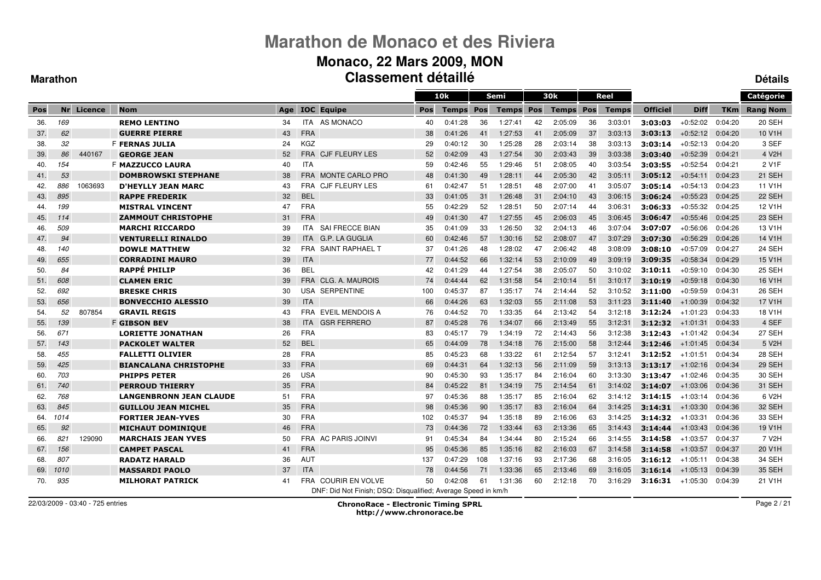#### **Monaco, 22 Mars 2009, MON Classement détailléDétails**

#### **Marathon**

|     |      |            |                                |     |            |                                                               |     | 10k          |            | Semi         |     | 30k              |    | Reel         |                 |             |            | Catégorie           |
|-----|------|------------|--------------------------------|-----|------------|---------------------------------------------------------------|-----|--------------|------------|--------------|-----|------------------|----|--------------|-----------------|-------------|------------|---------------------|
| Pos |      | Nr Licence | <b>Nom</b>                     | Age |            | <b>IOC</b> Equipe                                             | Pos | <b>Temps</b> | <b>Pos</b> | <b>Temps</b> | Pos | <b>Temps Pos</b> |    | <b>Temps</b> | <b>Officiel</b> | <b>Diff</b> | <b>TKm</b> | <b>Rang Nom</b>     |
| 36. | 169  |            | <b>REMO LENTINO</b>            | 34  |            | ITA AS MONACO                                                 | 40  | 0:41:28      | 36         | 1:27:41      | 42  | 2:05:09          | 36 | 3:03:01      | 3:03:03         | $+0.52:02$  | 0:04:20    | <b>20 SEH</b>       |
| 37. | 62   |            | <b>GUERRE PIERRE</b>           | 43  | <b>FRA</b> |                                                               | 38  | 0:41:26      | 41         | 1:27:53      | 41  | 2:05:09          | 37 | 3:03:13      | 3:03:13         | $+0.52:12$  | 0:04:20    | 10 V <sub>1</sub> H |
| 38. | 32   |            | <b>F FERNAS JULIA</b>          | 24  | <b>KGZ</b> |                                                               | 29  | 0:40:12      | 30         | 1:25:28      | 28  | 2:03:14          | 38 | 3:03:13      | 3:03:14         | $+0.52:13$  | 0:04:20    | 3 SEF               |
| 39. | 86   | 440167     | <b>GEORGE JEAN</b>             | 52  |            | FRA CJF FLEURY LES                                            | 52  | 0:42:09      | 43         | 1:27:54      | 30  | 2:03:43          | 39 | 3:03:38      | 3:03:40         | $+0.52:39$  | 0:04:21    | 4 V <sub>2</sub> H  |
| 40. | 154  |            | F <b>MAZZUCCO LAURA</b>        | 40  | <b>ITA</b> |                                                               | 59  | 0:42:46      | 55         | 1:29:46      | 51  | 2:08:05          | 40 | 3:03:54      | 3:03:55         | $+0.52.54$  | 0:04:21    | 2 V <sub>1</sub> F  |
| 41. | 53   |            | <b>DOMBROWSKI STEPHANE</b>     | 38  |            | FRA MONTE CARLO PRO                                           | 48  | 0:41:30      | 49         | 1:28:11      | 44  | 2:05:30          | 42 | 3:05:11      | 3:05:12         | $+0.54.11$  | 0:04:23    | 21 SEH              |
| 42. | 886  | 1063693    | <b>D'HEYLLY JEAN MARC</b>      | 43  | <b>FRA</b> | <b>CJF FLEURY LES</b>                                         | 61  | 0:42:47      | 51         | 1:28:51      | 48  | 2:07:00          | 41 | 3:05:07      | 3:05:14         | $+0.54:13$  | 0:04:23    | 11 V1H              |
| 43. | 895  |            | <b>RAPPE FREDERIK</b>          | 32  | <b>BEL</b> |                                                               | 33  | 0:41:05      | 31         | 1:26:48      | 31  | 2:04:10          | 43 | 3:06:15      | 3:06:24         | $+0.55:23$  | 0:04:25    | 22 SEH              |
| 44. | 199  |            | <b>MISTRAL VINCENT</b>         | 47  | <b>FRA</b> |                                                               | 55  | 0:42:29      | 52         | 1:28:51      | 50  | 2:07:14          | 44 | 3:06:31      | 3:06:33         | $+0.55.32$  | 0:04:25    | 12 V1H              |
| 45. | 114  |            | <b>ZAMMOUT CHRISTOPHE</b>      | 31  | <b>FRA</b> |                                                               | 49  | 0:41:30      | 47         | 1:27:55      | 45  | 2:06:03          | 45 | 3:06:45      | 3:06:47         | $+0.55:46$  | 0:04:25    | 23 SEH              |
| 46. | 509  |            | <b>MARCHI RICCARDO</b>         | 39  | <b>ITA</b> | <b>SAI FRECCE BIAN</b>                                        | 35  | 0:41:09      | 33         | 1:26:50      | 32  | 2:04:13          | 46 | 3:07:04      | 3:07:07         | $+0.56:06$  | 0:04:26    | 13 V1H              |
| 47. | 94   |            | <b>VENTURELLI RINALDO</b>      | 39  | <b>ITA</b> | <b>G.P. LA GUGLIA</b>                                         | 60  | 0:42:46      | 57         | 1:30:16      | 52  | 2:08:07          | 47 | 3:07:29      | 3:07:30         | $+0.56:29$  | 0:04:26    | 14 V1H              |
| 48. | 140  |            | <b>DOWLE MATTHEW</b>           | 32  | <b>FRA</b> | <b>SAINT RAPHAEL T</b>                                        | 37  | 0:41:26      | 48         | 1:28:02      | 47  | 2:06:42          | 48 | 3:08:09      | 3:08:10         | $+0.57:09$  | 0:04:27    | 24 SEH              |
| 49. | 655  |            | <b>CORRADINI MAURO</b>         | 39  | <b>ITA</b> |                                                               | 77  | 0:44:52      | 66         | 1:32:14      | 53  | 2:10:09          | 49 | 3:09:19      | 3:09:35         | $+0.58.34$  | 0:04:29    | 15 V1H              |
| 50. | 84   |            | <b>RAPPÉ PHILIP</b>            | 36  | <b>BEL</b> |                                                               | 42  | 0:41:29      | 44         | 1:27:54      | 38  | 2:05:07          | 50 | 3:10:02      | 3:10:11         | $+0.59:10$  | 0:04:30    | <b>25 SEH</b>       |
| 51. | 608  |            | <b>CLAMEN ERIC</b>             | 39  | <b>FRA</b> | CLG. A. MAUROIS                                               | 74  | 0:44:44      | 62         | 1:31:58      | 54  | 2:10:14          | 51 | 3:10:17      | 3:10:19         | $+0.59:18$  | 0:04:30    | 16 V1H              |
| 52. | 692  |            | <b>BRESKE CHRIS</b>            | 30  | <b>USA</b> | <b>SERPENTINE</b>                                             | 100 | 0:45:37      | 87         | 1:35:17      | 74  | 2:14:44          | 52 | 3:10:52      | 3:11:00         | $+0.59.59$  | 0:04:31    | <b>26 SEH</b>       |
| 53. | 656  |            | <b>BONVECCHIO ALESSIO</b>      | 39  | <b>ITA</b> |                                                               | 66  | 0:44:26      | 63         | 1:32:03      | 55  | 2:11:08          | 53 | 3:11:23      | 3:11:40         | $+1:00:39$  | 0:04:32    | 17 V1H              |
| 54. | 52   | 807854     | <b>GRAVIL REGIS</b>            | 43  | <b>FRA</b> | <b>EVEIL MENDOIS A</b>                                        | 76  | 0:44:52      | 70         | 1:33:35      | 64  | 2:13:42          | 54 | 3:12:18      | 3:12:24         | $+1:01:23$  | 0:04:33    | 18 V1H              |
| 55. | 139  |            | <b>F GIBSON BEV</b>            | 38  |            | ITA GSR FERRERO                                               | 87  | 0:45:28      | 76         | 1:34:07      | 66  | 2:13:49          | 55 | 3:12:31      | 3:12:32         | $+1:01:31$  | 0:04:33    | 4 SEF               |
| 56. | 671  |            | <b>LORIETTE JONATHAN</b>       | 26  | <b>FRA</b> |                                                               | 83  | 0.45.17      | 79         | 1:34:19      | 72  | 2:14:43          | 56 | 3:12:38      | 3:12:43         | $+1:01:42$  | 0:04:34    | 27 SEH              |
| 57. | 143  |            | <b>PACKOLET WALTER</b>         | 52  | <b>BEL</b> |                                                               | 65  | 0:44:09      | 78         | 1:34:18      | 76  | 2:15:00          | 58 | 3:12:44      | 3:12:46         | $+1:01:45$  | 0:04:34    | 5 V <sub>2</sub> H  |
| 58. | 455  |            | <b>FALLETTI OLIVIER</b>        | 28  | <b>FRA</b> |                                                               | 85  | 0.45.23      | 68         | 1:33:22      | 61  | 2:12:54          | 57 | 3:12:41      | 3:12:52         | $+1:01:51$  | 0:04:34    | 28 SEH              |
| 59. | 425  |            | <b>BIANCALANA CHRISTOPHE</b>   | 33  | <b>FRA</b> |                                                               | 69  | 0:44:31      | 64         | 1:32:13      | 56  | 2:11:09          | 59 | 3:13:13      | 3:13:17         | $+1:02:16$  | 0:04:34    | 29 SEH              |
| 60. | 703  |            | <b>PHIPPS PETER</b>            | 26  | <b>USA</b> |                                                               | 90  | 0:45:30      | 93         | 1:35:17      | 84  | 2:16:04          | 60 | 3:13:30      | 3:13:47         | $+1:02:46$  | 0:04:35    | 30 SEH              |
| 61. | 740  |            | <b>PERROUD THIERRY</b>         | 35  | FRA        |                                                               | 84  | 0:45:22      | 81         | 1:34:19      | 75  | 2:14:54          | 61 | 3:14:02      | 3:14:07         | $+1:03:06$  | 0:04:36    | 31 SEH              |
| 62. | 768  |            | <b>LANGENBRONN JEAN CLAUDE</b> | 51  | <b>FRA</b> |                                                               | 97  | 0:45:36      | 88         | 1:35:17      | 85  | 2:16:04          | 62 | 3:14:12      | 3:14:15         | $+1:03:14$  | 0:04:36    | 6 V <sub>2</sub> H  |
| 63. | 845  |            | <b>GUILLOU JEAN MICHEL</b>     | 35  | <b>FRA</b> |                                                               | 98  | 0:45:36      | 90         | 1:35:17      | 83  | 2:16:04          | 64 | 3:14:25      | 3:14:31         | $+1:03:30$  | 0:04:36    | 32 SEH              |
| 64. | 1014 |            | <b>FORTIER JEAN-YVES</b>       | 30  | <b>FRA</b> |                                                               | 102 | 0:45:37      | 94         | 1:35:18      | 89  | 2:16:06          | 63 | 3:14:25      | 3:14:32         | $+1:03:31$  | 0:04:36    | 33 SEH              |
| 65. | 92   |            | <b>MICHAUT DOMINIQUE</b>       | 46  | <b>FRA</b> |                                                               | 73  | 0:44:36      | 72         | 1:33:44      | 63  | 2:13:36          | 65 | 3.14.43      | 3:14:44         | $+1.03:43$  | 0:04:36    | 19 V1H              |
| 66. | 821  | 129090     | <b>MARCHAIS JEAN YVES</b>      | 50  |            | FRA AC PARIS JOINVI                                           | 91  | 0:45:34      | 84         | 1:34:44      | 80  | 2:15:24          | 66 | 3:14:55      | 3:14:58         | $+1:03:57$  | 0:04:37    | 7 V <sub>2</sub> H  |
| 67. | 156  |            | <b>CAMPET PASCAL</b>           | 41  | <b>FRA</b> |                                                               | 95  | 0:45:36      | 85         | 1:35:16      | 82  | 2:16:03          | 67 | 3:14:58      | 3:14:58         | $+1:03:57$  | 0:04:37    | 20 V1H              |
| 68. | 807  |            | <b>RADATZ HARALD</b>           | 36  | <b>AUT</b> |                                                               | 137 | 0:47:29      | 108        | 1:37:16      | 93  | 2:17:36          | 68 | 3:16:05      | 3:16:12         | $+1:05:11$  | 0:04:38    | 34 SEH              |
| 69. | 1010 |            | <b>MASSARDI PAOLO</b>          | 37  | <b>ITA</b> |                                                               | 78  | 0:44:56      | 71         | 1:33:36      | 65  | 2:13:46          | 69 | 3:16:05      | 3:16:14         | $+1:05:13$  | 0:04:39    | 35 SEH              |
| 70. | 935  |            | <b>MILHORAT PATRICK</b>        | 41  | FRA        | <b>COURIR EN VOLVE</b>                                        | 50  | 0:42:08      | 61         | 1:31:36      | 60  | 2:12:18          | 70 | 3:16:29      | 3:16:31         | $+1:05:30$  | 0:04:39    | 21 V1H              |
|     |      |            |                                |     |            | DNF: Did Not Finish; DSQ: Disqualified; Average Speed in km/h |     |              |            |              |     |                  |    |              |                 |             |            |                     |

22/03/2009 - 03:40 - 725 entries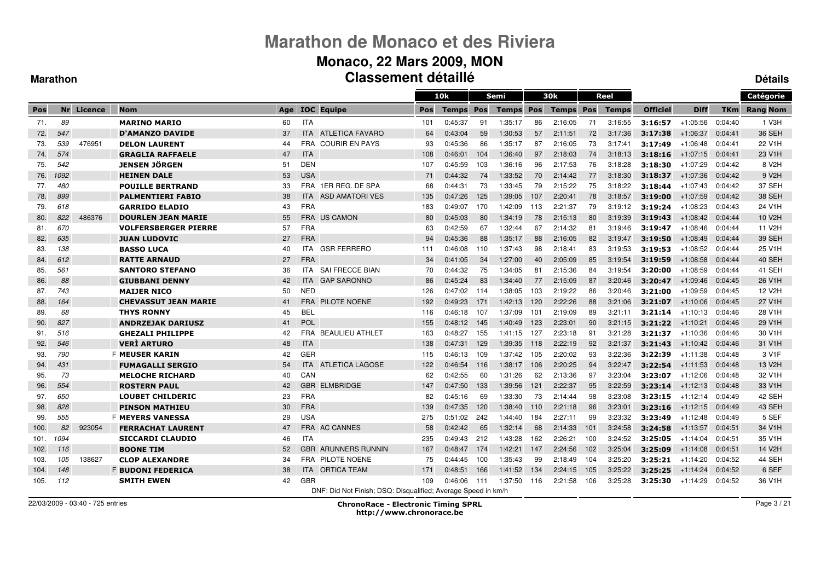#### **Monaco, 22 Mars 2009, MON Classement détailléDétails**

#### **Marathon**

|      |      |            |                             |     |            |                                                               |     | 10k          |     | Semi             |     | 30k              |     | Reel         |                 |             |            | Catégorie           |
|------|------|------------|-----------------------------|-----|------------|---------------------------------------------------------------|-----|--------------|-----|------------------|-----|------------------|-----|--------------|-----------------|-------------|------------|---------------------|
| Pos  |      | Nr Licence | <b>Nom</b>                  | Age |            | <b>IOC</b> Equipe                                             | Pos | <b>Temps</b> | Pos | <b>Temps Pos</b> |     | <b>Temps Pos</b> |     | <b>Temps</b> | <b>Officiel</b> | <b>Diff</b> | <b>TKm</b> | <b>Rang Nom</b>     |
| 71.  | 89   |            | <b>MARINO MARIO</b>         | 60  | <b>ITA</b> |                                                               | 101 | 0:45:37      | 91  | 1:35:17          | 86  | 2:16:05          | 71  | 3:16:55      | 3:16:57         | $+1:05:56$  | 0:04:40    | 1 V3H               |
| 72.  | 547  |            | <b>D'AMANZO DAVIDE</b>      | 37  | <b>ITA</b> | ATLETICA FAVARO                                               | 64  | 0:43:04      | 59  | 1:30:53          | 57  | 2:11:51          | 72  | 3:17:36      | 3:17:38         | $+1:06:37$  | 0:04:41    | 36 SEH              |
| 73.  | 539  | 476951     | <b>DELON LAURENT</b>        | 44  |            | <b>FRA COURIR EN PAYS</b>                                     | 93  | 0:45:36      | 86  | 1:35:17          | 87  | 2:16:05          | 73  | 3:17:41      | 3:17:49         | $+1:06:48$  | 0:04:41    | 22 V1H              |
| 74.  | 574  |            | <b>GRAGLIA RAFFAELE</b>     | 47  | <b>ITA</b> |                                                               | 108 | 0:46:01      | 104 | 1:36:40          | 97  | 2:18:03          | 74  | 3:18:13      | 3:18:16         | $+1:07:15$  | 0:04:41    | 23 V1H              |
| 75.  | 542  |            | <b>JENSEN JÖRGEN</b>        | 51  | <b>DEN</b> |                                                               | 107 | 0:45:59      | 103 | 1:36:16          | 96  | 2:17:53          | 76  | 3:18:28      | 3:18:30         | $+1:07:29$  | 0:04:42    | 8 V <sub>2</sub> H  |
| 76.  | 1092 |            | <b>HEINEN DALE</b>          | 53  | <b>USA</b> |                                                               | 71  | 0:44:32      | 74  | 1:33:52          | 70  | 2:14:42          | 77  | 3:18:30      | 3:18:37         | $+1:07:36$  | 0:04:42    | 9 V <sub>2</sub> H  |
| 77.  | 480  |            | <b>POUILLE BERTRAND</b>     | 33  |            | FRA 1ER REG. DE SPA                                           | 68  | 0:44:31      | 73  | 1:33:45          | 79  | 2:15:22          | 75  | 3:18:22      | 3:18:44         | $+1:07:43$  | 0:04:42    | 37 SEH              |
| 78.  | 899  |            | <b>PALMENTIERI FABIO</b>    | 38  | <b>ITA</b> | ASD AMATORI VES                                               | 135 | 0:47:26      | 125 | 1:39:05          | 107 | 2:20:41          | 78  | 3:18:57      | 3:19:00         | $+1:07:59$  | 0:04:42    | 38 SEH              |
| 79.  | 618  |            | <b>GARRIDO ELADIO</b>       | 43  | <b>FRA</b> |                                                               | 183 | 0:49:07      | 170 | 1:42:09          | 113 | 2:21:37          | 79  | 3:19:12      | 3:19:24         | $+1:08:23$  | 0:04:43    | 24 V1H              |
| 80.  | 822  | 486376     | <b>DOURLEN JEAN MARIE</b>   | 55  |            | <b>FRA US CAMON</b>                                           | 80  | 0:45:03      | 80  | 1:34:19          | 78  | 2:15:13          | 80  | 3:19:39      | 3:19:43         | $+1:08:42$  | 0.04:44    | 10 V <sub>2</sub> H |
| 81.  | 670  |            | <b>VOLFERSBERGER PIERRE</b> | 57  | <b>FRA</b> |                                                               | 63  | 0:42:59      | 67  | 1:32:44          | 67  | 2:14:32          | 81  | 3:19:46      | 3:19:47         | $+1:08:46$  | 0:04:44    | 11 V2H              |
| 82.  | 635  |            | <b>JUAN LUDOVIC</b>         | 27  | <b>FRA</b> |                                                               | 94  | 0:45:36      | 88  | 1:35:17          | 88  | 2:16:05          | 82  | 3:19:47      | 3:19:50         | $+1:08:49$  | 0:04:44    | 39 SEH              |
| 83.  | 138  |            | <b>BASSO LUCA</b>           | 40  | ITA.       | <b>GSR FERRERO</b>                                            | 111 | 0:46:08      | 110 | 1:37:43          | 98  | 2:18:41          | 83  | 3:19:53      | 3:19:53         | $+1:08:52$  | 0:04:44    | 25 V1H              |
| 84.  | 612  |            | <b>RATTE ARNAUD</b>         | 27  | <b>FRA</b> |                                                               | 34  | 0:41:05      | 34  | 1:27:00          | 40  | 2:05:09          | 85  | 3:19:54      | 3:19:59         | $+1:08:58$  | 0:04:44    | 40 SEH              |
| 85.  | 561  |            | <b>SANTORO STEFANO</b>      | 36  | ITA.       | <b>SAI FRECCE BIAN</b>                                        | 70  | 0:44:32      | 75  | 1:34:05          | 81  | 2:15:36          | 84  | 3:19:54      | 3:20:00         | $+1:08:59$  | 0:04:44    | 41 SEH              |
| 86.  | 88   |            | <b>GIUBBANI DENNY</b>       | 42  | <b>ITA</b> | <b>GAP SARONNO</b>                                            | 86  | 0:45:24      | 83  | 1:34:40          | 77  | 2:15:09          | 87  | 3:20:46      | 3:20:47         | $+1:09:46$  | 0:04:45    | 26 V <sub>1</sub> H |
| 87.  | 743  |            | <b>MAIJER NICO</b>          | 50  | <b>NED</b> |                                                               | 126 | 0:47:02      | 114 | 1:38:05          | 103 | 2:19:22          | 86  | 3:20:46      | 3:21:00         | $+1:09:59$  | 0:04:45    | 12 V2H              |
| 88.  | 164  |            | <b>CHEVASSUT JEAN MARIE</b> | 41  | <b>FRA</b> | <b>PILOTE NOENE</b>                                           | 192 | 0:49:23      | 171 | 1:42:13          | 120 | 2:22:26          | 88  | 3:21:06      | 3:21:07         | $+1:10:06$  | 0:04:45    | 27 V1H              |
| 89.  | 68   |            | <b>THYS RONNY</b>           | 45  | <b>BEL</b> |                                                               | 116 | 0:46:18      | 107 | 1:37:09          | 101 | 2:19:09          | 89  | 3:21:11      | 3:21:14         | $+1:10:13$  | 0:04:46    | 28 V1H              |
| 90.  | 827  |            | <b>ANDRZEJAK DARIUSZ</b>    | 41  | POL        |                                                               | 155 | 0:48:12      | 145 | 1.40.49          | 123 | 2:23:01          | 90  | 3:21:15      | 3:21:22         | $+1:10:21$  | 0:04:46    | 29 V <sub>1</sub> H |
| 91.  | 516  |            | <b>GHEZALI PHILIPPE</b>     | 42  | <b>FRA</b> | <b>BEAULIEU ATHLET</b>                                        | 163 | 0:48:27      | 155 | 1:41:15          | 127 | 2:23:18          | 91  | 3:21:28      | 3:21:37         | $+1:10:36$  | 0:04:46    | 30 V1H              |
| 92.  | 546  |            | <b>VERÌ ARTURO</b>          | 48  | <b>ITA</b> |                                                               | 138 | 0:47:31      | 129 | 1:39:35          | 118 | 2:22:19          | 92  | 3:21:37      | 3:21:43         | $+1:10:42$  | 0:04:46    | 31 V1H              |
| 93.  | 790  |            | <b>F MEUSER KARIN</b>       | 42  | GER        |                                                               | 115 | 0:46:13      | 109 | 1:37:42          | 105 | 2:20:02          | 93  | 3:22:36      | 3:22:39         | $+1:11:38$  | 0:04:48    | 3 V <sub>1</sub> F  |
| 94.  | 431  |            | <b>FUMAGALLI SERGIO</b>     | 54  | <b>ITA</b> | <b>ATLETICA LAGOSE</b>                                        | 122 | 0:46:54      | 116 | 1:38:17          | 106 | 2:20:25          | 94  | 3:22:47      | 3:22:54         | $+1:11:53$  | 0:04:48    | 13 V <sub>2</sub> H |
| 95.  | 73   |            | <b>MELOCHE RICHARD</b>      | 40  | CAN        |                                                               | 62  | 0:42:55      | 60  | 1:31:26          | 62  | 2:13:36          | 97  | 3:23:04      | 3:23:07         | $+1:12:06$  | 0:04:48    | 32 V1H              |
| 96.  | 554  |            | <b>ROSTERN PAUL</b>         | 42  |            | <b>GBR ELMBRIDGE</b>                                          | 147 | 0:47:50      | 133 | 1:39:56          | 121 | 2:22:37          | 95  | 3:22:59      | 3:23:14         | $+1:12:13$  | 0:04:48    | 33 V1H              |
| 97.  | 650  |            | <b>LOUBET CHILDERIC</b>     | 23  | <b>FRA</b> |                                                               | 82  | 0:45:16      | 69  | 1:33:30          | 73  | 2:14:44          | 98  | 3:23:08      | 3:23:15         | $+1:12:14$  | 0:04:49    | 42 SEH              |
| 98.  | 828  |            | <b>PINSON MATHIEU</b>       | 30  | <b>FRA</b> |                                                               | 139 | 0:47:35      | 120 | 1:38:40          | 110 | 2:21:18          | 96  | 3:23:01      | 3:23:16         | $+1:12:15$  | 0:04:49    | 43 SEH              |
| 99.  | 555  |            | <b>F MEYERS VANESSA</b>     | 29  | <b>USA</b> |                                                               | 275 | 0:51:02      | 242 | 1:44:40          | 184 | 2:27:11          | 99  | 3:23:32      | 3:23:49         | $+1:12:48$  | 0:04:49    | 5 SEF               |
| 100. | 82   | 923054     | <b>FERRACHAT LAURENT</b>    | 47  |            | FRA AC CANNES                                                 | 58  | 0:42:42      | 65  | 1:32:14          | 68  | 2:14:33          | 101 | 3:24:58      | 3:24:58         | $+1:13:57$  | 0:04:51    | 34 V1H              |
| 101. | 1094 |            | <b>SICCARDI CLAUDIO</b>     | 46  | <b>ITA</b> |                                                               | 235 | 0:49:43      | 212 | 1:43:28          | 162 | 2:26:21          | 100 | 3:24:52      | 3:25:05         | $+1:14:04$  | 0:04:51    | 35 V1H              |
| 102. | 116  |            | <b>BOONE TIM</b>            | 52  |            | <b>GBR ARUNNERS RUNNIN</b>                                    | 167 | 0:48:47      | 174 | 1:42:21          | 147 | 2:24:56          | 102 | 3:25:04      | 3:25:09         | $+1:14:08$  | 0:04:51    | 14 V2H              |
| 103. | 105  | 138627     | <b>CLOP ALEXANDRE</b>       | 34  |            | <b>FRA PILOTE NOENE</b>                                       | 75  | 0:44:45      | 100 | 1:35:43          | 99  | 2:18:49          | 104 | 3:25:20      | 3:25:21         | $+1:14:20$  | 0:04:52    | 44 SEH              |
| 104. | 148  |            | <b>F BUDONI FEDERICA</b>    | 38  | <b>ITA</b> | <b>ORTICA TEAM</b>                                            | 171 | 0:48:51      | 166 | 1:41:52          | 134 | 2:24:15          | 105 | 3:25:22      | 3:25:25         | $+1.14.24$  | 0:04:52    | 6 SEF               |
| 105. | 112  |            | <b>SMITH EWEN</b>           | 42  | <b>GBR</b> |                                                               | 109 | 0:46:06      | 111 | 1:37:50          | 116 | 2:21:58          | 106 | 3:25:28      | 3:25:30         | $+1:14:29$  | 0:04:52    | 36 V1H              |
|      |      |            |                             |     |            | DNF: Did Not Finish; DSQ: Disqualified; Average Speed in km/h |     |              |     |                  |     |                  |     |              |                 |             |            |                     |

22/03/2009 - 03:40 - 725 entries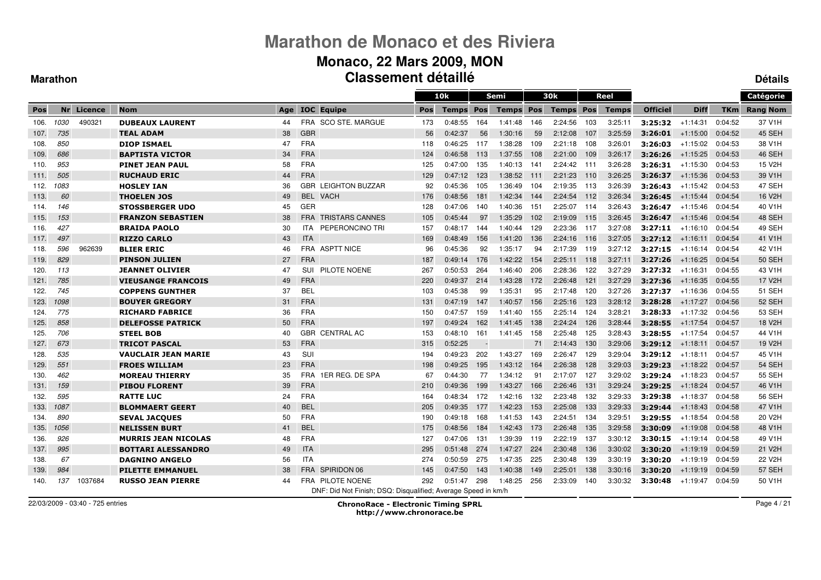#### **Monaco, 22 Mars 2009, MON Classement détailléDétails**

#### **Marathon**

|       |      |            |                            |     |            |                                                               |            | 10k          |     | Semi             |     | 30k              |       | Reel         |                 |             |         | Catégorie           |
|-------|------|------------|----------------------------|-----|------------|---------------------------------------------------------------|------------|--------------|-----|------------------|-----|------------------|-------|--------------|-----------------|-------------|---------|---------------------|
| Pos   |      | Nr Licence | <b>Nom</b>                 | Age |            | <b>IOC</b> Equipe                                             | <b>Pos</b> | <b>Temps</b> | Pos | <b>Temps Pos</b> |     | <b>Temps Pos</b> |       | <b>Temps</b> | <b>Officiel</b> | <b>Diff</b> | TKm     | <b>Rang Nom</b>     |
| 106.  | 1030 | 490321     | <b>DUBEAUX LAURENT</b>     | 44  |            | FRA SCO STE. MARGUE                                           | 173        | 0:48:55      | 164 | 1:41:48          | 146 | 2:24:56          | 103   | 3:25:11      | 3:25:32         | $+1:14:31$  | 0:04:52 | 37 V1H              |
| 107.  | 735  |            | <b>TEAL ADAM</b>           | 38  | <b>GBR</b> |                                                               | 56         | 0:42:37      | 56  | 1:30:16          | 59  | 2:12:08          | 107   | 3:25:59      | 3:26:01         | $+1:15:00$  | 0:04:52 | 45 SEH              |
| 108.  | 850  |            | <b>DIOP ISMAEL</b>         | 47  | <b>FRA</b> |                                                               | 118        | 0:46:25      | 117 | 1:38:28          | 109 | 2:21:18          | 108   | 3:26:01      | 3:26:03         | $+1:15:02$  | 0:04:53 | 38 V1H              |
| 109.  | 686  |            | <b>BAPTISTA VICTOR</b>     | 34  | <b>FRA</b> |                                                               | 124        | 0:46:58      | 113 | 1:37:55          | 108 | 2:21:00          | 109   | 3:26:17      | 3:26:26         | $+1:15:25$  | 0:04:53 | 46 SEH              |
| 110.  | 953  |            | <b>PINET JEAN PAUL</b>     | 58  | <b>FRA</b> |                                                               | 125        | 0:47:00      | 135 | 1:40:13          | 141 | 2:24:42          | 111   | 3:26:28      | 3:26:31         | +1:15:30    | 0:04:53 | 15 V2H              |
| 111.  | 505  |            | <b>RUCHAUD ERIC</b>        | 44  | <b>FRA</b> |                                                               | 129        | 0:47:12      | 123 | 1:38:52          | 111 | 2:21:23          | 110   | 3:26:25      | 3:26:37         | $+1:15:36$  | 0:04:53 | 39 V1H              |
| 112.  | 1083 |            | <b>HOSLEY IAN</b>          | 36  |            | <b>GBR LEIGHTON BUZZAR</b>                                    | 92         | 0:45:36      | 105 | 1:36:49          | 104 | 2:19:35          | -113  | 3:26:39      | 3:26:43         | $+1:15:42$  | 0:04:53 | 47 SEH              |
| 113.  | 60   |            | <b>THOELEN JOS</b>         | 49  | <b>BEL</b> | <b>VACH</b>                                                   | 176        | 0:48:56      | 181 | 1:42:34          | 144 | 2:24:54          | 112   | 3:26:34      | 3:26:45         | $+1:15:44$  | 0:04:54 | 16 V2H              |
| -114. | 146  |            | <b>STOSSBERGER UDO</b>     | 45  | <b>GER</b> |                                                               | 128        | 0:47:06      | 140 | 1:40:36          | 151 | 2:25:07          | 114   | 3:26:43      | 3:26:47         | $+1:15:46$  | 0:04:54 | 40 V1H              |
| -115. | 153  |            | <b>FRANZON SEBASTIEN</b>   | 38  | <b>FRA</b> | <b>TRISTARS CANNES</b>                                        | 105        | 0:45:44      | 97  | 1:35:29          | 102 | 2:19:09          | 115   | 3:26:45      | 3:26:47         | $+1:15:46$  | 0:04:54 | 48 SEH              |
| 116.  | 427  |            | <b>BRAIDA PAOLO</b>        | 30  | ITA.       | PEPERONCINO TRI                                               | 157        | 0:48:17      | 144 | 1:40:44          | 129 | 2:23:36          | - 117 | 3:27:08      | 3:27:11         | +1:16:10    | 0:04:54 | 49 SEH              |
| 117.  | 497  |            | <b>RIZZO CARLO</b>         | 43  | <b>ITA</b> |                                                               | 169        | 0:48:49      | 156 | 1:41:20          | 136 | 2:24:16          | 116   | 3:27:05      | 3:27:12         | $+1:16:11$  | 0:04:54 | 41 V1H              |
| 118.  | 596  | 962639     | <b>BLIER ERIC</b>          | 46  |            | FRA ASPTT NICE                                                | 96         | 0:45:36      | 92  | 1:35:17          | 94  | 2:17:39          | 119   | 3:27:12      | 3:27:15         | +1:16:14    | 0:04:54 | 42 V1H              |
| 119.  | 829  |            | <b>PINSON JULIEN</b>       | 27  | <b>FRA</b> |                                                               | 187        | 0:49:14      | 176 | 1:42:22          | 154 | 2:25:11          | 118   | 3:27:11      | 3:27:26         | $+1:16:25$  | 0:04:54 | <b>50 SEH</b>       |
| 120.  | 113  |            | <b>JEANNET OLIVIER</b>     | 47  | SUI        | PILOTE NOENE                                                  | 267        | 0:50:53      | 264 | 1:46:40          | 206 | 2:28:36          | 122   | 3:27:29      | 3:27:32         | $+1:16:31$  | 0:04:55 | 43 V1H              |
| 121.  | 785  |            | <b>VIEUSANGE FRANCOIS</b>  | 49  | <b>FRA</b> |                                                               | 220        | 0:49:37      | 214 | 1.43.28          | 172 | 2:26:48          | 121   | 3:27:29      | 3:27:36         | $+1:16:35$  | 0:04:55 | 17 V <sub>2</sub> H |
| 122.  | 745  |            | <b>COPPENS GUNTHER</b>     | 37  | <b>BEL</b> |                                                               | 103        | 0:45:38      | 99  | 1:35:31          | 95  | 2:17:48          | 120   | 3:27:26      | 3:27:37         | $+1.16.36$  | 0:04:55 | <b>51 SEH</b>       |
| 123.  | 1098 |            | <b>BOUYER GREGORY</b>      | 31  | <b>FRA</b> |                                                               | 131        | 0:47:19      | 147 | 1:40:57          | 156 | 2:25:16          | 123   | 3:28:12      | 3:28:28         | $+1:17:27$  | 0:04:56 | 52 SEH              |
| 124.  | 775  |            | <b>RICHARD FABRICE</b>     | 36  | <b>FRA</b> |                                                               | 150        | 0:47:57      | 159 | 1:41:40          | 155 | 2:25:14          | 124   | 3:28:21      | 3:28:33         | $+1:17:32$  | 0:04:56 | 53 SEH              |
| 125.  | 858  |            | <b>DELEFOSSE PATRICK</b>   | 50  | <b>FRA</b> |                                                               | 197        | 0:49:24      | 162 | 1 41 45          | 138 | 2:24:24          | 126   | 3:28:44      | 3:28:55         | $+1:17:54$  | 0:04:57 | 18 V2H              |
| 125.  | 706  |            | <b>STEEL BOB</b>           | 40  |            | <b>GBR CENTRAL AC</b>                                         | 153        | 0:48:10      | 161 | 1:41:45          | 158 | 2:25:48          | 125   | 3:28:43      | 3:28:55         | $+1:17:54$  | 0:04:57 | 44 V1H              |
| 127.  | 673  |            | <b>TRICOT PASCAL</b>       | 53  | <b>FRA</b> |                                                               | 315        | 0:52:25      |     |                  | 71  | 2:14:43          | 130   | 3:29:06      | 3:29:12         | $+1:18:11$  | 0:04:57 | 19 V <sub>2</sub> H |
| 128.  | 535  |            | <b>VAUCLAIR JEAN MARIE</b> | 43  | <b>SUI</b> |                                                               | 194        | 0:49:23      | 202 | 1:43:27          | 169 | 2:26:47          | 129   | 3:29:04      | 3:29:12         | $+1:18:11$  | 0:04:57 | 45 V1H              |
| 129.  | 551  |            | <b>FROES WILLIAM</b>       | 23  | <b>FRA</b> |                                                               | 198        | 0:49:25      | 195 | 1:43:12          | 164 | 2:26:38          | 128   | 3:29:03      | 3:29:23         | $+1:18:22$  | 0:04:57 | <b>54 SEH</b>       |
| 130.  | 462  |            | <b>MOREAU THIERRY</b>      | 35  |            | FRA 1ER REG. DE SPA                                           | 67         | 0:44:30      | 77  | 1:34:12          | 91  | 2:17:07          | 127   | 3:29:02      | 3:29:24         | $+1:18:23$  | 0:04:57 | <b>55 SEH</b>       |
| 131.  | 159  |            | <b>PIBOU FLORENT</b>       | 39  | <b>FRA</b> |                                                               | 210        | 0:49:36      | 199 | 1:43:27          | 166 | 2:26:46          | 131   | 3:29:24      | 3:29:25         | $+1:18:24$  | 0:04:57 | 46 V1H              |
| 132.  | 595  |            | <b>RATTE LUC</b>           | 24  | <b>FRA</b> |                                                               | 164        | 0:48:34      | 172 | 1:42:16          | 132 | 2:23:48          | 132   | 3:29:33      | 3:29:38         | $+1.18.37$  | 0:04:58 | 56 SEH              |
| 133.  | 1087 |            | <b>BLOMMAERT GEERT</b>     | 40  | <b>BEL</b> |                                                               | 205        | 0:49:35      | 177 | 1:42:23          | 153 | 2:25:08          | 133   | 3:29:33      | 3:29:44         | $+1:18:43$  | 0:04:58 | 47 V1H              |
| 134.  | 890  |            | <b>SEVAL JACQUES</b>       | 50  | <b>FRA</b> |                                                               | 190        | 0:49:18      | 168 | 1:41:53          | 143 | 2:24:51          | 134   | 3:29:51      | 3:29:55         | $+1:18:54$  | 0:04:58 | 20 V2H              |
| 135.  | 1056 |            | <b>NELISSEN BURT</b>       | 41  | <b>BEL</b> |                                                               | 175        | 0:48:56      | 184 | 1.42.43          | 173 | 2:26:48          | 135   | 3:29:58      | 3:30:09         | $+1:19:08$  | 0:04:58 | 48 V1H              |
| 136.  | 926  |            | <b>MURRIS JEAN NICOLAS</b> | 48  | <b>FRA</b> |                                                               | 127        | 0:47:06      | 131 | 1:39:39          | 119 | 2:22:19          | 137   | 3:30:12      | 3:30:15         | +1:19:14    | 0:04:58 | 49 V1H              |
| 137.  | 995  |            | <b>BOTTARI ALESSANDRO</b>  | 49  | <b>ITA</b> |                                                               | 295        | 0:51:48      | 274 | 1:47:27          | 224 | 2:30:48          | 136   | 3:30:02      | 3:30:20         | $+1:19:19$  | 0:04:59 | 21 V2H              |
| 138.  | 67   |            | <b>DAGNINO ANGELO</b>      | 56  | <b>ITA</b> |                                                               | 274        | 0:50:59      | 275 | 1:47:35          | 225 | 2:30:48          | 139   | 3:30:19      | 3:30:20         | $+1:19:19$  | 0:04:59 | 22 V2H              |
| 139.  | 984  |            | <b>PILETTE EMMANUEL</b>    | 38  |            | FRA SPIRIDON 06                                               | 145        | 0:47:50      | 143 | 1:40:38          | 149 | 2:25:01          | 138   | 3:30:16      | 3:30:20         | $+1:19:19$  | 0:04:59 | <b>57 SEH</b>       |
| 140.  | 137  | 1037684    | <b>RUSSO JEAN PIERRE</b>   | 44  |            | FRA PILOTE NOENE                                              | 292        | 0:51:47      | 298 | 1:48:25          | 256 | 2:33:09          | 140   | 3:30:32      | 3:30:48         | $+1.19.47$  | 0:04:59 | 50 V1H              |
|       |      |            |                            |     |            | DNF: Did Not Finish; DSQ: Disqualified; Average Speed in km/h |            |              |     |                  |     |                  |       |              |                 |             |         |                     |

22/03/2009 - 03:40 - 725 entries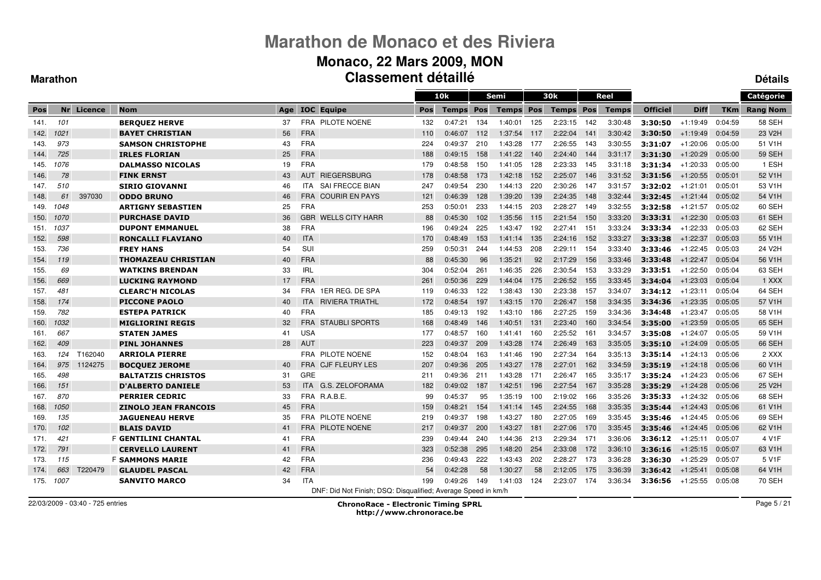#### **Monaco, 22 Mars 2009, MON Classement détailléDétails**

#### **Marathon**

|      |      |            |                             |     |            |                                                               |     | 10k          |     | <b>Semi</b>      |     | 30k              |     | Reel         |                 |             |            | Catégorie       |
|------|------|------------|-----------------------------|-----|------------|---------------------------------------------------------------|-----|--------------|-----|------------------|-----|------------------|-----|--------------|-----------------|-------------|------------|-----------------|
| Pos  |      | Nr Licence | <b>Nom</b>                  | Age |            | <b>IOC</b> Equipe                                             | Pos | <b>Temps</b> | Pos | <b>Temps Pos</b> |     | <b>Temps Pos</b> |     | <b>Temps</b> | <b>Officiel</b> | <b>Diff</b> | <b>TKm</b> | <b>Rang Nom</b> |
| 141. | 101  |            | <b>BERQUEZ HERVE</b>        | 37  |            | FRA PILOTE NOENE                                              | 132 | 0:47:21      | 134 | 1:40:01          | 125 | 2:23:15          | 142 | 3:30:48      | 3:30:50         | $+1:19:49$  | 0:04:59    | 58 SEH          |
| 142. | 1021 |            | <b>BAYET CHRISTIAN</b>      | 56  | <b>FRA</b> |                                                               | 110 | 0:46:07      | 112 | 1:37:54          | 117 | 2:22:04          | 141 | 3:30:42      | 3:30:50         | $+1:19:49$  | 0:04:59    | 23 V2H          |
| 143. | 973  |            | <b>SAMSON CHRISTOPHE</b>    | 43  | <b>FRA</b> |                                                               | 224 | 0:49:37      | 210 | 1:43:28          | 177 | 2:26:55          | 143 | 3:30:55      | 3:31:07         | $+1:20:06$  | 0:05:00    | 51 V1H          |
| 144. | 725  |            | <b>IRLES FLORIAN</b>        | 25  | <b>FRA</b> |                                                               | 188 | 0:49:15      | 158 | 1:41:22          | 140 | 2:24:40          | 144 | 3:31:17      | 3:31:30         | $+1:20:29$  | 0:05:00    | <b>59 SEH</b>   |
| 145. | 1076 |            | <b>DALMASSO NICOLAS</b>     | 19  | <b>FRA</b> |                                                               | 179 | 0:48:58      | 150 | 1:41:05          | 128 | 2:23:33          | 145 | 3:31:18      | 3:31:34         | $+1:20:33$  | 0:05:00    | 1 ESH           |
| 146. | 78   |            | <b>FINK ERNST</b>           | 43  | <b>AUT</b> | <b>RIEGERSBURG</b>                                            | 178 | 0:48:58      | 173 | 1:42:18          | 152 | 2:25:07          | 146 | 3:31:52      | 3:31:56         | $+1:20:55$  | 0:05:01    | 52 V1H          |
| 147. | 510  |            | <b>SIRIO GIOVANNI</b>       | 46  | ITA.       | SAI FRECCE BIAN                                               | 247 | 0:49:54      | 230 | 1:44:13          | 220 | 2:30:26          | 147 | 3:31:57      | 3:32:02         | $+1:21:01$  | 0:05:01    | 53 V1H          |
| 148. | 61   | 397030     | <b>ODDO BRUNO</b>           | 46  | <b>FRA</b> | <b>COURIR EN PAYS</b>                                         | 121 | 0:46:39      | 128 | 1:39:20          | 139 | 2:24:35          | 148 | 3:32:44      | 3:32:45         | $+1:21:44$  | 0:05:02    | 54 V1H          |
| 149. | 1048 |            | <b>ARTIGNY SEBASTIEN</b>    | 25  | <b>FRA</b> |                                                               | 253 | 0:50:01      | 233 | 1:44:15          | 203 | 2:28:27          | 149 | 3:32:55      | 3:32:58         | $+1:21:57$  | 0:05:02    | 60 SEH          |
| 150. | 1070 |            | <b>PURCHASE DAVID</b>       | 36  | <b>GBR</b> | <b>WELLS CITY HARR</b>                                        | 88  | 0:45:30      | 102 | 1:35:56          | 115 | 2:21:54          | 150 | 3:33:20      | 3:33:31         | $+1:22:30$  | 0:05:03    | 61 SEH          |
| 151. | 1037 |            | <b>DUPONT EMMANUEL</b>      | 38  | <b>FRA</b> |                                                               | 196 | 0:49:24      | 225 | 1.43.47          | 192 | 2:27:41          | 151 | 3:33:24      | 3:33:34         | $+1:22:33$  | 0:05:03    | 62 SEH          |
| 152. | 598  |            | <b>RONCALLI FLAVIANO</b>    | 40  | <b>ITA</b> |                                                               | 170 | 0:48:49      | 153 | 1:41:14          | 135 | 2:24:16          | 152 | 3:33:27      | 3:33:38         | $+1:22:37$  | 0:05:03    | 55 V1H          |
| 153. | 736  |            | <b>FREY HANS</b>            | 54  | SUI        |                                                               | 259 | 0:50:31      | 244 | 1:44:53          | 208 | 2:29:11          | 154 | 3:33:40      | 3:33:46         | $+1:22:45$  | 0:05:03    | 24 V2H          |
| 154. | 119  |            | <b>THOMAZEAU CHRISTIAN</b>  | 40  | <b>FRA</b> |                                                               | 88  | 0:45:30      | 96  | 1:35:21          | 92  | 2:17:29          | 156 | 3:33:46      | 3:33:48         | $+1:22:47$  | 0:05:04    | 56 V1H          |
| 155. | 69   |            | <b>WATKINS BRENDAN</b>      | 33  | <b>IRL</b> |                                                               | 304 | 0:52:04      | 261 | 1:46:35          | 226 | 2:30:54          | 153 | 3:33:29      | 3:33:51         | $+1:22:50$  | 0:05:04    | 63 SEH          |
| 156. | 669  |            | <b>LUCKING RAYMOND</b>      | 17  | <b>FRA</b> |                                                               | 261 | 0:50:36      | 229 | 1:44:04          | 175 | 2:26:52          | 155 | 3:33:45      | 3:34:04         | $+1:23:03$  | 0:05:04    | 1 XXX           |
| 157. | 481  |            | <b>CLEARC'H NICOLAS</b>     | 34  | FRA        | 1ER REG. DE SPA                                               | 119 | 0:46:33      | 122 | 1:38:43          | 130 | 2:23:38          | 157 | 3:34:07      | 3:34:12         | $+1:23:11$  | 0:05:04    | 64 SEH          |
| 158. | 174  |            | <b>PICCONE PAOLO</b>        | 40  | <b>ITA</b> | <b>RIVIERA TRIATHL</b>                                        | 172 | 0:48:54      | 197 | 1:43:15          | 170 | 2:26:47          | 158 | 3:34:35      | 3:34:36         | $+1:23:35$  | 0:05:05    | 57 V1H          |
| 159. | 782  |            | <b>ESTEPA PATRICK</b>       | 40  | <b>FRA</b> |                                                               | 185 | 0:49:13      | 192 | 1:43:10          | 186 | 2:27:25          | 159 | 3:34:36      | 3:34:48         | $+1:23:47$  | 0:05:05    | 58 V1H          |
| 160. | 1032 |            | <b>MIGLIORINI REGIS</b>     | 32  | <b>FRA</b> | <b>STAUBLI SPORTS</b>                                         | 168 | 0:48:49      | 146 | 1:40:51          | 131 | 2:23:40          | 160 | 3:34:54      | 3:35:00         | $+1:23:59$  | 0:05:05    | 65 SEH          |
| 161. | 667  |            | <b>STATEN JAMES</b>         | 41  | <b>USA</b> |                                                               | 177 | 0:48:57      | 160 | 1.41.41          | 160 | 2:25:52          | 161 | 3:34:57      | 3:35:08         | $+1:24:07$  | 0:05:05    | 59 V1H          |
| 162. | 409  |            | <b>PINL JOHANNES</b>        | 28  | <b>AUT</b> |                                                               | 223 | 0:49:37      | 209 | 1:43:28          | 174 | 2:26:49          | 163 | 3:35:05      | 3:35:10         | $+1:24:09$  | 0:05:05    | 66 SEH          |
| 163. | 124  | T162040    | <b>ARRIOLA PIERRE</b>       |     |            | FRA PILOTE NOENE                                              | 152 | 0:48:04      | 163 | 1:41:46          | 190 | 2:27:34          | 164 | 3:35:13      | 3:35:14         | $+1:24:13$  | 0:05:06    | 2 XXX           |
| 164. | 975  | 1124275    | <b>BOCOUEZ JEROME</b>       | 40  |            | <b>FRA</b> CJF FLEURY LES                                     | 207 | 0:49:36      | 205 | 1:43:27          | 178 | 2:27:01          | 162 | 3:34:59      | 3:35:19         | $+1:24:18$  | 0:05:06    | 60 V1H          |
| 165. | 498  |            | <b>BALTATZIS CHRISTOS</b>   | 31  | GRE        |                                                               | 211 | 0:49:36      | 211 | 1:43:28          | 171 | 2:26:47          | 165 | 3:35:17      | 3:35:24         | $+1:24:23$  | 0:05:06    | 67 SEH          |
| 166. | 151  |            | <b>D'ALBERTO DANIELE</b>    | 53  | <b>ITA</b> | G.S. ZELOFORAMA                                               | 182 | 0:49:02      | 187 | 1:42:51          | 196 | 2:27:54          | 167 | 3:35:28      | 3:35:29         | $+1:24:28$  | 0:05:06    | 25 V2H          |
| 167. | 870  |            | <b>PERRIER CEDRIC</b>       | 33  |            | FRA R.A.B.E.                                                  | 99  | 0:45:37      | 95  | 1:35:19          | 100 | 2:19:02          | 166 | 3:35:26      | 3:35:33         | $+1:24:32$  | 0:05:06    | 68 SEH          |
| 168. | 1050 |            | <b>ZINOLO JEAN FRANCOIS</b> | 45  | <b>FRA</b> |                                                               | 159 | 0:48:21      | 154 | 1.41.14          | 145 | 2:24:55          | 168 | 3:35:35      | 3:35:44         | $+1:24:43$  | 0:05:06    | 61 V1H          |
| 169. | 135  |            | <b>JAGUENEAU HERVE</b>      | 35  | FRA        | PILOTE NOENE                                                  | 219 | 0:49:37      | 198 | 1:43:27          | 180 | 2:27:05          | 169 | 3:35:45      | 3:35:46         | $+1.24.45$  | 0:05:06    | 69 SEH          |
| 170. | 102  |            | <b>BLAIS DAVID</b>          | 41  |            | <b>FRA PILOTE NOENE</b>                                       | 217 | 0:49:37      | 200 | 1:43:27          | 181 | 2:27:06          | 170 | 3:35:45      | 3:35:46         | $+1:24:45$  | 0:05:06    | 62 V1H          |
| 171. | 421  |            | F <b>GENTILINI CHANTAL</b>  | 41  | <b>FRA</b> |                                                               | 239 | 0:49:44      | 240 | 1:44:36          | 213 | 2:29:34          | 171 | 3:36:06      | 3:36:12         | $+1:25:11$  | 0:05:07    | 4 V1F           |
| 172. | 791  |            | <b>CERVELLO LAURENT</b>     | 41  | <b>FRA</b> |                                                               | 323 | 0:52:38      | 295 | 1:48:20          | 254 | 2:33:08          | 172 | 3:36:10      | 3:36:16         | $+1:25:15$  | 0:05:07    | 63 V1H          |
| 173. | 115  |            | <b>F SAMMONS MARIE</b>      | 42  | <b>FRA</b> |                                                               | 236 | 0:49:43      | 222 | 1:43:43          | 202 | 2:28:27          | 173 | 3:36:28      | 3:36:30         | $+1:25:29$  | 0:05:07    | 5 V1F           |
| 174. | 663  | T220479    | <b>GLAUDEL PASCAL</b>       | 42  | <b>FRA</b> |                                                               | 54  | 0:42:28      | 58  | 1:30:27          | 58  | 2:12:05          | 175 | 3:36:39      | 3:36:42         | $+1:25:41$  | 0:05:08    | 64 V1H          |
| 175. | 1007 |            | <b>SANVITO MARCO</b>        | 34  | <b>ITA</b> |                                                               | 199 | 0:49:26      | 149 | 1:41:03          | 124 | 2:23:07          | 174 | 3:36:34      | 3:36:56         | $+1.25.55$  | 0:05:08    | 70 SEH          |
|      |      |            |                             |     |            | DNF: Did Not Finish; DSQ: Disqualified; Average Speed in km/h |     |              |     |                  |     |                  |     |              |                 |             |            |                 |

22/03/2009 - 03:40 - 725 entries

ChronoRace - Electronic Timing SPRL

http://www.chronorace.be

Page 5 / 21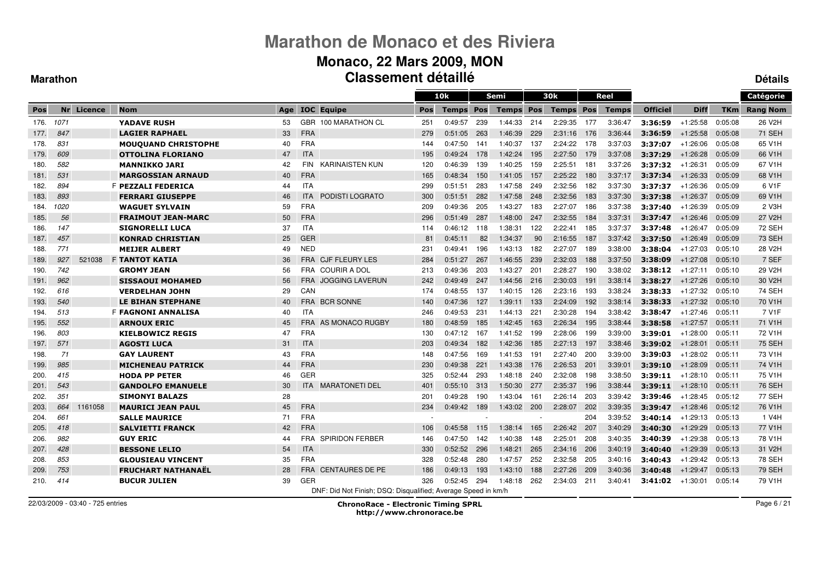#### **Monaco, 22 Mars 2009, MON Classement détailléDétails**

#### **Marathon**

|      |      |            |                            |     |            |                                                               |     | 10k          |     | Semi             |        | 30k              |      | Reel         |                 |             |            | Catégorie           |
|------|------|------------|----------------------------|-----|------------|---------------------------------------------------------------|-----|--------------|-----|------------------|--------|------------------|------|--------------|-----------------|-------------|------------|---------------------|
| Pos  |      | Nr Licence | <b>Nom</b>                 | Age |            | <b>IOC</b> Equipe                                             | Pos | <b>Temps</b> | Pos | <b>Temps Pos</b> |        | <b>Temps Pos</b> |      | <b>Temps</b> | <b>Officiel</b> | <b>Diff</b> | <b>TKm</b> | <b>Rang Nom</b>     |
| 176. | 1071 |            | <b>YADAVE RUSH</b>         | 53  |            | GBR 100 MARATHON CL                                           | 251 | 0:49:57      | 239 | 1:44:33          | 214    | 2:29:35          | 177  | 3:36:47      | 3:36:59         | $+1:25:58$  | 0:05:08    | 26 V2H              |
| 177. | 847  |            | <b>LAGIER RAPHAEL</b>      | 33  | <b>FRA</b> |                                                               | 279 | 0:51:05      | 263 | 1:46:39          | 229    | 2:31:16          | 176  | 3:36:44      | 3:36:59         | $+1:25:58$  | 0:05:08    | <b>71 SEH</b>       |
| 178. | 831  |            | <b>MOUQUAND CHRISTOPHE</b> | 40  | <b>FRA</b> |                                                               | 144 | 0:47:50      | 141 | 1:40:37          | 137    | 2:24:22          | -178 | 3:37:03      | 3:37:07         | $+1:26:06$  | 0:05:08    | 65 V1H              |
| 179. | 609  |            | <b>OTTOLINA FLORIANO</b>   | 47  | <b>ITA</b> |                                                               | 195 | 0:49:24      | 178 | 1:42:24          | 195    | 2:27:50          | 179  | 3:37:08      | 3:37:29         | $+1:26:28$  | 0:05:09    | 66 V1H              |
| 180. | 582  |            | <b>MANNIKKO JARI</b>       | 42  | <b>FIN</b> | <b>KARINAISTEN KUN</b>                                        | 120 | 0:46:39      | 139 | 1:40:25          | 159    | 2:25:51          | 181  | 3:37:26      | 3:37:32         | $+1:26:31$  | 0:05:09    | 67 V1H              |
| 181. | 531  |            | <b>MARGOSSIAN ARNAUD</b>   | 40  | <b>FRA</b> |                                                               | 165 | 0:48:34      | 150 | 1:41:05          | 157    | 2:25:22          | 180  | 3:37:17      | 3:37:34         | $+1:26:33$  | 0:05:09    | 68 V1H              |
| 182. | 894  |            | F PEZZALI FEDERICA         | 44  | <b>ITA</b> |                                                               | 299 | 0:51:51      | 283 | 1:47:58          | 249    | 2:32:56          | 182  | 3:37:30      | 3:37:37         | $+1:26:36$  | 0:05:09    | 6 V <sub>1</sub> F  |
| 183. | 893  |            | <b>FERRARI GIUSEPPE</b>    | 46  | <b>ITA</b> | <b>PODISTI LOGRATO</b>                                        | 300 | 0:51:51      | 282 | 1:47:58          | 248    | 2:32:56          | 183  | 3:37:30      | 3:37:38         | $+1:26:37$  | 0:05:09    | 69 V1H              |
| 184. | 1020 |            | <b>WAGUET SYLVAIN</b>      | 59  | <b>FRA</b> |                                                               | 209 | 0:49:36      | 205 | 1:43:27          | 183    | 2:27:07          | 186  | 3:37:38      | 3:37:40         | $+1:26:39$  | 0:05:09    | 2 V3H               |
| 185. | 56   |            | <b>FRAIMOUT JEAN-MARC</b>  | 50  | <b>FRA</b> |                                                               | 296 | 0:51:49      | 287 | 1:48:00          | 247    | 2:32:55          | 184  | 3:37:31      | 3:37:47         | $+1:26:46$  | 0:05:09    | 27 V2H              |
| 186. | 147  |            | <b>SIGNORELLI LUCA</b>     | 37  | <b>ITA</b> |                                                               | 114 | 0:46:12      | 118 | 1:38:31          | 122    | 2:22:41          | 185  | 3:37:37      | 3:37:48         | $+1:26:47$  | 0:05:09    | 72 SEH              |
| 187. | 457  |            | <b>KONRAD CHRISTIAN</b>    | 25  | <b>GER</b> |                                                               | 81  | 0:45:11      | 82  | 1:34:37          | 90     | 2:16:55          | 187  | 3:37:42      | 3:37:50         | $+1:26:49$  | 0:05:09    | <b>73 SEH</b>       |
| 188. | 771  |            | <b>MEIJER ALBERT</b>       | 49  | <b>NED</b> |                                                               | 231 | 0:49:41      | 196 | 1:43:13          | 182    | 2:27:07          | 189  | 3:38:00      | 3:38:04         | $+1:27:03$  | 0:05:10    | 28 V2H              |
| 189. | 927  | 521038     | <b>F TANTOT KATIA</b>      | 36  | <b>FRA</b> | <b>CJF FLEURY LES</b>                                         | 284 | 0:51:27      | 267 | 1:46:55          | 239    | 2:32:03          | 188  | 3:37:50      | 3:38:09         | $+1:27:08$  | 0:05:10    | 7 SEF               |
| 190. | 742  |            | <b>GROMY JEAN</b>          | 56  | <b>FRA</b> | <b>COURIR A DOL</b>                                           | 213 | 0:49:36      | 203 | 1:43:27          | 201    | 2:28:27          | 190  | 3:38:02      | 3:38:12         | $+1:27:11$  | 0:05:10    | 29 V2H              |
| 191. | 962  |            | <b>SISSAOUI MOHAMED</b>    | 56  | <b>FRA</b> | <b>JOGGING LAVERUN</b>                                        | 242 | 0:49:49      | 247 | 1:44:56          | 216    | 2:30:03          | 191  | 3:38:14      | 3:38:27         | $+1:27:26$  | 0:05:10    | 30 V2H              |
| 192. | 616  |            | <b>VERDELHAN JOHN</b>      | 29  | CAN        |                                                               | 174 | 0:48:55      | 137 | 1.40.15          | 126    | 2:23:16          | 193  | 3:38:24      | 3:38:33         | $+1:27:32$  | 0:05:10    | <b>74 SEH</b>       |
| 193. | 540  |            | <b>LE BIHAN STEPHANE</b>   | 40  |            | FRA BCR SONNE                                                 | 140 | 0:47:36      | 127 | 1:39:11          | 133    | 2:24:09          | 192  | 3:38:14      | 3:38:33         | $+1:27:32$  | 0:05:10    | 70 V1H              |
| 194. | 513  |            | <b>F FAGNONI ANNALISA</b>  | 40  | <b>ITA</b> |                                                               | 246 | 0:49:53      | 231 | 1:44:13          | 221    | 2:30:28          | 194  | 3:38:42      | 3:38:47         | $+1:27:46$  | 0:05:11    | 7 V <sub>1</sub> F  |
| 195. | 552  |            | <b>ARNOUX ERIC</b>         | 45  |            | <b>FRA</b> AS MONACO RUGBY                                    | 180 | 0:48:59      | 185 | 1:42:45          | 163    | 2:26:34          | 195  | 3:38:44      | 3:38:58         | $+1:27:57$  | 0:05:11    | 71 V1H              |
| 196. | 803  |            | <b>KIELBOWICZ REGIS</b>    | 47  | <b>FRA</b> |                                                               | 130 | 0:47:12      | 167 | 1:41:52          | 199    | 2:28:06          | 199  | 3:39:00      | 3:39:01         | $+1:28:00$  | 0:05:11    | 72 V1H              |
| 197. | 571  |            | <b>AGOSTI LUCA</b>         | 31  | <b>ITA</b> |                                                               | 203 | 0:49:34      | 182 | 1:42:36          | 185    | 2:27:13          | 197  | 3:38:46      | 3:39:02         | $+1:28:01$  | 0:05:11    | <b>75 SEH</b>       |
| 198. | 71   |            | <b>GAY LAURENT</b>         | 43  | <b>FRA</b> |                                                               | 148 | 0:47:56      | 169 | 1:41:53          | 191    | 2:27:40          | 200  | 3:39:00      | 3:39:03         | $+1:28:02$  | 0:05:11    | 73 V1H              |
| 199. | 985  |            | <b>MICHENEAU PATRICK</b>   | 44  | <b>FRA</b> |                                                               | 230 | 0:49:38      | 221 | 1:43:38          | 176    | 2:26:53          | 201  | 3:39:01      | 3:39:10         | $+1:28:09$  | 0:05:11    | 74 V1H              |
| 200. | 415  |            | <b>HODA PP PETER</b>       | 46  | GER        |                                                               | 325 | 0:52:44      | 293 | 1:48:18          | 240    | 2:32:08          | 198  | 3:38:50      | 3:39:11         | $+1:28:10$  | 0:05:11    | 75 V1H              |
| 201. | 543  |            | <b>GANDOLFO EMANUELE</b>   | 30  |            | <b>ITA MARATONETI DEL</b>                                     | 401 | 0:55:10      | 313 | 1:50:30          | 277    | 2:35:37          | 196  | 3:38:44      | 3:39:11         | $+1:28:10$  | 0:05:11    | <b>76 SEH</b>       |
| 202. | 351  |            | <b>SIMONYI BALAZS</b>      | 28  |            |                                                               | 201 | 0:49:28      | 190 | 1:43:04          | 161    | 2:26:14          | 203  | 3:39:42      | 3:39:46         | $+1:28:45$  | 0:05:12    | <b>77 SEH</b>       |
| 203. | 664  | 1161058    | <b>MAURICI JEAN PAUL</b>   | 45  | <b>FRA</b> |                                                               | 234 | 0:49:42      | 189 | 1:43:02          | 200    | 2:28:07          | 202  | 3:39:35      | 3:39:47         | $+1:28:46$  | 0:05:12    | 76 V <sub>1</sub> H |
| 204. | 661  |            | <b>SALLE MAURICE</b>       | 71  | <b>FRA</b> |                                                               |     |              |     |                  | $\sim$ |                  | 204  | 3:39:52      | 3:40:14         | $+1:29:13$  | 0:05:13    | 1 V4H               |
| 205. | 418  |            | <b>SALVIETTI FRANCK</b>    | 42  | <b>FRA</b> |                                                               | 106 | 0:45:58      | 115 | 1:38:14          | 165    | 2:26:42          | 207  | 3:40:29      | 3:40:30         | $+1:29:29$  | 0:05:13    | 77 V1H              |
| 206. | 982  |            | <b>GUY ERIC</b>            | 44  |            | <b>FRA SPIRIDON FERBER</b>                                    | 146 | 0:47:50      | 142 | 1:40:38          | 148    | 2:25:01          | 208  | 3:40:35      | 3:40:39         | $+1:29:38$  | 0:05:13    | 78 V1H              |
| 207. | 428  |            | <b>BESSONE LELIO</b>       | 54  | <b>ITA</b> |                                                               | 330 | 0:52:52      | 296 | 1:48:21          | 265    | 2:34:16          | 206  | 3:40:19      | 3:40:40         | $+1:29:39$  | 0:05:13    | 31 V <sub>2</sub> H |
| 208. | 853  |            | <b>GLOUSIEAU VINCENT</b>   | 35  | <b>FRA</b> |                                                               | 328 | 0:52:48      | 280 | 1:47:57          | 252    | 2:32:58          | 205  | 3:40:16      | 3:40:43         | $+1:29:42$  | 0:05:13    | <b>78 SEH</b>       |
| 209. | 753  |            | <b>FRUCHART NATHANAËL</b>  | 28  | <b>FRA</b> | <b>CENTAURES DE PE</b>                                        | 186 | 0:49:13      | 193 | 1:43:10          | 188    | 2:27:26          | 209  | 3:40:36      | 3:40:48         | $+1.29.47$  | 0:05:13    | <b>79 SEH</b>       |
| 210. | 414  |            | <b>BUCUR JULIEN</b>        | 39  | <b>GER</b> |                                                               | 326 | 0:52:45      | 294 | 1:48:18          | 262    | 2:34:03          | 211  | 3:40:41      | 3:41:02         | $+1:30:01$  | 0:05:14    | 79 V1H              |
|      |      |            |                            |     |            | DNF: Did Not Finish; DSQ: Disqualified; Average Speed in km/h |     |              |     |                  |        |                  |      |              |                 |             |            |                     |

22/03/2009 - 03:40 - 725 entries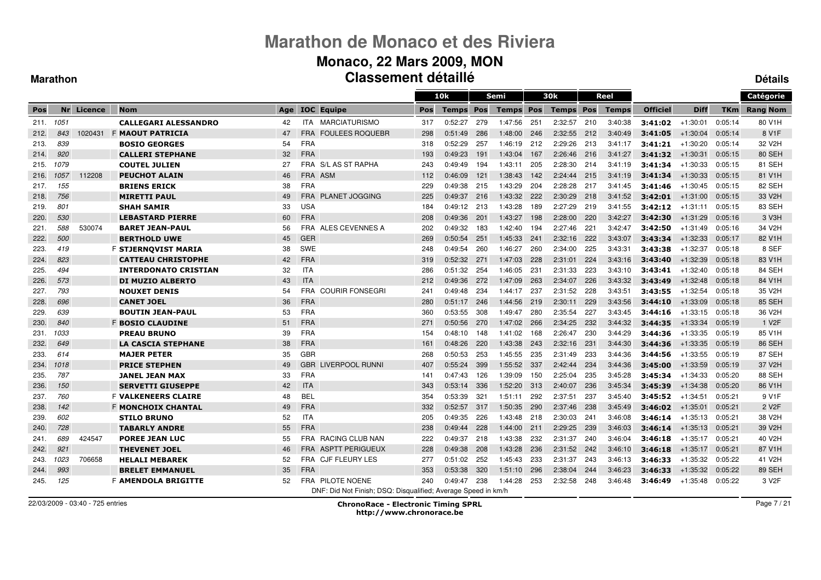### **Monaco, 22 Mars 2009, MON Classement détaillé**

#### **Marathon**

**Détails**

|      |      |            |                             |     |            |                                                               |     | 10k          |     | Semi             |     | 30k              |     | Reel         |                 |             |            | Catégorie           |
|------|------|------------|-----------------------------|-----|------------|---------------------------------------------------------------|-----|--------------|-----|------------------|-----|------------------|-----|--------------|-----------------|-------------|------------|---------------------|
| Pos  |      | Nr Licence | <b>Nom</b>                  | Age |            | <b>IOC</b> Equipe                                             | Pos | <b>Temps</b> | Pos | <b>Temps Pos</b> |     | <b>Temps Pos</b> |     | <b>Temps</b> | <b>Officiel</b> | <b>Diff</b> | <b>TKm</b> | <b>Rang Nom</b>     |
| 211. | 1051 |            | <b>CALLEGARI ALESSANDRO</b> | 42  |            | ITA MARCIATURISMO                                             | 317 | 0:52:27      | 279 | 1:47:56          | 251 | 2:32:57          | 210 | 3:40:38      | 3:41:02         | $+1:30:01$  | 0:05:14    | 80 V1H              |
| 212. | 843  | 1020431    | <b>F MAOUT PATRICIA</b>     | 47  | <b>FRA</b> | <b>FOULEES ROQUEBR</b>                                        | 298 | 0:51:49      | 286 | 1:48:00          | 246 | 2:32:55          | 212 | 3:40:49      | 3:41:05         | $+1:30:04$  | 0:05:14    | 8 V <sub>1</sub> F  |
| 213. | 839  |            | <b>BOSIO GEORGES</b>        | 54  | <b>FRA</b> |                                                               | 318 | 0:52:29      | 257 | 1:46:19          | 212 | 2:29:26          | 213 | 3:41:17      | 3:41:21         | $+1:30:20$  | 0:05:14    | 32 V2H              |
| 214. | 920  |            | <b>CALLERI STEPHANE</b>     | 32  | <b>FRA</b> |                                                               | 193 | 0:49:23      | 191 | 1.43.04          | 167 | 2:26:46          | 216 | 3:41:27      | 3:41:32         | $+1.30.31$  | 0:05:15    | 80 SEH              |
| 215. | 1079 |            | <b>COUTEL JULIEN</b>        | 27  |            | FRA S/L AS ST RAPHA                                           | 243 | 0:49:49      | 194 | 1:43:11          | 205 | 2:28:30          | 214 | 3:41:19      | 3:41:34         | $+1:30:33$  | 0:05:15    | 81 SEH              |
| 216. | 1057 | 112208     | <b>PEUCHOT ALAIN</b>        | 46  | FRA ASM    |                                                               | 112 | 0:46:09      | 121 | 1:38:43          | 142 | 2:24:44          | 215 | 3:41:19      | 3:41:34         | $+1:30:33$  | 0:05:15    | 81 V1H              |
| 217. | 155  |            | <b>BRIENS ERICK</b>         | 38  | <b>FRA</b> |                                                               | 229 | 0:49:38      | 215 | 1:43:29          | 204 | 2:28:28          | 217 | 3:41:45      | 3:41:46         | $+1:30:45$  | 0:05:15    | 82 SEH              |
| 218. | 756  |            | <b>MIRETTI PAUL</b>         | 49  | <b>FRA</b> | <b>PLANET JOGGING</b>                                         | 225 | 0:49:37      | 216 | 1:43:32          | 222 | 2:30:29          | 218 | 3:41:52      | 3:42:01         | $+1:31:00$  | 0:05:15    | 33 V <sub>2</sub> H |
| 219. | 801  |            | <b>SHAH SAMIR</b>           | 33  | <b>USA</b> |                                                               | 184 | 0:49:12      | 213 | 1:43:28          | 189 | 2:27:29          | 219 | 3:41:55      | 3:42:12         | $+1:31:11$  | 0:05:15    | 83 SEH              |
| 220. | 530  |            | <b>LEBASTARD PIERRE</b>     | 60  | <b>FRA</b> |                                                               | 208 | 0:49:36      | 201 | 1:43:27          | 198 | 2:28:00          | 220 | 3:42:27      | 3:42:30         | $+1:31:29$  | 0:05:16    | 3 V <sub>3</sub> H  |
| 221. | 588  | 530074     | <b>BARET JEAN-PAUL</b>      | 56  |            | FRA ALES CEVENNES A                                           | 202 | 0:49:32      | 183 | 1:42:40          | 194 | 2:27:46          | 221 | 3:42:47      | 3:42:50         | $+1.31.49$  | 0:05:16    | 34 V2H              |
| 222. | 500  |            | <b>BERTHOLD UWE</b>         | 45  | <b>GER</b> |                                                               | 269 | 0:50:54      | 251 | 1:45:33          | 241 | 2:32:16          | 222 | 3:43:07      | 3:43:34         | $+1:32:33$  | 0:05:17    | 82 V1H              |
| 223. | 419  |            | F STJERNOVIST MARIA         | 38  | <b>SWE</b> |                                                               | 248 | 0:49:54      | 260 | 1:46:27          | 260 | 2:34:00          | 225 | 3:43:31      | 3:43:38         | $+1:32:37$  | 0:05:18    | 8 SEF               |
| 224. | 823  |            | <b>CATTEAU CHRISTOPHE</b>   | 42  | <b>FRA</b> |                                                               | 319 | 0:52:32      | 271 | 1:47:03          | 228 | 2:31:01          | 224 | 3:43:16      | 3:43:40         | $+1:32:39$  | 0.05:18    | 83 V <sub>1</sub> H |
| 225. | 494  |            | <b>INTERDONATO CRISTIAN</b> | 32  | <b>ITA</b> |                                                               | 286 | 0:51:32      | 254 | 1.46.05          | 231 | 2:31:33          | 223 | 3:43:10      | 3:43:41         | $+1:32:40$  | 0:05:18    | 84 SEH              |
| 226. | 573  |            | <b>DI MUZIO ALBERTO</b>     | 43  | <b>ITA</b> |                                                               | 212 | 0:49:36      | 272 | 1:47:09          | 263 | 2:34:07          | 226 | 3:43:32      | 3:43:49         | $+1:32:48$  | 0.05:18    | 84 V1H              |
| 227. | 793  |            | <b>NOUXET DENIS</b>         | 54  | <b>FRA</b> | <b>COURIR FONSEGRI</b>                                        | 241 | 0:49:48      | 234 | 1.44.17          | 237 | 2:31:52          | 228 | 3:43:51      | 3:43:55         | $+1.32.54$  | 0:05:18    | 35 V <sub>2</sub> H |
| 228. | 696  |            | <b>CANET JOEL</b>           | 36  | <b>FRA</b> |                                                               | 280 | 0:51:17      | 246 | 1:44:56          | 219 | 2:30:11          | 229 | 3:43:56      | 3:44:10         | $+1.33.09$  | 0.05:18    | 85 SEH              |
| 229. | 639  |            | <b>BOUTIN JEAN-PAUL</b>     | 53  | <b>FRA</b> |                                                               | 360 | 0:53:55      | 308 | 1:49:47          | 280 | 2:35:54          | 227 | 3:43:45      | 3:44:16         | $+1:33:15$  | 0:05:18    | 36 V2H              |
| 230. | 840  |            | <b>F BOSIO CLAUDINE</b>     | 51  | <b>FRA</b> |                                                               | 271 | 0:50:56      | 270 | 1:47:02          | 266 | 2:34:25          | 232 | 3:44:32      | 3:44:35         | $+1:33:34$  | 0:05:19    | 1 V <sub>2</sub> F  |
| 231. | 1033 |            | <b>PREAU BRUNO</b>          | 39  | <b>FRA</b> |                                                               | 154 | 0:48:10      | 148 | 1:41:02          | 168 | 2:26:47          | 230 | 3:44:29      | 3:44:36         | $+1:33:35$  | 0:05:19    | 85 V1H              |
| 232. | 649  |            | <b>LA CASCIA STEPHANE</b>   | 38  | <b>FRA</b> |                                                               | 161 | 0:48:26      | 220 | 1:43:38          | 243 | 2:32:16          | 231 | 3:44:30      | 3:44:36         | $+1:33:35$  | 0:05:19    | 86 SEH              |
| 233. | 614  |            | <b>MAJER PETER</b>          | 35  | GBR        |                                                               | 268 | 0:50:53      | 253 | 1:45:55          | 235 | 2:31:49          | 233 | 3:44:36      | 3:44:56         | $+1:33:55$  | 0:05:19    | 87 SEH              |
| 234. | 1018 |            | <b>PRICE STEPHEN</b>        | 49  | <b>GBR</b> | LIVERPOOL RUNNI                                               | 407 | 0:55:24      | 399 | 1:55:52          | 337 | 2:42:44          | 234 | 3:44:36      | 3:45:00         | $+1:33:59$  | 0:05:19    | 37 V2H              |
| 235. | 787  |            | <b>JANEL JEAN MAX</b>       | 33  | <b>FRA</b> |                                                               | 141 | 0:47:43      | 126 | 1:39:09          | 150 | 2:25:04          | 235 | 3:45:28      | 3:45:34         | $+1.34.33$  | 0:05:20    | 88 SEH              |
| 236. | 150  |            | <b>SERVETTI GIUSEPPE</b>    | 42  | <b>ITA</b> |                                                               | 343 | 0:53:14      | 336 | 1:52:20          | 313 | 2:40:07          | 236 | 3:45:34      | 3:45:39         | $+1:34:38$  | 0:05:20    | 86 V1H              |
| 237. | 760  |            | <b>F VALKENEERS CLAIRE</b>  | 48  | <b>BEL</b> |                                                               | 354 | 0:53:39      | 321 | 1:51:11          | 292 | 2:37:51          | 237 | 3:45:40      | 3:45:52         | $+1:34:51$  | 0:05:21    | 9 V1F               |
| 238. | 142  |            | <b>F MONCHOIX CHANTAL</b>   | 49  | <b>FRA</b> |                                                               | 332 | 0:52:57      | 317 | 1:50:35          | 290 | 2:37:46          | 238 | 3:45:49      | 3:46:02         | $+1:35:01$  | 0:05:21    | 2 V <sub>2</sub> F  |
| 239. | 602  |            | <b>STILO BRUNO</b>          | 52  | ITA        |                                                               | 205 | 0:49:35      | 226 | 1:43:48          | 218 | 2:30:03          | 241 | 3:46:08      | 3:46:14         | $+1.35:13$  | 0:05:21    | 38 V2H              |
| 240. | 728  |            | <b>TABARLY ANDRE</b>        | 55  | <b>FRA</b> |                                                               | 238 | 0:49:44      | 228 | 1:44:00          | 211 | 2:29:25          | 239 | 3:46:03      | 3:46:14         | $+1:35:13$  | 0:05:21    | 39 V2H              |
| 241. | 689  | 424547     | <b>POREE JEAN LUC</b>       | 55  | <b>FRA</b> | <b>RACING CLUB NAN</b>                                        | 222 | 0:49:37      | 218 | 1:43:38          | 232 | 2:31:37          | 240 | 3:46:04      | 3:46:18         | $+1.35.17$  | 0:05:21    | 40 V2H              |
| 242. | 921  |            | <b>THEVENET JOEL</b>        | 46  | <b>FRA</b> | <b>ASPTT PERIGUEUX</b>                                        | 228 | 0:49:38      | 208 | 1:43:28          | 236 | 2:31:52          | 242 | 3:46:10      | 3:46:18         | $+1.35:17$  | 0:05:21    | 87 V1H              |
| 243. | 1023 | 706658     | <b>HELALI MEBAREK</b>       | 52  |            | FRA CJF FLEURY LES                                            | 277 | 0:51:02      | 252 | 1:45:43          | 233 | 2:31:37          | 243 | 3:46:13      | 3:46:33         | $+1:35:32$  | 0:05:22    | 41 V2H              |
| 244. | 993  |            | <b>BRELET EMMANUEL</b>      | 35  | <b>FRA</b> |                                                               | 353 | 0:53:38      | 320 | 1:51:10          | 296 | 2:38:04          | 244 | 3:46:23      | 3:46:33         | $+1:35:32$  | 0:05:22    | 89 SEH              |
| 245. | 125  |            | F <b>AMENDOLA BRIGITTE</b>  | 52  |            | FRA PILOTE NOENE                                              | 240 | 0:49:47      | 238 | 1:44:28          | 253 | 2:32:58          | 248 | 3:46:48      | 3:46:49         | $+1.35:48$  | 0:05:22    | 3 V2F               |
|      |      |            |                             |     |            | DNF: Did Not Finish; DSQ: Disqualified; Average Speed in km/h |     |              |     |                  |     |                  |     |              |                 |             |            |                     |

22/03/2009 - 03:40 - 725 entries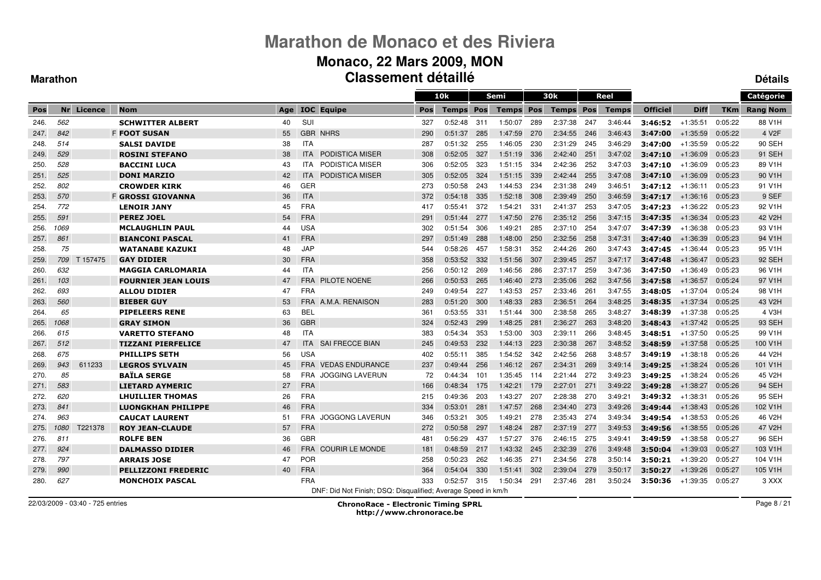#### **Monaco, 22 Mars 2009, MON Classement détailléDétails**

#### **Marathon**

|      |      |            |                            |     |            |                                                               |     | 10k          |            | Semi         |     | 30k              |     | Reel         |                 |             |            | Catégorie           |
|------|------|------------|----------------------------|-----|------------|---------------------------------------------------------------|-----|--------------|------------|--------------|-----|------------------|-----|--------------|-----------------|-------------|------------|---------------------|
| Pos  |      | Nr Licence | <b>Nom</b>                 | Age |            | <b>IOC</b> Equipe                                             | Pos | <b>Temps</b> | <b>Pos</b> | <b>Temps</b> | Pos | <b>Temps Pos</b> |     | <b>Temps</b> | <b>Officiel</b> | <b>Diff</b> | <b>TKm</b> | <b>Rang Nom</b>     |
| 246. | 562  |            | <b>SCHWITTER ALBERT</b>    | 40  | SUI        |                                                               | 327 | 0:52:48      | 311        | 1:50:07      | 289 | 2:37:38          | 247 | 3:46:44      | 3:46:52         | $+1:35:51$  | 0:05:22    | 88 V1H              |
| 247. | 842  |            | <b>F FOOT SUSAN</b>        | 55  |            | <b>GBR NHRS</b>                                               | 290 | 0:51:37      | 285        | 1.47.59      | 270 | 2:34:55          | 246 | 3:46:43      | 3:47:00         | $+1:35:59$  | 0:05:22    | 4 V <sub>2</sub> F  |
| 248. | 514  |            | <b>SALSI DAVIDE</b>        | 38  | <b>ITA</b> |                                                               | 287 | 0:51:32      | 255        | 1:46:05      | 230 | 2:31:29          | 245 | 3:46:29      | 3:47:00         | $+1:35:59$  | 0:05:22    | 90 SEH              |
| 249. | 529  |            | <b>ROSINI STEFANO</b>      | 38  | <b>ITA</b> | PODISTICA MISER                                               | 308 | 0:52:05      | 327        | 1:51:19      | 336 | 2:42:40          | 251 | 3:47:02      | 3:47:10         | $+1:36:09$  | 0:05:23    | 91 SEH              |
| 250. | 528  |            | <b>BACCINI LUCA</b>        | 43  | ITA.       | PODISTICA MISER                                               | 306 | 0:52:05      | 323        | 1:51:15      | 334 | 2:42:36          | 252 | 3:47:03      | 3:47:10         | $+1:36:09$  | 0:05:23    | 89 V1H              |
| 251. | 525  |            | <b>DONI MARZIO</b>         | 42  | <b>ITA</b> | PODISTICA MISER                                               | 305 | 0:52:05      | 324        | 1:51:15      | 339 | 2:42:44          | 255 | 3:47:08      | 3:47:10         | $+1:36:09$  | 0:05:23    | 90 V1H              |
| 252. | 802  |            | <b>CROWDER KIRK</b>        | 46  | GER        |                                                               | 273 | 0:50:58      | 243        | 1:44:53      | 234 | 2:31:38          | 249 | 3:46:51      | 3:47:12         | $+1:36:11$  | 0:05:23    | 91 V1H              |
| 253. | 570  |            | <b>F GROSSI GIOVANNA</b>   | 36  | <b>ITA</b> |                                                               | 372 | 0:54:18      | 335        | 1:52:18      | 308 | 2:39:49          | 250 | 3:46:59      | 3:47:17         | $+1:36:16$  | 0:05:23    | 9 SEF               |
| 254. | 772  |            | <b>LENOIR JANY</b>         | 45  | <b>FRA</b> |                                                               | 417 | 0:55:41      | 372        | 1:54:21      | 331 | 2:41:37          | 253 | 3:47:05      | 3:47:23         | $+1:36:22$  | 0:05:23    | 92 V1H              |
| 255. | 591  |            | <b>PEREZ JOEL</b>          | 54  | <b>FRA</b> |                                                               | 291 | 0:51:44      | 277        | 1.47.50      | 276 | 2:35:12          | 256 | 3:47:15      | 3:47:35         | $+1:36:34$  | 0:05:23    | 42 V2H              |
| 256. | 1069 |            | <b>MCLAUGHLIN PAUL</b>     | 44  | <b>USA</b> |                                                               | 302 | 0:51:54      | 306        | 1:49:21      | 285 | 2:37:10          | 254 | 3:47:07      | 3:47:39         | $+1:36:38$  | 0:05:23    | 93 V <sub>1</sub> H |
| 257. | 861  |            | <b>BIANCONI PASCAL</b>     | 41  | <b>FRA</b> |                                                               | 297 | 0:51:49      | 288        | 1:48:00      | 250 | 2:32:56          | 258 | 3:47:31      | 3:47:40         | $+1:36:39$  | 0:05:23    | 94 V1H              |
| 258. | 75   |            | <b>WATANABE KAZUKI</b>     | 48  | <b>JAP</b> |                                                               | 544 | 0:58:26      | 457        | 1:58:31      | 352 | 2:44:26          | 260 | 3:47:43      | 3:47:45         | $+1:36:44$  | 0:05:23    | 95 V1H              |
| 259. | 709  | T 157475   | <b>GAY DIDIER</b>          | 30  | <b>FRA</b> |                                                               | 358 | 0:53:52      | 332        | 1:51:56      | 307 | 2:39:45          | 257 | 3:47:17      | 3:47:48         | $+1:36:47$  | 0:05:23    | <b>92 SEH</b>       |
| 260. | 632  |            | <b>MAGGIA CARLOMARIA</b>   | 44  | <b>ITA</b> |                                                               | 256 | 0:50:12      | 269        | 1:46:56      | 286 | 2:37:17          | 259 | 3:47:36      | 3:47:50         | $+1:36:49$  | 0:05:23    | 96 V1H              |
| 261. | 103  |            | <b>FOURNIER JEAN LOUIS</b> | 47  | <b>FRA</b> | <b>PILOTE NOENE</b>                                           | 266 | 0:50:53      | 265        | 1:46:40      | 273 | 2:35:06          | 262 | 3:47:56      | 3:47:58         | $+1:36:57$  | 0:05:24    | 97 V1H              |
| 262. | 693  |            | <b>ALLOU DIDIER</b>        | 47  | <b>FRA</b> |                                                               | 249 | 0:49:54      | 227        | 1:43:53      | 257 | 2:33:46          | 261 | 3:47:55      | 3:48:05         | $+1:37:04$  | 0:05:24    | 98 V1H              |
| 263. | 560  |            | <b>BIEBER GUY</b>          | 53  | <b>FRA</b> | A.M.A. RENAISON                                               | 283 | 0:51:20      | 300        | 1:48:33      | 283 | 2:36:51          | 264 | 3:48:25      | 3:48:35         | $+1:37:34$  | 0:05:25    | 43 V2H              |
| 264. | 65   |            | <b>PIPELEERS RENE</b>      | 63  | <b>BEL</b> |                                                               | 361 | 0:53:55      | 331        | 1.51.44      | 300 | 2:38:58          | 265 | 3:48:27      | 3:48:39         | $+1:37:38$  | 0:05:25    | 4 V3H               |
| 265. | 1068 |            | <b>GRAY SIMON</b>          | 36  | <b>GBR</b> |                                                               | 324 | 0:52:43      | 299        | 1:48:25      | 281 | 2:36:27          | 263 | 3:48:20      | 3:48:43         | $+1:37:42$  | 0:05:25    | 93 SEH              |
| 266. | 615  |            | <b>VARETTO STEFANO</b>     | 48  | <b>ITA</b> |                                                               | 383 | 0:54:34      | 353        | 1:53:00      | 303 | 2:39:11          | 266 | 3:48:45      | 3:48:51         | $+1:37:50$  | 0:05:25    | 99 V1H              |
| 267. | 512  |            | <b>TIZZANI PIERFELICE</b>  | 47  | <b>ITA</b> | <b>SAI FRECCE BIAN</b>                                        | 245 | 0:49:53      | 232        | 1:44:13      | 223 | 2:30:38          | 267 | 3:48:52      | 3:48:59         | $+1.37.58$  | 0:05:25    | 100 V1H             |
| 268. | 675  |            | <b>PHILLIPS SETH</b>       | 56  | <b>USA</b> |                                                               | 402 | 0:55:11      | 385        | 1:54:52      | 342 | 2:42:56          | 268 | 3:48:57      | 3:49:19         | $+1:38:18$  | 0:05:26    | 44 V2H              |
| 269. | 943  | 611233     | <b>LEGROS SYLVAIN</b>      | 45  | <b>FRA</b> | <b>VEDAS ENDURANCE</b>                                        | 237 | 0:49:44      | 256        | 1:46:12      | 267 | 2:34:31          | 269 | 3:49:14      | 3:49:25         | $+1:38:24$  | 0:05:26    | 101 V1H             |
| 270. | 85   |            | <b>BAÏLA SERGE</b>         | 58  | <b>FRA</b> | <b>JOGGING LAVERUN</b>                                        | 72  | 0:44:34      | 101        | 1:35:45      | 114 | 2:21:44          | 272 | 3:49:23      | 3:49:25         | $+1:38:24$  | 0:05:26    | 45 V2H              |
| 271. | 583  |            | <b>LIETARD AYMERIC</b>     | 27  | <b>FRA</b> |                                                               | 166 | 0:48:34      | 175        | 1:42:21      | 179 | 2:27:01          | 271 | 3:49:22      | 3:49:28         | $+1:38:27$  | 0:05:26    | 94 SEH              |
| 272. | 620  |            | <b>LHUILLIER THOMAS</b>    | 26  | <b>FRA</b> |                                                               | 215 | 0:49:36      | 203        | 1:43:27      | 207 | 2:28:38          | 270 | 3:49:21      | 3:49:32         | $+1:38:31$  | 0:05:26    | 95 SEH              |
| 273. | 841  |            | <b>LUONGKHAN PHILIPPE</b>  | 46  | <b>FRA</b> |                                                               | 334 | 0:53:01      | 281        | 1:47:57      | 268 | 2:34:40          | 273 | 3:49:26      | 3:49:44         | $+1.38.43$  | 0:05:26    | 102 V1H             |
| 274. | 963  |            | <b>CAUCAT LAURENT</b>      | 51  | <b>FRA</b> | <b>JOGGONG LAVERUN</b>                                        | 346 | 0:53:21      | 305        | 1:49:21      | 278 | 2:35:43          | 274 | 3:49:34      | 3:49:54         | $+1:38:53$  | 0:05:26    | 46 V <sub>2</sub> H |
| 275. | 1080 | T221378    | <b>ROY JEAN-CLAUDE</b>     | 57  | <b>FRA</b> |                                                               | 272 | 0:50:58      | 297        | 1:48:24      | 287 | 2:37:19          | 277 | 3:49:53      | 3:49:56         | $+1:38:55$  | 0:05:26    | 47 V2H              |
| 276. | 811  |            | <b>ROLFE BEN</b>           | 36  | <b>GBR</b> |                                                               | 481 | 0:56:29      | 437        | 1:57:27      | 376 | 2:46:15          | 275 | 3:49:41      | 3:49:59         | $+1.38.58$  | 0:05:27    | 96 SEH              |
| 277. | 924  |            | <b>DALMASSO DIDIER</b>     | 46  | <b>FRA</b> | <b>COURIR LE MONDE</b>                                        | 181 | 0:48:59      | 217        | 1:43:32      | 245 | 2:32:39          | 276 | 3.49.48      | 3:50:04         | $+1.39.03$  | 0:05:27    | 103 V1H             |
| 278. | 797  |            | <b>ARRAIS JOSE</b>         | 47  | <b>POR</b> |                                                               | 258 | 0:50:23      | 262        | 1:46:35      | 271 | 2:34:56          | 278 | 3:50:14      | 3:50:21         | $+1:39:20$  | 0:05:27    | 104 V1H             |
| 279. | 990  |            | <b>PELLIZZONI FREDERIC</b> | 40  | <b>FRA</b> |                                                               | 364 | 0:54:04      | 330        | 1:51:41      | 302 | 2:39:04          | 279 | 3:50:17      | 3:50:27         | $+1:39:26$  | 0:05:27    | 105 V1H             |
| 280. | 627  |            | <b>MONCHOIX PASCAL</b>     |     | <b>FRA</b> |                                                               | 333 | 0:52:57      | 315        | 1:50:34      | 291 | 2:37:46          | 281 | 3:50:24      | 3:50:36         | $+1:39:35$  | 0:05:27    | 3 XXX               |
|      |      |            |                            |     |            | DNF: Did Not Finish; DSQ: Disqualified; Average Speed in km/h |     |              |            |              |     |                  |     |              |                 |             |            |                     |

22/03/2009 - 03:40 - 725 entries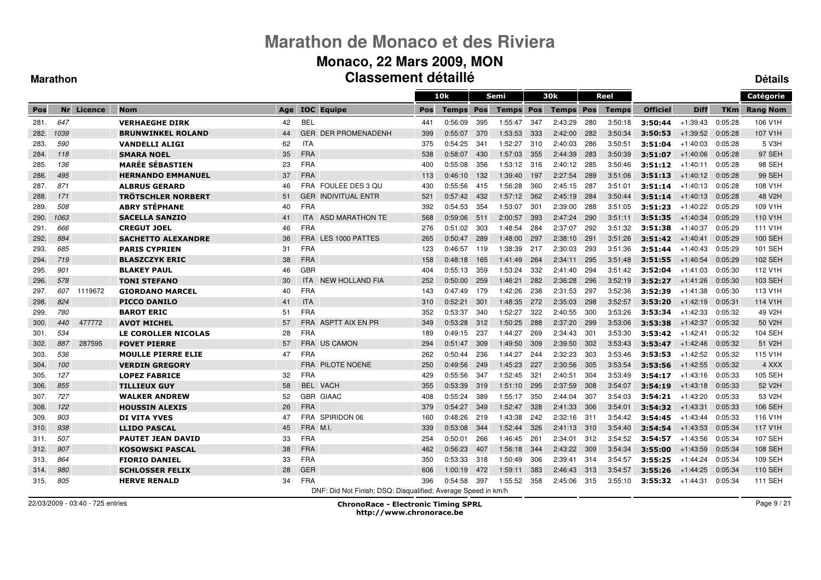### **Monaco, 22 Mars 2009, MON Classement détaillé**

#### **Marathon**

**Détails**

|      |      |            |                            |     |            |                                                               |     | 10k          |      | <b>Semi</b>      |     | 30k              |     | Reel         |                 |             |            | Catégorie       |
|------|------|------------|----------------------------|-----|------------|---------------------------------------------------------------|-----|--------------|------|------------------|-----|------------------|-----|--------------|-----------------|-------------|------------|-----------------|
| Pos  |      | Nr Licence | <b>Nom</b>                 | Age |            | <b>IOC</b> Equipe                                             | Pos | <b>Temps</b> | Pos  | <b>Temps Pos</b> |     | <b>Temps Pos</b> |     | <b>Temps</b> | <b>Officiel</b> | <b>Diff</b> | <b>TKm</b> | <b>Rang Nom</b> |
| 281. | 647  |            | <b>VERHAEGHE DIRK</b>      | 42  | <b>BEL</b> |                                                               | 441 | 0:56:09      | 395  | 1:55:47          | 347 | 2:43:29          | 280 | 3:50:18      | 3:50:44         | $+1:39:43$  | 0:05:28    | 106 V1H         |
| 282. | 1039 |            | <b>BRUNWINKEL ROLAND</b>   | 44  | <b>GER</b> | <b>DER PROMENADENH</b>                                        | 399 | 0:55:07      | 370  | 1:53:53          | 333 | 2:42:00          | 282 | 3:50:34      | 3:50:53         | $+1:39:52$  | 0:05:28    | 107 V1H         |
| 283. | 590  |            | <b>VANDELLI ALIGI</b>      | 62  | <b>ITA</b> |                                                               | 375 | 0:54:25      | 341  | 1:52:27          | 310 | 2:40:03          | 286 | 3:50:51      | 3:51:04         | $+1:40:03$  | 0:05:28    | 5 V3H           |
| 284. | 118  |            | <b>SMARA NOEL</b>          | 35  | <b>FRA</b> |                                                               | 538 | 0:58:07      | 430  | 1.57.03          | 355 | 2:44:39          | 283 | 3:50:39      | 3:51:07         | $+1:40:06$  | 0:05:28    | <b>97 SEH</b>   |
| 285. | 136  |            | <b>MARÉE SÉBASTIEN</b>     | 23  | <b>FRA</b> |                                                               | 400 | 0:55:08      | 356  | 1:53:12          | 316 | 2:40:12          | 285 | 3:50:46      | 3:51:12         | +1:40:11    | 0:05:28    | 98 SEH          |
| 286. | 495  |            | <b>HERNANDO EMMANUEL</b>   | 37  | <b>FRA</b> |                                                               | 113 | 0:46:10      | 132  | 1:39:40          | 197 | 2:27:54          | 289 | 3:51:06      | 3:51:13         | $+1:40:12$  | 0:05:28    | <b>99 SEH</b>   |
| 287. | 871  |            | <b>ALBRUS GERARD</b>       | 46  |            | FRA FOULEE DES 3 QU                                           | 430 | 0:55:56      | 415  | 1:56:28          | 360 | 2:45:15          | 287 | 3:51:01      | 3:51:14         | +1:40:13    | 0:05:28    | 108 V1H         |
| 288. | 171  |            | <b>TRÖTSCHLER NORBERT</b>  | 51  |            | <b>GER INDIVITUAL ENTR</b>                                    | 521 | 0:57:42      | 432  | 1 57:12          | 362 | 2:45:19          | 284 | 3:50:44      | 3:51:14         | $+1:40:13$  | 0:05:28    | 48 V2H          |
| 289. | 508  |            | <b>ABRY STÉPHANE</b>       | 40  | <b>FRA</b> |                                                               | 392 | 0:54:53      | 354  | 1:53:07          | 301 | 2:39:00          | 288 | 3:51:05      | 3:51:23         | $+1:40:22$  | 0:05:29    | 109 V1H         |
| 290. | 1063 |            | <b>SACELLA SANZIO</b>      | 41  | <b>ITA</b> | ASD MARATHON TE                                               | 568 | 0:59:06      | 511  | 2:00:57          | 393 | 2:47:24          | 290 | 3:51:11      | 3:51:35         | $+1.40.34$  | 0:05:29    | 110 V1H         |
| 291. | 666  |            | <b>CREGUT JOEL</b>         | 46  | <b>FRA</b> |                                                               | 276 | 0:51:02      | 303  | 1:48:54          | 284 | 2:37:07          | 292 | 3:51:32      | 3:51:38         | $+1:40:37$  | 0:05:29    | 111 V1H         |
| 292. | 884  |            | <b>SACHETTO ALEXANDRE</b>  | 36  |            | FRA LES 1000 PATTES                                           | 265 | 0:50:47      | 289  | 1:48:00          | 297 | 2:38:10          | 291 | 3:51:26      | 3:51:42         | $+1:40:41$  | 0:05:29    | 100 SEH         |
| 293. | 685  |            | <b>PARIS CYPRIEN</b>       | 31  | <b>FRA</b> |                                                               | 123 | 0:46:57      | -119 | 1:38:39          | 217 | 2:30:03          | 293 | 3:51:36      | 3:51:44         | +1:40:43    | 0:05:29    | 101 SEH         |
| 294. | 719  |            | <b>BLASZCZYK ERIC</b>      | 38  | <b>FRA</b> |                                                               | 158 | 0:48:18      | 165  | 1.41.49          | 264 | 2:34:11          | 295 | 3:51:48      | 3:51:55         | $+1:40:54$  | 0:05:29    | 102 SEH         |
| 295. | 901  |            | <b>BLAKEY PAUL</b>         | 46  | <b>GBR</b> |                                                               | 404 | 0:55:13      | 359  | 1:53:24          | 332 | 2:41:40          | 294 | 3:51:42      | 3:52:04         | $+1.41:03$  | 0:05:30    | 112 V1H         |
| 296. | 578  |            | <b>TONI STEFANO</b>        | 30  | <b>ITA</b> | NEW HOLLAND FIA                                               | 252 | 0:50:00      | 259  | 1:46:21          | 282 | 2:36:28          | 296 | 3:52:19      | 3:52:27         | $+1.41.26$  | 0:05:30    | 103 SEH         |
| 297. | 607  | 1119672    | <b>GIORDANO MARCEL</b>     | 40  | <b>FRA</b> |                                                               | 143 | 0:47:49      | 179  | 1:42:26          | 238 | 2:31:53          | 297 | 3:52:36      | 3:52:39         | $+1:41:38$  | 0:05:30    | 113 V1H         |
| 298. | 824  |            | <b>PICCO DANILO</b>        | 41  | <b>ITA</b> |                                                               | 310 | 0:52:21      | 301  | 1:48:35          | 272 | 2:35:03          | 298 | 3:52:57      | 3:53:20         | $+1:42:19$  | 0:05:31    | 114 V1H         |
| 299. | 780  |            | <b>BAROT ERIC</b>          | 51  | <b>FRA</b> |                                                               | 352 | 0:53:37      | 340  | 1:52:27          | 322 | 2:40:55          | 300 | 3:53:26      | 3:53:34         | $+1:42:33$  | 0:05:32    | 49 V2H          |
| 300. | 440  | 477772     | <b>AVOT MICHEL</b>         | 57  | <b>FRA</b> | ASPTT AIX EN PR                                               | 349 | 0:53:28      | 312  | 1:50:25          | 288 | 2:37:20          | 299 | 3:53:06      | 3:53:38         | $+1.42:37$  | 0:05:32    | 50 V2H          |
| 301. | 534  |            | <b>LE COROLLER NICOLAS</b> | 28  | <b>FRA</b> |                                                               | 189 | 0:49:15      | 237  | 1:44:27          | 269 | 2:34:43          | 301 | 3:53:30      | 3:53:42         | $+1:42:41$  | 0:05:32    | <b>104 SEH</b>  |
| 302. | 887  | 287595     | <b>FOVET PIERRE</b>        | 57  |            | <b>FRA US CAMON</b>                                           | 294 | 0:51:47      | 309  | 1:49:50          | 309 | 2:39:50          | 302 | 3.53.43      | 3:53:47         | $+1:42:46$  | 0:05:32    | 51 V2H          |
| 303. | 536  |            | <b>MOULLE PIERRE ELIE</b>  | 47  | <b>FRA</b> |                                                               | 262 | 0:50:44      | 236  | 1:44:27          | 244 | 2:32:23          | 303 | 3:53:46      | 3:53:53         | $+1:42:52$  | 0:05:32    | 115 V1H         |
| 304. | 100  |            | <b>VERDIN GREGORY</b>      |     |            | FRA PILOTE NOENE                                              | 250 | 0:49:56      | 249  | 1:45:23          | 227 | 2:30:56          | 305 | 3:53:54      | 3:53:56         | $+1.42:55$  | 0:05:32    | 4 XXX           |
| 305. | 127  |            | <b>LOPEZ FABRICE</b>       | 32  | <b>FRA</b> |                                                               | 429 | 0:55:56      | 347  | 1:52:45          | 321 | 2:40:51          | 304 | 3:53:49      | 3:54:17         | $+1:43:16$  | 0:05:33    | 105 SEH         |
| 306. | 855  |            | <b>TILLIEUX GUY</b>        | 58  |            | BEL VACH                                                      | 355 | 0:53:39      | 319  | 1:51:10          | 295 | 2:37:59          | 308 | 3:54:07      | 3:54:19         | $+1:43:18$  | 0:05:33    | 52 V2H          |
| 307. | 727  |            | <b>WALKER ANDREW</b>       | 52  |            | <b>GBR GIAAC</b>                                              | 408 | 0:55:24      | 389  | 1:55:17          | 350 | 2:44:04          | 307 | 3:54:03      | 3:54:21         | $+1:43:20$  | 0:05:33    | 53 V2H          |
| 308. | 122  |            | <b>HOUSSIN ALEXIS</b>      | 26  | <b>FRA</b> |                                                               | 379 | 0:54:27      | 349  | 1:52:47          | 328 | 2:41:33          | 306 | 3:54:01      | 3:54:32         | $+1:43:31$  | 0:05:33    | 106 SEH         |
| 309. | 903  |            | <b>DI VITA YVES</b>        | 47  | <b>FRA</b> | SPIRIDON 06                                                   | 160 | 0:48:26      | 219  | 1:43:38          | 242 | 2:32:16          | 311 | 3:54:42      | 3:54:45         | $+1.43.44$  | 0:05:33    | 116 V1H         |
| 310. | 938  |            | <b>LLIDO PASCAL</b>        | 45  | FRA M.I.   |                                                               | 339 | 0:53:08      | 344  | 1:52:44          | 326 | 2:41:13          | 310 | 3:54:40      | 3:54:54         | $+1.43.53$  | 0:05:34    | 117 V1H         |
| 311. | 507  |            | <b>PAUTET JEAN DAVID</b>   | 33  | <b>FRA</b> |                                                               | 254 | 0:50:01      | 266  | 1:46:45          | 261 | 2:34:01          | 312 | 3:54:52      | 3:54:57         | $+1:43:56$  | 0:05:34    | 107 SEH         |
| 312. | 907  |            | <b>KOSOWSKI PASCAL</b>     | 38  | <b>FRA</b> |                                                               | 462 | 0:56:23      | 407  | 1:56:18          | 344 | 2:43:22          | 309 | 3:54:34      | 3:55:00         | $+1:43:59$  | 0:05:34    | 108 SEH         |
| 313. | 864  |            | <b>FIORIO DANIEL</b>       | 33  | <b>FRA</b> |                                                               | 350 | 0:53:33      | 318  | 1:50:49          | 306 | 2:39:41          | 314 | 3:54:57      | 3:55:25         | $+1.44.24$  | 0:05:34    | 109 SEH         |
| 314. | 980  |            | <b>SCHLOSSER FELIX</b>     | 28  | <b>GER</b> |                                                               | 606 | 1:00:19      | 472  | 1:59:11          | 383 | 2:46:43          | 313 | 3:54:57      | 3:55:26         | $+1.44.25$  | 0:05:34    | 110 SEH         |
| 315. | 805  |            | <b>HERVE RENALD</b>        | 34  | FRA        |                                                               | 396 | 0:54:58      | 397  | 1:55:52          | 358 | 2:45:06          | 315 | 3:55:10      | 3:55:32         | $+1:44:31$  | 0:05:34    | 111 SEH         |
|      |      |            |                            |     |            | DNF: Did Not Finish; DSQ: Disqualified; Average Speed in km/h |     |              |      |                  |     |                  |     |              |                 |             |            |                 |

22/03/2009 - 03:40 - 725 entries

ChronoRace - Electronic Timing SPRL

http://www.chronorace.be

Page 9 / 21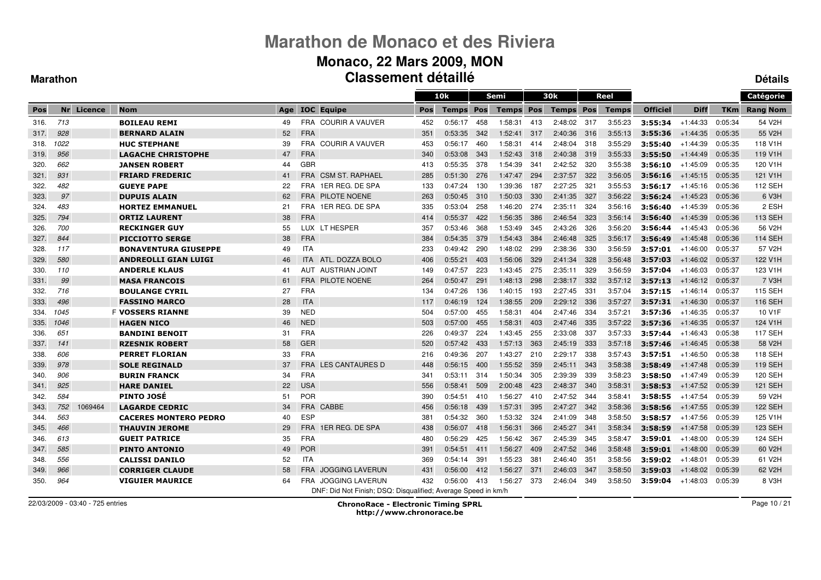#### **Monaco, 22 Mars 2009, MON Classement détaillé**

 $\equiv$ 

#### **Marathon**

**Détails**

|      |      |            |                              |     |            |                                                               |     | 10k          |            | Semi         |     | 30 <sub>k</sub>  |     | Reel         |                 |             |            | Catégorie           |
|------|------|------------|------------------------------|-----|------------|---------------------------------------------------------------|-----|--------------|------------|--------------|-----|------------------|-----|--------------|-----------------|-------------|------------|---------------------|
| Pos  |      | Nr Licence | <b>Nom</b>                   | Age |            | <b>IOC</b> Equipe                                             | Pos | <b>Temps</b> | <b>Pos</b> | <b>Temps</b> | Pos | <b>Temps Pos</b> |     | <b>Temps</b> | <b>Officiel</b> | <b>Diff</b> | <b>TKm</b> | <b>Rang Nom</b>     |
| 316. | 713  |            | <b>BOILEAU REMI</b>          | 49  |            | FRA COURIR A VAUVER                                           | 452 | 0:56:17      | 458        | 1:58:31      | 413 | 2:48:02          | 317 | 3:55:23      | 3:55:34         | $+1:44:33$  | 0:05:34    | 54 V2H              |
| 317. | 928  |            | <b>BERNARD ALAIN</b>         | 52  | <b>FRA</b> |                                                               | 351 | 0:53:35      | 342        | 1:52:41      | 317 | 2:40:36          | 316 | 3:55:13      | 3:55:36         | $+1:44:35$  | 0:05:35    | 55 V2H              |
| 318. | 1022 |            | <b>HUC STEPHANE</b>          | 39  |            | FRA COURIR A VAUVER                                           | 453 | 0:56:17      | 460        | 1:58:31      | 414 | 2:48:04          | 318 | 3:55:29      | 3:55:40         | $+1:44:39$  | 0:05:35    | 118 V1H             |
| 319. | 956  |            | <b>LAGACHE CHRISTOPHE</b>    | 47  | <b>FRA</b> |                                                               | 340 | 0:53:08      | 343        | 1:52:43      | 318 | 2:40:38          | 319 | 3:55:33      | 3:55:50         | $+1.44.49$  | 0:05:35    | 119 V1H             |
| 320. | 662  |            | <b>JANSEN ROBERT</b>         | 44  | <b>GBR</b> |                                                               | 413 | 0:55:35      | 378        | 1:54:39      | 341 | 2:42:52          | 320 | 3:55:38      | 3:56:10         | $+1:45:09$  | 0:05:35    | 120 V1H             |
| 321. | 931  |            | <b>FRIARD FREDERIC</b>       | 41  | <b>FRA</b> | <b>CSM ST. RAPHAEL</b>                                        | 285 | 0:51:30      | 276        | 1:47:47      | 294 | 2:37:57          | 322 | 3:56:05      | 3:56:16         | $+1.45.15$  | 0:05:35    | 121 V1H             |
| 322. | 482  |            | <b>GUEYE PAPE</b>            | 22  | <b>FRA</b> | 1ER REG. DE SPA                                               | 133 | 0:47:24      | 130        | 1:39:36      | 187 | 2:27:25          | 321 | 3:55:53      | 3:56:17         | $+1:45:16$  | 0:05:36    | 112 SEH             |
| 323. | 97   |            | <b>DUPUIS ALAIN</b>          | 62  | <b>FRA</b> | <b>PILOTE NOENE</b>                                           | 263 | 0:50:45      | 310        | 1:50:03      | 330 | 2:41:35          | 327 | 3:56:22      | 3:56:24         | $+1.45.23$  | 0:05:36    | 6 V3H               |
| 324. | 483  |            | <b>HORTEZ EMMANUEL</b>       | 21  |            | FRA 1ER REG. DE SPA                                           | 335 | 0:53:04      | 258        | 1:46:20      | 274 | 2:35:11          | 324 | 3:56:16      | 3:56:40         | $+1.45.39$  | 0:05:36    | 2 ESH               |
| 325. | 794  |            | <b>ORTIZ LAURENT</b>         | 38  | <b>FRA</b> |                                                               | 414 | 0:55:37      | 422        | 1:56:35      | 386 | 2:46:54          | 323 | 3:56:14      | 3:56:40         | $+1.45.39$  | 0:05:36    | 113 SEH             |
| 326. | 700  |            | <b>RECKINGER GUY</b>         | 55  |            | LUX LT HESPER                                                 | 357 | 0:53:46      | 368        | 1:53:49      | 345 | 2:43:26          | 326 | 3:56:20      | 3:56:44         | $+1:45:43$  | 0:05:36    | 56 V2H              |
| 327. | 844  |            | <b>PICCIOTTO SERGE</b>       | 38  | <b>FRA</b> |                                                               | 384 | 0:54:35      | 379        | 1:54:43      | 384 | 2:46:48          | 325 | 3:56:17      | 3:56:49         | $+1:45:48$  | 0:05:36    | <b>114 SEH</b>      |
| 328. | 117  |            | <b>BONAVENTURA GIUSEPPE</b>  | 49  | <b>ITA</b> |                                                               | 233 | 0:49:42      | 290        | 1:48:02      | 299 | 2:38:36          | 330 | 3:56:59      | 3:57:01         | $+1:46:00$  | 0:05:37    | 57 V2H              |
| 329. | 580  |            | <b>ANDREOLLI GIAN LUIGI</b>  | 46  | <b>ITA</b> | ATL. DOZZA BOLO                                               | 406 | 0:55:21      | 403        | 1:56:06      | 329 | 2:41:34          | 328 | 3:56:48      | 3:57:03         | $+1:46:02$  | 0:05:37    | 122 V1H             |
| 330. | 110  |            | <b>ANDERLE KLAUS</b>         | 41  | AUT        | <b>AUSTRIAN JOINT</b>                                         | 149 | 0:47:57      | 223        | 1:43:45      | 275 | 2:35:11          | 329 | 3:56:59      | 3:57:04         | +1:46:03    | 0:05:37    | 123 V1H             |
| 331. | 99   |            | <b>MASA FRANCOIS</b>         | 61  | <b>FRA</b> | PILOTE NOENE                                                  | 264 | 0:50:47      | 291        | 1.48.13      | 298 | 2:38:17          | 332 | 3:57:12      | 3:57:13         | $+1:46:12$  | 0:05:37    | 7 V3H               |
| 332. | 716  |            | <b>BOULANGE CYRIL</b>        | 27  | <b>FRA</b> |                                                               | 134 | 0:47:26      | 136        | 1:40:15      | 193 | 2:27:45          | 331 | 3:57:04      | 3:57:15         | +1:46:14    | 0:05:37    | 115 SEH             |
| 333. | 496  |            | <b>FASSINO MARCO</b>         | 28  | <b>ITA</b> |                                                               | 117 | 0.46.19      | 124        | 1:38:55      | 209 | 2:29:12          | 336 | 3:57:27      | 3:57:31         | $+1.46.30$  | 0:05:37    | 116 SEH             |
| 334. | 1045 |            | <b>F VOSSERS RIANNE</b>      | 39  | <b>NED</b> |                                                               | 504 | 0:57:00      | 455        | 1:58:31      | 404 | 2:47:46          | 334 | 3:57:21      | 3:57:36         | $+1:46:35$  | 0:05:37    | 10 V1F              |
| 335. | 1046 |            | <b>HAGEN NICO</b>            | 46  | <b>NED</b> |                                                               | 503 | 0:57:00      | 455        | 1:58:31      | 403 | 2:47:46          | 335 | 3:57:22      | 3:57:36         | $+1.46.35$  | 0:05:37    | 124 V1H             |
| 336. | 651  |            | <b>BANDINI BENOIT</b>        | 31  | <b>FRA</b> |                                                               | 226 | 0:49:37      | 224        | 1:43:45      | 255 | 2:33:08          | 337 | 3:57:33      | 3:57:44         | $+1.46.43$  | 0:05:38    | <b>117 SEH</b>      |
| 337. | 141  |            | <b>RZESNIK ROBERT</b>        | 58  | GER        |                                                               | 520 | 0:57:42      | 433        | 1:57:13      | 363 | 2:45:19          | 333 | 3:57:18      | 3:57:46         | $+1.46.45$  | 0:05:38    | 58 V2H              |
| 338. | 606  |            | <b>PERRET FLORIAN</b>        | 33  | <b>FRA</b> |                                                               | 216 | 0:49:36      | 207        | 1:43:27      | 210 | 2:29:17          | 338 | 3:57:43      | 3:57:51         | $+1:46:50$  | 0:05:38    | 118 SEH             |
| 339. | 978  |            | <b>SOLE REGINALD</b>         | 37  | <b>FRA</b> | LES CANTAURES D                                               | 448 | 0:56:15      | 400        | 1:55:52      | 359 | 2:45:11          | 343 | 3:58:38      | 3:58:49         | $+1.47.48$  | 0:05:39    | <b>119 SEH</b>      |
| 340. | 906  |            | <b>BURIN FRANCK</b>          | 34  | <b>FRA</b> |                                                               | 341 | 0:53:11      | 314        | 1:50:34      | 305 | 2:39:39          | 339 | 3:58:23      | 3:58:50         | $+1.47.49$  | 0:05:39    | 120 SEH             |
| 341. | 925  |            | <b>HARE DANIEL</b>           | 22  | <b>USA</b> |                                                               | 556 | 0:58:41      | 509        | 2:00:48      | 423 | 2:48:37          | 340 | 3:58:31      | 3:58:53         | $+1.47.52$  | 0:05:39    | 121 SEH             |
| 342. | 584  |            | <b>PINTO JOSÉ</b>            | 51  | <b>POR</b> |                                                               | 390 | 0:54:51      | 410        | 1:56:27      | 410 | 2:47:52          | 344 | 3:58:41      | 3:58:55         | +1:47:54    | 0:05:39    | 59 V <sub>2</sub> H |
| 343. | 752  | 1069464    | <b>LAGARDE CEDRIC</b>        | 34  | <b>FRA</b> | CABBE                                                         | 456 | 0:56:18      | 439        | 1:57:31      | 395 | 2:47:27          | 342 | 3:58:36      | 3:58:56         | $+1.47.55$  | 0:05:39    | <b>122 SEH</b>      |
| 344. | 563  |            | <b>CACERES MONTERO PEDRO</b> | 40  | <b>ESP</b> |                                                               | 381 | 0:54:32      | 360        | 1:53:32      | 324 | 2:41:09          | 348 | 3:58:50      | 3:58:57         | $+1.47.56$  | 0:05:39    | 125 V1H             |
| 345. | 466  |            | <b>THAUVIN JEROME</b>        | 29  | <b>FRA</b> | 1ER REG. DE SPA                                               | 438 | 0:56:07      | 418        | 1:56:31      | 366 | 2:45:27          | 341 | 3:58:34      | 3:58:59         | $+1.47.58$  | 0:05:39    | 123 SEH             |
| 346. | 613  |            | <b>GUEIT PATRICE</b>         | 35  | <b>FRA</b> |                                                               | 480 | 0:56:29      | 425        | 1:56:42      | 367 | 2:45:39          | 345 | 3:58:47      | 3:59:01         | $+1:48:00$  | 0:05:39    | 124 SEH             |
| 347. | 585  |            | <b>PINTO ANTONIO</b>         | 49  | <b>POR</b> |                                                               | 391 | 0:54:51      | 411        | 1:56:27      | 409 | 2:47:52          | 346 | 3:58:48      | 3:59:01         | $+1:48:00$  | 0:05:39    | 60 V2H              |
| 348. | 556  |            | <b>CALISSI DANILO</b>        | 52  | <b>ITA</b> |                                                               | 369 | 0:54:14      | 391        | 1:55:23      | 381 | 2:46:40          | 351 | 3:58:56      | 3:59:02         | $+1.48.01$  | 0:05:39    | 61 V2H              |
| 349. | 966  |            | <b>CORRIGER CLAUDE</b>       | 58  | <b>FRA</b> | <b>JOGGING LAVERUN</b>                                        | 431 | 0:56:00      | 412        | 1:56:27      | 371 | 2:46:03          | 347 | 3:58:50      | 3:59:03         | $+1:48:02$  | 0:05:39    | 62 V2H              |
| 350. | 964  |            | <b>VIGUIER MAURICE</b>       | 64  | <b>FRA</b> | <b>JOGGING LAVERUN</b>                                        | 432 | 0:56:00      | 413        | 1:56:27      | 373 | 2:46:04          | 349 | 3:58:50      | 3:59:04         | $+1.48.03$  | 0:05:39    | 8 V3H               |
|      |      |            |                              |     |            | DNF: Did Not Finish; DSQ: Disqualified; Average Speed in km/h |     |              |            |              |     |                  |     |              |                 |             |            |                     |

22/03/2009 - 03:40 - 725 entries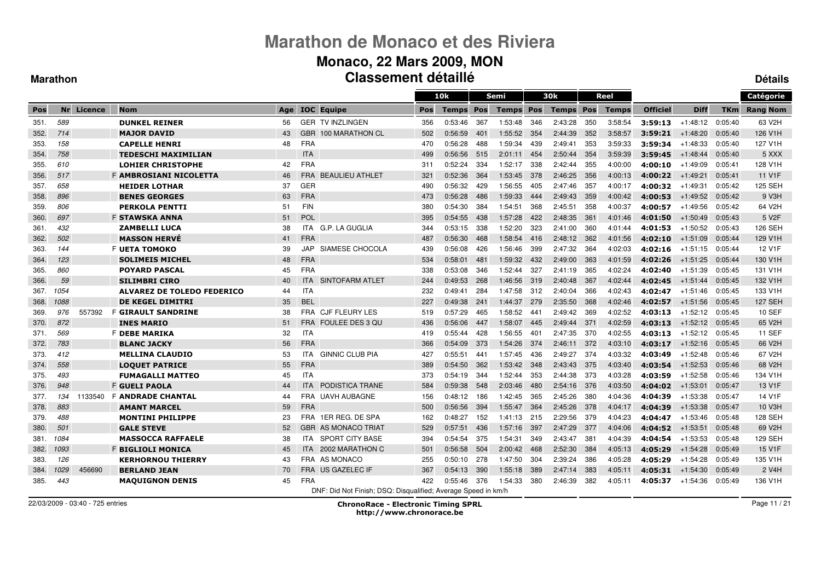### **Monaco, 22 Mars 2009, MON Classement détaillé**

#### **Marathon**

**Détails**

|      |      |            |                                   |     |            |                                                               |            | 10k          |     | Semi         |      | 30 <sub>k</sub>  |       | Reel         |                 |             |            | Catégorie           |
|------|------|------------|-----------------------------------|-----|------------|---------------------------------------------------------------|------------|--------------|-----|--------------|------|------------------|-------|--------------|-----------------|-------------|------------|---------------------|
| Pos  |      | Nr Licence | <b>Nom</b>                        | Age |            | <b>IOC</b> Equipe                                             | <b>Pos</b> | <b>Temps</b> | Pos | <b>Temps</b> | Pos  | <b>Temps Pos</b> |       | <b>Temps</b> | <b>Officiel</b> | <b>Diff</b> | <b>TKm</b> | <b>Rang Nom</b>     |
| 351. | 589  |            | <b>DUNKEL REINER</b>              | 56  |            | <b>GER TV INZLINGEN</b>                                       | 356        | 0:53:46      | 367 | 1:53:48      | 346  | 2:43:28          | 350   | 3:58:54      | 3:59:13         | $+1:48:12$  | 0:05:40    | 63 V2H              |
| 352. | 714  |            | <b>MAJOR DAVID</b>                | 43  | <b>GBR</b> | 100 MARATHON CL                                               | 502        | 0:56:59      | 401 | 1:55:52      | 354  | 2:44:39          | 352   | 3:58:57      | 3:59:21         | $+1:48:20$  | 0:05:40    | 126 V1H             |
| 353. | 158  |            | <b>CAPELLE HENRI</b>              | 48  | <b>FRA</b> |                                                               | 470        | 0:56:28      | 488 | 1:59:34      | 439  | 2:49:41          | 353   | 3:59:33      | 3:59:34         | $+1.48.33$  | 0:05:40    | 127 V1H             |
| 354. | 758  |            | <b>TEDESCHI MAXIMILIAN</b>        |     | <b>ITA</b> |                                                               | 499        | 0:56:56      | 515 | 2:01:11      | 454  | 2:50:44          | 354   | 3:59:39      | 3:59:45         | $+1:48:44$  | 0:05:40    | 5 XXX               |
| 355. | 610  |            | <b>LOHIER CHRISTOPHE</b>          | 42  | <b>FRA</b> |                                                               | 311        | 0:52:24      | 334 | 1:52:17      | 338  | 2:42:44          | 355   | 4:00:00      | 4:00:10         | +1:49:09    | 0:05:41    | 128 V1H             |
| 356. | 517  |            | F AMBROSIANI NICOLETTA            | 46  | <b>FRA</b> | <b>BEAULIEU ATHLET</b>                                        | 321        | 0:52:36      | 364 | 1:53:45      | 378  | 2:46:25          | 356   | 4:00:13      | 4:00:22         | $+1.49.21$  | 0:05:41    | 11 V1F              |
| 357. | 658  |            | <b>HEIDER LOTHAR</b>              | 37  | <b>GER</b> |                                                               | 490        | 0:56:32      | 429 | 1:56:55      | 405  | 2:47:46          | 357   | 4:00:17      | 4:00:32         | $+1:49:31$  | 0:05:42    | 125 SEH             |
| 358. | 896  |            | <b>BENES GEORGES</b>              | 63  | <b>FRA</b> |                                                               | 473        | 0:56:28      | 486 | 1:59:33      | 444  | 2:49:43          | 359   | 4:00:42      | 4:00:53         | $+1:49:52$  | 0:05:42    | 9 V3H               |
| 359. | 806  |            | <b>PERKOLA PENTTI</b>             | 51  | <b>FIN</b> |                                                               | 380        | 0:54:30      | 384 | 1:54:51      | 368  | 2:45:51          | 358   | 4:00:37      | 4:00:57         | +1:49:56    | 0:05:42    | 64 V2H              |
| 360. | 697  |            | <b>F STAWSKA ANNA</b>             | 51  | <b>POL</b> |                                                               | 395        | 0:54:55      | 438 | 1:57:28      | 422  | 2:48:35          | 361   | 4:01:46      | 4:01:50         | $+1:50:49$  | 0.05.43    | 5 V <sub>2</sub> F  |
| 361. | 432  |            | <b>ZAMBELLI LUCA</b>              | 38  | ITA.       | G.P. LA GUGLIA                                                | 344        | 0:53:15      | 338 | 1:52:20      | 323  | 2:41:00          | 360   | 4:01:44      | 4:01:53         | $+1:50:52$  | 0:05:43    | 126 SEH             |
| 362. | 502  |            | <b>MASSON HERVÉ</b>               | 41  | <b>FRA</b> |                                                               | 487        | 0:56:30      | 468 | 1:58:54      | 416  | 2:48:12          | - 362 | 4:01:56      | 4:02:10         | $+1:51:09$  | 0.05:44    | 129 V1H             |
| 363. | 144  |            | F UETA TOMOKO                     | 39  | JAP        | SIAMESE CHOCOLA                                               | 439        | 0:56:08      | 426 | 1:56:46      | 399  | 2:47:32          | 364   | 4:02:03      | 4:02:16         | $+1:51:15$  | 0:05:44    | 12 V1F              |
| 364. | 123  |            | <b>SOLIMEIS MICHEL</b>            | 48  | <b>FRA</b> |                                                               | 534        | 0:58:01      | 481 | 1:59:32      | 432  | 2:49:00          | 363   | 4:01:59      | 4:02:26         | $+1.51.25$  | 0:05:44    | 130 V1H             |
| 365. | 860  |            | <b>POYARD PASCAL</b>              | 45  | <b>FRA</b> |                                                               | 338        | 0:53:08      | 346 | 1:52:44      | 327  | 2:41:19          | 365   | 4:02:24      | 4:02:40         | $+1:51:39$  | 0:05:45    | 131 V1H             |
| 366. | 59   |            | <b>SILIMBRI CIRO</b>              | 40  | <b>ITA</b> | SINTOFARM ATLET                                               | 244        | 0:49:53      | 268 | 1:46:56      | 319  | 2:40:48          | 367   | 4:02:44      | 4:02:45         | $+1:51:44$  | 0:05:45    | 132 V1H             |
| 367. | 1054 |            | <b>ALVAREZ DE TOLEDO FEDERICO</b> | 44  | <b>ITA</b> |                                                               | 232        | 0:49:41      | 284 | 1:47:58      | 312  | 2:40:04          | 366   | 4:02:43      | 4:02:47         | $+1:51:46$  | 0:05:45    | 133 V1H             |
| 368. | 1088 |            | <b>DE KEGEL DIMITRI</b>           | 35  | <b>BEL</b> |                                                               | 227        | 0:49:38      | 241 | 1:44:37      | 279  | 2:35:50          | 368   | 4:02:46      | 4:02:57         | $+1:51:56$  | 0:05:45    | <b>127 SEH</b>      |
| 369. | 976  | 557392     | <b>F GIRAULT SANDRINE</b>         | 38  | <b>FRA</b> | <b>CJF FLEURY LES</b>                                         | 519        | 0:57:29      | 465 | 1:58:52      | 441  | 2:49:42          | 369   | 4:02:52      | 4:03:13         | $+1:52:12$  | 0:05:45    | <b>10 SEF</b>       |
| 370. | 872  |            | <b>INES MARIO</b>                 | 51  | <b>FRA</b> | <b>FOULEE DES 3 QU</b>                                        | 436        | 0:56:06      | 447 | 1:58:07      | 445  | 2:49:44          | 371   | 4:02:59      | 4:03:13         | $+1.52:12$  | 0:05:45    | 65 V2H              |
| 371. | 569  |            | <b>F DEBE MARIKA</b>              | 32  | <b>ITA</b> |                                                               | 419        | 0:55:44      | 428 | 1:56:55      | 401  | 2:47:35          | 370   | 4:02:55      | 4:03:13         | $+1:52:12$  | 0:05:45    | <b>11 SEF</b>       |
| 372. | 783  |            | <b>BLANC JACKY</b>                | 56  | <b>FRA</b> |                                                               | 366        | 0:54:09      | 373 | 1:54:26      | -374 | 2:46:11          | 372   | 4:03:10      | 4:03:17         | $+1:52:16$  | 0:05:45    | 66 V2H              |
| 373. | 412  |            | <b>MELLINA CLAUDIO</b>            | 53  | <b>ITA</b> | <b>GINNIC CLUB PIA</b>                                        | 427        | 0:55:51      | 441 | 1:57:45      | 436  | 2:49:27          | 374   | 4:03:32      | 4:03:49         | $+1:52:48$  | 0:05:46    | 67 V2H              |
| 374. | 558  |            | <b>LOOUET PATRICE</b>             | 55  | <b>FRA</b> |                                                               | 389        | 0:54:50      | 362 | 1:53:42      | 348  | 2:43:43          | 375   | 4:03:40      | 4:03:54         | $+1:52:53$  | 0:05:46    | 68 V2H              |
| 375. | 493  |            | <b>FUMAGALLI MATTEO</b>           | 45  | <b>ITA</b> |                                                               | 373        | 0:54:19      | 344 | 1:52:44      | 353  | 2:44:38          | 373   | 4:03:28      | 4:03:59         | $+1:52:58$  | 0:05:46    | 134 V1H             |
| 376. | 948  |            | <b>F GUELI PAOLA</b>              | 44  | <b>ITA</b> | PODISTICA TRANE                                               | 584        | 0:59:38      | 548 | 2:03:46      | 480  | 2:54:16          | 376   | 4:03:50      | 4:04:02         | $+1:53:01$  | 0:05:47    | 13 V <sub>1</sub> F |
| 377. | 134  | 1133540    | <b>F ANDRADE CHANTAL</b>          | 44  |            | FRA UAVH AUBAGNE                                              | 156        | 0:48:12      | 186 | 1:42:45      | 365  | 2:45:26          | 380   | 4:04:36      | 4:04:39         | $+1.53.38$  | 0:05:47    | 14 V1F              |
| 378. | 883  |            | <b>AMANT MARCEL</b>               | 59  | <b>FRA</b> |                                                               | 500        | 0:56:56      | 394 | 1:55:47      | 364  | 2:45:26          | 378   | 4:04:17      | 4:04:39         | $+1:53:38$  | 0:05:47    | 10 V3H              |
| 379. | 488  |            | <b>MONTINI PHILIPPE</b>           | 23  | <b>FRA</b> | 1ER REG. DE SPA                                               | 162        | 0:48:27      | 152 | 1:41:13      | 215  | 2:29:56          | 379   | 4:04:23      | 4:04:47         | $+1.53:46$  | 0:05:48    | 128 SEH             |
| 380. | 501  |            | <b>GALE STEVE</b>                 | 52  |            | <b>GBR AS MONACO TRIAT</b>                                    | 529        | 0.57.51      | 436 | 1:57:16      | 397  | 2:47:29          | 377   | 4:04:06      | 4:04:52         | $+1.53.51$  | 0:05:48    | 69 V <sub>2</sub> H |
| 381. | 1084 |            | <b>MASSOCCA RAFFAELE</b>          | 38  | ITA.       | <b>SPORT CITY BASE</b>                                        | 394        | 0:54:54      | 375 | 1:54:31      | 349  | 2:43:47          | 381   | 4:04:39      | 4:04:54         | $+1.53.53$  | 0:05:48    | 129 SEH             |
| 382. | 1093 |            | F BIGLIOLI MONICA                 | 45  | <b>ITA</b> | 2002 MARATHON C                                               | 501        | 0:56:58      | 504 | 2:00:42      | 468  | 2:52:30          | 384   | 4:05:13      | 4:05:29         | $+1:54:28$  | 0:05:49    | 15 V1F              |
| 383. | 126  |            | <b>KERHORNOU THIERRY</b>          | 43  |            | FRA AS MONACO                                                 | 255        | 0:50:10      | 278 | 1:47:50      | 304  | 2:39:24          | 386   | 4:05:28      | 4:05:29         | $+1:54:28$  | 0:05:49    | 135 V1H             |
| 384. | 1029 | 456690     | <b>BERLAND JEAN</b>               | 70  |            | FRA US GAZELEC IF                                             | 367        | 0:54:13      | 390 | 1:55:18      | 389  | 2:47:14          | 383   | 4:05:11      | 4:05:31         | $+1:54:30$  | 0:05:49    | 2 V <sub>4</sub> H  |
| 385. | 443  |            | <b>MAQUIGNON DENIS</b>            | 45  | <b>FRA</b> |                                                               | 422        | 0:55:46      | 376 | 1:54:33      | 380  | 2:46:39          | 382   | 4:05:11      | 4:05:37         | $+1:54:36$  | 0:05:49    | 136 V1H             |
|      |      |            |                                   |     |            | DNF: Did Not Finish; DSQ: Disqualified; Average Speed in km/h |            |              |     |              |      |                  |       |              |                 |             |            |                     |

22/03/2009 - 03:40 - 725 entries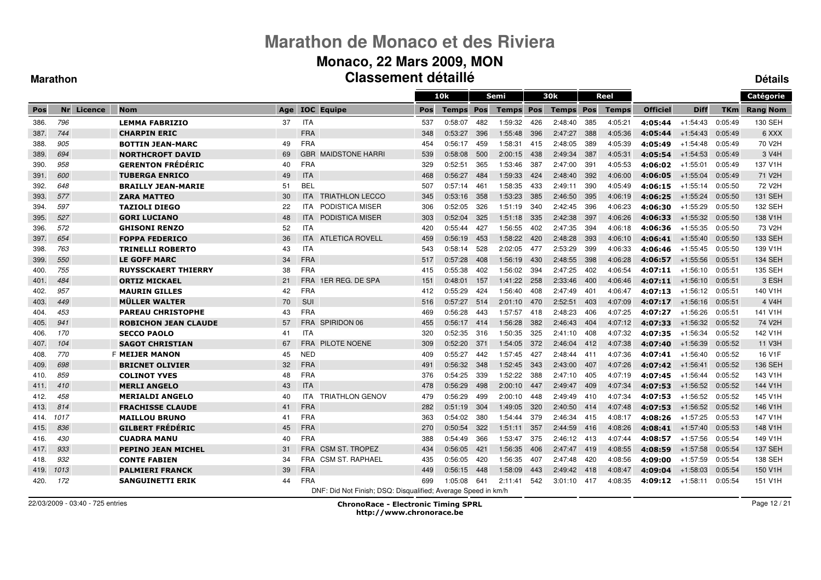#### **Monaco, 22 Mars 2009, MON Classement détailléDétails**

#### **Marathon**

|      |      |            |                             |     |            |                                                               |     | 10k          |      | <b>Semi</b>      |     | 30k              |      | Reel         |                 |             |            | Catégorie           |
|------|------|------------|-----------------------------|-----|------------|---------------------------------------------------------------|-----|--------------|------|------------------|-----|------------------|------|--------------|-----------------|-------------|------------|---------------------|
| Pos  |      | Nr Licence | <b>Nom</b>                  | Age |            | <b>IOC</b> Equipe                                             | Pos | <b>Temps</b> | Pos  | <b>Temps Pos</b> |     | <b>Temps Pos</b> |      | <b>Temps</b> | <b>Officiel</b> | <b>Diff</b> | <b>TKm</b> | <b>Rang Nom</b>     |
| 386. | 796  |            | <b>LEMMA FABRIZIO</b>       | 37  | <b>ITA</b> |                                                               | 537 | 0:58:07      | 482  | 1:59:32          | 426 | 2:48:40          | 385  | 4:05:21      | 4:05:44         | $+1:54:43$  | 0:05:49    | 130 SEH             |
| 387. | 744  |            | <b>CHARPIN ERIC</b>         |     | <b>FRA</b> |                                                               | 348 | 0:53:27      | 396  | 1:55:48          | 396 | 2:47:27          | 388  | 4:05:36      | 4:05:44         | $+1:54:43$  | 0:05:49    | 6 XXX               |
| 388. | 905  |            | <b>BOTTIN JEAN-MARC</b>     | 49  | <b>FRA</b> |                                                               | 454 | 0:56:17      | 459  | 1:58:31          | 415 | 2:48:05          | 389  | 4:05:39      | 4:05:49         | +1:54:48    | 0:05:49    | 70 V2H              |
| 389. | 694  |            | <b>NORTHCROFT DAVID</b>     | 69  |            | <b>GBR MAIDSTONE HARRI</b>                                    | 539 | 0:58:08      | 500  | 2:00:15          | 438 | 2:49:34          | 387  | 4:05:31      | 4:05:54         | $+1:54:53$  | 0:05:49    | 3 V <sub>4</sub> H  |
| 390  | 958  |            | <b>GERENTON FRÉDÉRIC</b>    | 40  | <b>FRA</b> |                                                               | 329 | 0:52:51      | 365  | 1:53:46          | 387 | 2:47:00          | 391  | 4:05:53      | 4:06:02         | $+1:55:01$  | 0:05:49    | 137 V1H             |
| 391. | 600  |            | <b>TUBERGA ENRICO</b>       | 49  | <b>ITA</b> |                                                               | 468 | 0:56:27      | 484  | 1:59:33          | 424 | 2:48:40          | 392  | 4:06:00      | 4:06:05         | $+1.55.04$  | 0:05:49    | 71 V2H              |
| 392. | 648  |            | <b>BRAILLY JEAN-MARIE</b>   | 51  | <b>BEL</b> |                                                               | 507 | 0:57:14      | 461  | 1:58:35          | 433 | 2:49:11          | 390  | 4:05:49      | 4:06:15         | $+1:55:14$  | 0:05:50    | 72 V2H              |
| 393. | 577  |            | <b>ZARA MATTEO</b>          | 30  | <b>ITA</b> | <b>TRIATHLON LECCO</b>                                        | 345 | 0:53:16      | 358  | 1:53:23          | 385 | 2:46:50          | 395  | 4:06:19      | 4:06:25         | $+1.55.24$  | 0:05:50    | 131 SEH             |
| 394. | 597  |            | <b>TAZIOLI DIEGO</b>        | 22  | <b>ITA</b> | PODISTICA MISER                                               | 306 | 0:52:05      | 326  | 1:51:19          | 340 | 2:42:45          | 396  | 4:06:23      | 4:06:30         | $+1:55:29$  | 0:05:50    | 132 SEH             |
| 395. | 527  |            | <b>GORI LUCIANO</b>         | 48  | <b>ITA</b> | <b>PODISTICA MISER</b>                                        | 303 | 0:52:04      | 325  | 1:51:18          | 335 | 2:42:38          | 397  | 4:06:26      | 4:06:33         | $+1.55.32$  | 0:05:50    | 138 V1H             |
| 396. | 572  |            | <b>GHISONI RENZO</b>        | 52  | <b>ITA</b> |                                                               | 420 | 0:55:44      | 427  | 1:56:55          | 402 | 2:47:35          | 394  | 4:06:18      | 4:06:36         | +1:55:35    | 0:05:50    | 73 V <sub>2</sub> H |
| 397. | 654  |            | <b>FOPPA FEDERICO</b>       | 36  | <b>ITA</b> | <b>ATLETICA ROVELL</b>                                        | 459 | 0:56:19      | 453  | 1:58:22          | 420 | 2:48:28          | 393  | 4:06:10      | 4:06:41         | $+1.55.40$  | 0:05:50    | 133 SEH             |
| 398. | 763  |            | <b>TRINELLI ROBERTO</b>     | 43  | <b>ITA</b> |                                                               | 543 | 0:58:14      | 528  | 2:02:05          | 477 | 2:53:29          | 399  | 4:06:33      | 4:06:46         | +1:55:45    | 0:05:50    | 139 V1H             |
| 399. | 550  |            | <b>LE GOFF MARC</b>         | 34  | <b>FRA</b> |                                                               | 517 | 0:57:28      | 408  | 1:56:19          | 430 | 2:48:55          | 398  | 4:06:28      | 4:06:57         | $+1:55:56$  | 0:05:51    | 134 SEH             |
| 400. | 755  |            | <b>RUYSSCKAERT THIERRY</b>  | 38  | <b>FRA</b> |                                                               | 415 | 0:55:38      | 402  | 1:56:02          | 394 | 2:47:25          | 402  | 4:06:54      | 4:07:11         | $+1:56:10$  | 0:05:51    | 135 SEH             |
| 401. | 484  |            | <b>ORTIZ MICKAEL</b>        | 21  | <b>FRA</b> | 1ER REG. DE SPA                                               | 151 | 0:48:01      | 157  | 1:41:22          | 258 | 2:33:46          | 400  | 4:06:46      | 4:07:11         | $+1:56:10$  | 0:05:51    | 3 ESH               |
| 402. | 957  |            | <b>MAURIN GILLES</b>        | 42  | <b>FRA</b> |                                                               | 412 | 0:55:29      | 424  | 1:56:40          | 408 | 2:47:49          | 401  | 4:06:47      | 4:07:13         | $+1:56:12$  | 0:05:51    | 140 V1H             |
| 403. | 449  |            | <b>MÜLLER WALTER</b>        | 70  | SUI        |                                                               | 516 | 0:57:27      | 514  | 2:01:10          | 470 | 2:52:51          | 403  | 4:07:09      | 4:07:17         | $+1.56.16$  | 0:05:51    | 4 V4H               |
| 404. | 453  |            | <b>PAREAU CHRISTOPHE</b>    | 43  | <b>FRA</b> |                                                               | 469 | 0:56:28      | 443  | 1:57:57          | 418 | 2:48:23          | 406  | 4:07:25      | 4:07:27         | $+1:56:26$  | 0:05:51    | 141 V1H             |
| 405. | 941  |            | <b>ROBICHON JEAN CLAUDE</b> | 57  | <b>FRA</b> | SPIRIDON 06                                                   | 455 | 0:56:17      | -414 | 1:56:28          | 382 | 2:46:43          | 404  | 4:07:12      | 4:07:33         | $+1:56:32$  | 0:05:52    | 74 V2H              |
| 406. | 170  |            | <b>SECCO PAOLO</b>          | 41  | <b>ITA</b> |                                                               | 320 | 0:52:35      | 316  | 1:50:35          | 325 | 2:41:10          | 408  | 4:07:32      | 4:07:35         | $+1:56:34$  | 0:05:52    | 142 V1H             |
| 407. | 104  |            | <b>SAGOT CHRISTIAN</b>      | 67  | <b>FRA</b> | <b>PILOTE NOENE</b>                                           | 309 | 0:52:20      | 371  | 1:54:05          | 372 | 2:46:04          | 412  | 4:07:38      | 4:07:40         | $+1:56:39$  | 0:05:52    | 11 V3H              |
| 408. | 770  |            | <b>F MEIJER MANON</b>       | 45  | <b>NED</b> |                                                               | 409 | 0:55:27      | 442  | 1:57:45          | 427 | 2:48:44          | 411  | 4:07:36      | 4:07:41         | $+1:56:40$  | 0:05:52    | 16 V1F              |
| 409. | 698  |            | <b>BRICNET OLIVIER</b>      | 32  | <b>FRA</b> |                                                               | 491 | 0:56:32      | 348  | 1.52.45          | 343 | 2:43:00          | 407  | 4:07:26      | 4:07:42         | $+1.56.41$  | 0:05:52    | 136 SEH             |
| 410. | 859  |            | <b>COLINOT YVES</b>         | 48  | <b>FRA</b> |                                                               | 376 | 0:54:25      | 339  | 1:52:22          | 388 | 2:47:10          | 405  | 4:07:19      | 4:07:45         | $+1:56:44$  | 0:05:52    | 143 V1H             |
| 411. | 410  |            | <b>MERLI ANGELO</b>         | 43  | <b>ITA</b> |                                                               | 478 | 0:56:29      | 498  | 2:00:10          | 447 | 2:49:47          | 409  | 4:07:34      | 4:07:53         | $+1:56:52$  | 0:05:52    | 144 V1H             |
| 412. | 458  |            | <b>MERIALDI ANGELO</b>      | 40  | <b>ITA</b> | <b>TRIATHLON GENOV</b>                                        | 479 | 0:56:29      | 499  | 2:00:10          | 448 | 2:49:49          | 410  | 4:07:34      | 4:07:53         | +1:56:52    | 0:05:52    | 145 V1H             |
| 413. | 814  |            | <b>FRACHISSE CLAUDE</b>     | 41  | <b>FRA</b> |                                                               | 282 | 0:51:19      | 304  | 1:49:05          | 320 | 2:40:50          | 414  | 4:07:48      | 4:07:53         | $+1:56:52$  | 0:05:52    | 146 V1H             |
| 414. | 1017 |            | <b>MAILLOU BRUNO</b>        | 41  | <b>FRA</b> |                                                               | 363 | 0:54:02      | 380  | 1:54:44          | 379 | 2:46:34          | 415  | 4:08:17      | 4:08:26         | $+1.57.25$  | 0:05:53    | 147 V1H             |
| 415. | 836  |            | <b>GILBERT FRÉDÉRIC</b>     | 45  | <b>FRA</b> |                                                               | 270 | 0:50:54      | 322  | 1.51.11          | 357 | 2:44:59          | 416  | 4:08:26      | 4:08:41         | $+1.57.40$  | 0:05:53    | 148 V1H             |
| 416. | 430  |            | <b>CUADRA MANU</b>          | 40  | <b>FRA</b> |                                                               | 388 | 0:54:49      | 366  | 1:53:47          | 375 | 2:46:12          | -413 | 4:07:44      | 4:08:57         | $+1.57.56$  | 0:05:54    | 149 V1H             |
| 417. | 933  |            | <b>PEPINO JEAN MICHEL</b>   | 31  | <b>FRA</b> | <b>CSM ST. TROPEZ</b>                                         | 434 | 0:56:05      | 421  | 1:56:35          | 406 | 2:47:47          | 419  | 4:08:55      | 4:08:59         | $+1:57:58$  | 0:05:54    | 137 SEH             |
| 418. | 932  |            | <b>CONTE FABIEN</b>         | 34  | <b>FRA</b> | <b>CSM ST. RAPHAEL</b>                                        | 435 | 0:56:05      | 420  | 1:56:35          | 407 | 2:47:48          | 420  | 4:08:56      | 4:09:00         | $+1.57.59$  | 0:05:54    | 138 SEH             |
| 419. | 1013 |            | <b>PALMIERI FRANCK</b>      | 39  | <b>FRA</b> |                                                               | 449 | 0:56:15      | 448  | 1:58:09          | 443 | 2:49:42          | 418  | 4:08:47      | 4:09:04         | $+1.58.03$  | 0:05:54    | 150 V1H             |
| 420. | 172  |            | <b>SANGUINETTI ERIK</b>     | 44  | <b>FRA</b> |                                                               | 699 | 1:05:08      | 641  | 2:11:41          | 542 | 3:01:10          | 417  | 4:08:35      | 4:09:12         | $+1:58:11$  | 0:05:54    | 151 V1H             |
|      |      |            |                             |     |            | DNF: Did Not Finish; DSQ: Disqualified; Average Speed in km/h |     |              |      |                  |     |                  |      |              |                 |             |            |                     |

22/03/2009 - 03:40 - 725 entries

ChronoRace - Electronic Timing SPRL

http://www.chronorace.be

Page 12 / 21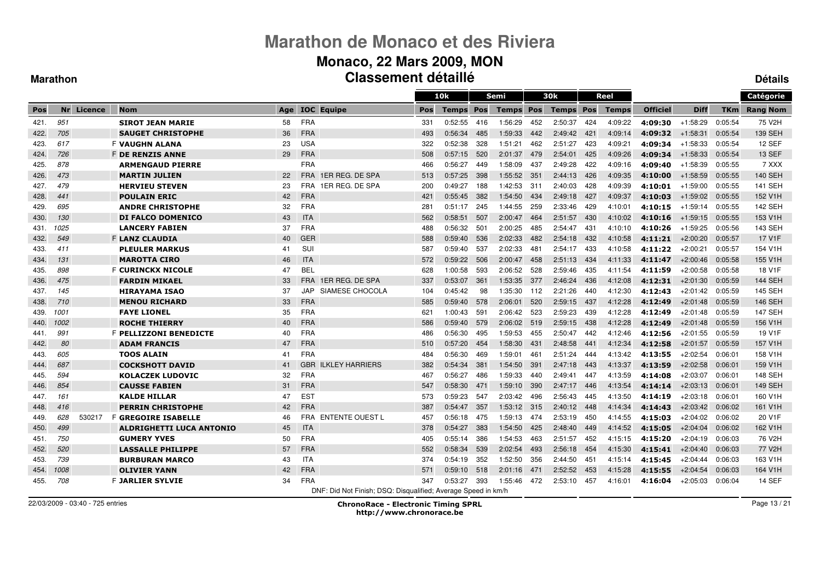#### **Monaco, 22 Mars 2009, MON Classement détailléDétails**

#### **Marathon**

|      |      |            |                                 |     |            |                                                               |            | 10k     |     | Semi        |      | 30 <sub>k</sub>  |      | Reel         |                 |             |            | Catégorie           |
|------|------|------------|---------------------------------|-----|------------|---------------------------------------------------------------|------------|---------|-----|-------------|------|------------------|------|--------------|-----------------|-------------|------------|---------------------|
| Pos  |      | Nr Licence | <b>Nom</b>                      | Age |            | <b>IOC</b> Equipe                                             | <b>Pos</b> | Temps   | Pos | Temps       | Pos  | <b>Temps Pos</b> |      | <b>Temps</b> | <b>Officiel</b> | <b>Diff</b> | <b>TKm</b> | <b>Rang Nom</b>     |
| 421. | 951  |            | <b>SIROT JEAN MARIE</b>         | 58  | <b>FRA</b> |                                                               | 331        | 0:52:55 | 416 | 1:56:29     | 452  | 2:50:37          | 424  | 4:09:22      | 4:09:30         | $+1.58.29$  | 0:05:54    | 75 V2H              |
| 422. | 705  |            | <b>SAUGET CHRISTOPHE</b>        | 36  | <b>FRA</b> |                                                               | 493        | 0:56:34 | 485 | 1:59:33     | 442  | 2:49:42          | 421  | 4:09:14      | 4:09:32         | $+1:58:31$  | 0:05:54    | <b>139 SEH</b>      |
| 423. | 617  |            | <b>F VAUGHN ALANA</b>           | 23  | <b>USA</b> |                                                               | 322        | 0:52:38 | 328 | 1:51:21     | 462  | 2:51:27          | 423  | 4:09:21      | 4:09:34         | $+1:58:33$  | 0:05:54    | 12 SEF              |
| 424. | 726  |            | <b>F DE RENZIS ANNE</b>         | 29  | <b>FRA</b> |                                                               | 508        | 0:57:15 | 520 | 2:01:37     | 479  | 2:54:01          | 425  | 4:09:26      | 4:09:34         | $+1:58:33$  | 0:05:54    | <b>13 SEF</b>       |
| 425. | 878  |            | <b>ARMENGAUD PIERRE</b>         |     | <b>FRA</b> |                                                               | 466        | 0:56:27 | 449 | 1:58:09     | 437  | 2:49:28          | 422  | 4:09:16      | 4:09:40         | $+1:58:39$  | 0:05:55    | 7 XXX               |
| 426. | 473  |            | <b>MARTIN JULIEN</b>            | 22  | <b>FRA</b> | 1ER REG. DE SPA                                               | 513        | 0:57:25 | 398 | 1:55:52     | 351  | 2:44:13          | 426  | 4:09:35      | 4:10:00         | $+1:58:59$  | 0:05:55    | <b>140 SEH</b>      |
| 427. | 479  |            | <b>HERVIEU STEVEN</b>           | 23  | <b>FRA</b> | 1ER REG. DE SPA                                               | 200        | 0:49:27 | 188 | 1:42:53     | -311 | 2:40:03          | 428  | 4:09:39      | 4:10:01         | $+1:59:00$  | 0:05:55    | <b>141 SEH</b>      |
| 428. | 441  |            | <b>POULAIN ERIC</b>             | 42  | <b>FRA</b> |                                                               | 421        | 0:55:45 | 382 | 1:54:50     | 434  | 2:49:18          | 427  | 4:09:37      | 4:10:03         | $+1:59:02$  | 0:05:55    | 152 V1H             |
| 429. | 695  |            | <b>ANDRE CHRISTOPHE</b>         | 32  | <b>FRA</b> |                                                               | 281        | 0:51:17 | 245 | 1:44:55     | 259  | 2:33:46          | 429  | 4:10:01      | 4:10:15         | $+1:59:14$  | 0:05:55    | 142 SEH             |
| 430. | 130  |            | <b>DI FALCO DOMENICO</b>        | 43  | <b>ITA</b> |                                                               | 562        | 0:58:51 | 507 | 2:00:47     | 464  | 2:51:57          | 430  | 4:10:02      | 4:10:16         | $+1:59:15$  | 0:05:55    | 153 V1H             |
| 431. | 1025 |            | <b>LANCERY FABIEN</b>           | 37  | <b>FRA</b> |                                                               | 488        | 0:56:32 | 501 | 2:00:25     | 485  | 2:54:47          | 431  | 4:10:10      | 4:10:26         | $+1.59.25$  | 0:05:56    | 143 SEH             |
| 432. | 549  |            | <b>F LANZ CLAUDIA</b>           | 40  | <b>GER</b> |                                                               | 588        | 0:59:40 | 536 | 2:02:33     | 482  | 2:54:18          | 432  | 4:10:58      | 4:11:21         | $+2:00:20$  | 0:05:57    | 17 V1F              |
| 433. | 411  |            | <b>PLEULER MARKUS</b>           | 41  | SUI        |                                                               | 587        | 0:59:40 | 537 | 2:02:33     | 481  | 2:54:17          | 433  | 4:10:58      | 4:11:22         | $+2:00:21$  | 0:05:57    | 154 V1H             |
| 434. | 131  |            | <b>MAROTTA CIRO</b>             | 46  | <b>ITA</b> |                                                               | 572        | 0:59:22 | 506 | 2:00:47     | 458  | 2:51:13          | 434  | 4:11:33      | 4:11:47         | $+2:00:46$  | 0:05:58    | 155 V1H             |
| 435. | 898  |            | <b>F CURINCKX NICOLE</b>        | 47  | <b>BEL</b> |                                                               | 628        | 1:00:58 | 593 | 2:06:52     | 528  | 2:59:46          | 435  | 4:11:54      | 4:11:59         | $+2:00:58$  | 0:05:58    | 18 V1F              |
| 436. | 475  |            | <b>FARDIN MIKAEL</b>            | 33  | <b>FRA</b> | 1ER REG. DE SPA                                               | 337        | 0:53:07 | 361 | 1:53:35     | 377  | 2:46:24          | 436  | 4:12:08      | 4:12:31         | $+2:01:30$  | 0:05:59    | <b>144 SEH</b>      |
| 437. | 145  |            | <b>HIRAYAMA ISAO</b>            | 37  | JAP        | SIAMESE CHOCOLA                                               | 104        | 0:45:42 | 98  | 1:35:30     | 112  | 2:21:26          | 440  | 4:12:30      | 4:12:43         | $+2:01:42$  | 0:05:59    | <b>145 SEH</b>      |
| 438. | 710  |            | <b>MENOU RICHARD</b>            | 33  | <b>FRA</b> |                                                               | 585        | 0:59:40 | 578 | 2:06:01     | 520  | 2:59:15          | 437  | 4:12:28      | 4:12:49         | $+2:01:48$  | 0:05:59    | 146 SEH             |
| 439. | 1001 |            | <b>FAYE LIONEL</b>              | 35  | <b>FRA</b> |                                                               | 621        | 1:00:43 | 591 | 2:06:42     | 523  | 2:59:23          | 439  | 4:12:28      | 4:12:49         | $+2:01:48$  | 0:05:59    | <b>147 SEH</b>      |
| 440. | 1002 |            | <b>ROCHE THIERRY</b>            | 40  | <b>FRA</b> |                                                               | 586        | 0:59:40 | 579 | 2:06:02     | 519  | 2:59:15          | 438  | 4:12:28      | 4:12:49         | $+2:01:48$  | 0:05:59    | 156 V1H             |
| 441. | 991  |            | F PELLIZZONI BENEDICTE          | 40  | <b>FRA</b> |                                                               | 486        | 0:56:30 | 495 | 1:59:53     | 455  | 2:50:47          | 442  | 4:12:46      | 4:12:56         | $+2:01:55$  | 0:05:59    | 19 V1F              |
| 442. | 80   |            | <b>ADAM FRANCIS</b>             | 47  | <b>FRA</b> |                                                               | 510        | 0:57:20 | 454 | 1:58:30     | 431  | 2:48:58          | 441  | 4:12:34      | 4:12:58         | $+2:01:57$  | 0:05:59    | 157 V1H             |
| 443. | 605  |            | <b>TOOS ALAIN</b>               | 41  | <b>FRA</b> |                                                               | 484        | 0:56:30 | 469 | 1.59.01     | 461  | 2:51:24          | 444  | 4:13:42      | 4:13:55         | $+2:02:54$  | 0:06:01    | 158 V1H             |
| 444. | 687  |            | <b>COCKSHOTT DAVID</b>          | 41  |            | <b>GBR ILKLEY HARRIERS</b>                                    | 382        | 0:54:34 | 381 | 1:54:50     | 391  | 2:47:18          | 443  | 4:13:37      | 4:13:59         | $+2:02:58$  | 0:06:01    | 159 V1H             |
| 445. | 594  |            | <b>KOLACZEK LUDOVIC</b>         | 32  | <b>FRA</b> |                                                               | 467        | 0:56:27 | 486 | 1:59:33     | 440  | 2:49:41          | 447  | 4:13:59      | 4:14:08         | $+2:03:07$  | 0:06:01    | 148 SEH             |
| 446. | 854  |            | <b>CAUSSE FABIEN</b>            | 31  | <b>FRA</b> |                                                               | 547        | 0:58:30 | 471 | 1:59:10     | 390  | 2:47:17          | 446  | 4:13:54      | 4:14:14         | $+2:03:13$  | 0:06:01    | <b>149 SEH</b>      |
| 447. | 161  |            | <b>KALDE HILLAR</b>             | 47  | <b>EST</b> |                                                               | 573        | 0:59:23 | 547 | 2:03:42     | 496  | 2:56:43          | 445  | 4:13:50      | 4:14:19         | $+2:03:18$  | 0:06:01    | 160 V1H             |
| 448. | 416  |            | <b>PERRIN CHRISTOPHE</b>        | 42  | <b>FRA</b> |                                                               | 387        | 0:54:47 | 357 | 1:53:12 315 |      | 2:40:12          | -448 | 4:14:34      | 4:14:43         | $+2:03:42$  | 0:06:02    | 161 V1H             |
| 449. | 628  | 530217     | F <b>GREGOIRE ISABELLE</b>      | 46  |            | FRA ENTENTE OUEST L                                           | 457        | 0:56:18 | 475 | 1:59:13     | 474  | 2:53:19          | 450  | 4:14:55      | 4:15:03         | $+2:04:02$  | 0:06:02    | 20 V1F              |
| 450. | 499  |            | <b>ALDRIGHETTI LUCA ANTONIO</b> | 45  | <b>ITA</b> |                                                               | 378        | 0:54:27 | 383 | 1:54:50     | 425  | 2:48:40          | 449  | 4:14:52      | 4:15:05         | $+2:04:04$  | 0:06:02    | 162 V1H             |
| 451. | 750  |            | <b>GUMERY YVES</b>              | 50  | <b>FRA</b> |                                                               | 405        | 0:55:14 | 386 | 1:54:53     | 463  | 2:51:57          | 452  | 4:15:15      | 4:15:20         | $+2:04:19$  | 0:06:03    | 76 V <sub>2</sub> H |
| 452. | 520  |            | <b>LASSALLE PHILIPPE</b>        | 57  | <b>FRA</b> |                                                               | 552        | 0:58:34 | 539 | 2:02:54     | 493  | 2:56:18          | 454  | 4:15:30      | 4:15:41         | $+2:04:40$  | 0:06:03    | 77 V2H              |
| 453. | 739  |            | <b>BURBURAN MARCO</b>           | 43  | <b>ITA</b> |                                                               | 374        | 0:54:19 | 352 | 1:52:50     | 356  | 2:44:50          | 451  | 4:15:14      | 4:15:45         | $+2:04:44$  | 0:06:03    | 163 V1H             |
| 454. | 1008 |            | <b>OLIVIER YANN</b>             | 42  | <b>FRA</b> |                                                               | 571        | 0:59:10 | 518 | 2:01:16     | 471  | 2:52:52          | 453  | 4:15:28      | 4:15:55         | $+2:04:54$  | 0:06:03    | 164 V1H             |
| 455. | 708  |            | <b>F JARLIER SYLVIE</b>         | 34  | <b>FRA</b> |                                                               | 347        | 0:53:27 | 393 | 1:55:46     | 472  | 2:53:10          | 457  | 4:16:01      | 4:16:04         | $+2:05:03$  | 0:06:04    | 14 SEF              |
|      |      |            |                                 |     |            | DNF: Did Not Finish; DSQ: Disqualified; Average Speed in km/h |            |         |     |             |      |                  |      |              |                 |             |            |                     |

22/03/2009 - 03:40 - 725 entries

ChronoRace - Electronic Timing SPRL

http://www.chronorace.be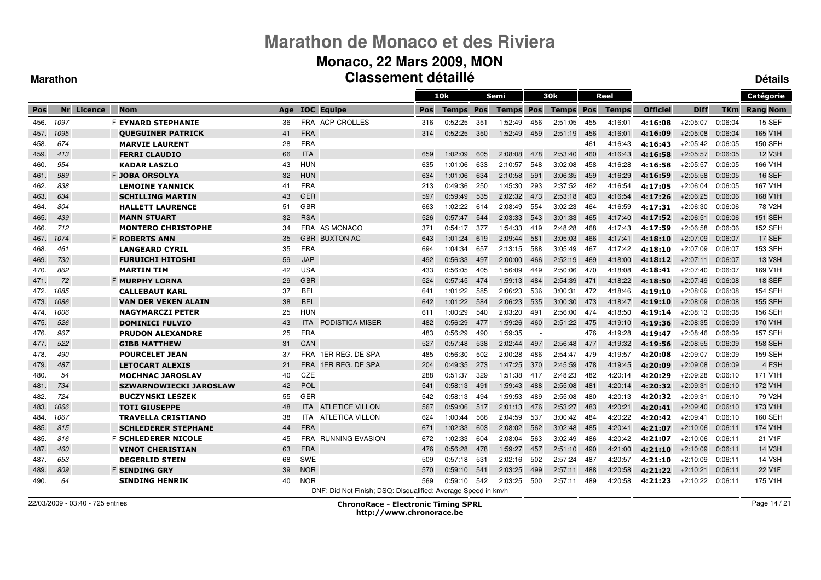#### **Monaco, 22 Mars 2009, MON Classement détailléDétails**

 $\equiv$ 

#### **Marathon**

|      |      |         |                               |     |            |                                                               |     | 10k     |            | Semi         |     | 30k              |     | Reel         |                 |             |         | Catégorie       |
|------|------|---------|-------------------------------|-----|------------|---------------------------------------------------------------|-----|---------|------------|--------------|-----|------------------|-----|--------------|-----------------|-------------|---------|-----------------|
| Pos  | Nr   | Licence | <b>Nom</b>                    | Age |            | <b>IOC</b> Equipe                                             | Pos | Temps   | <b>Pos</b> | <b>Temps</b> | Pos | <b>Temps Pos</b> |     | <b>Temps</b> | <b>Officiel</b> | <b>Diff</b> | TKm     | <b>Rang Nom</b> |
| 456. | 1097 |         | F <b>EYNARD STEPHANIE</b>     | 36  |            | FRA ACP-CROLLES                                               | 316 | 0:52:25 | 351        | 1:52:49      | 456 | 2:51:05          | 455 | 4:16:01      | 4:16:08         | $+2:05:07$  | 0:06:04 | <b>15 SEF</b>   |
| 457. | 1095 |         | <b>OUEGUINER PATRICK</b>      | 41  | <b>FRA</b> |                                                               | 314 | 0:52:25 | 350        | 1:52:49      | 459 | 2:51:19          | 456 | 4:16:01      | 4:16:09         | $+2:05:08$  | 0:06:04 | 165 V1H         |
| 458. | 674  |         | <b>MARVIE LAURENT</b>         | 28  | <b>FRA</b> |                                                               |     |         |            |              |     |                  | 461 | 4:16:43      | 4:16:43         | $+2:05:42$  | 0:06:05 | 150 SEH         |
| 459. | 413  |         | <b>FERRI CLAUDIO</b>          | 66  | <b>ITA</b> |                                                               | 659 | 1:02:09 | 605        | 2:08:08      | 478 | 2:53:40          | 460 | 4:16:43      | 4:16:58         | $+2:05:57$  | 0:06:05 | 12 V3H          |
| 460. | 954  |         | <b>KADAR LASZLO</b>           | 43  | <b>HUN</b> |                                                               | 635 | 1:01:06 | 633        | 2:10:57      | 548 | 3:02:08          | 458 | 4:16:28      | 4:16:58         | $+2:05:57$  | 0:06:05 | 166 V1H         |
| 461. | 989  |         | <b>F JOBA ORSOLYA</b>         | 32  | <b>HUN</b> |                                                               | 634 | 1:01:06 | 634        | 2:10:58      | 591 | 3:06:35          | 459 | 4:16:29      | 4:16:59         | $+2:05:58$  | 0:06:05 | <b>16 SEF</b>   |
| 462. | 838  |         | <b>LEMOINE YANNICK</b>        | 41  | <b>FRA</b> |                                                               | 213 | 0:49:36 | 250        | 1:45:30      | 293 | 2:37:52          | 462 | 4:16:54      | 4:17:05         | $+2:06:04$  | 0:06:05 | 167 V1H         |
| 463. | 634  |         | <b>SCHILLING MARTIN</b>       | 43  | <b>GER</b> |                                                               | 597 | 0:59:49 | 535        | 2:02:32      | 473 | 2:53:18          | 463 | 4:16:54      | 4:17:26         | $+2:06:25$  | 0:06:06 | 168 V1H         |
| 464. | 804  |         | <b>HALLETT LAURENCE</b>       | 51  | <b>GBR</b> |                                                               | 663 | 1:02:22 | 614        | 2:08:49      | 554 | 3:02:23          | 464 | 4:16:59      | 4:17:31         | $+2:06:30$  | 0:06:06 | 78 V2H          |
| 465. | 439  |         | <b>MANN STUART</b>            | 32  | <b>RSA</b> |                                                               | 526 | 0:57:47 | 544        | 2:03:33      | 543 | 3:01:33          | 465 | 4:17:40      | 4:17:52         | $+2:06:51$  | 0:06:06 | <b>151 SEH</b>  |
| 466. | 712  |         | <b>MONTERO CHRISTOPHE</b>     | 34  |            | FRA AS MONACO                                                 | 371 | 0:54:17 | 377        | 1:54:33      | 419 | 2:48:28          | 468 | 4:17:43      | 4:17:59         | $+2:06:58$  | 0:06:06 | 152 SEH         |
| 467. | 1074 |         | <b>F ROBERTS ANN</b>          | 35  |            | <b>GBR BUXTON AC</b>                                          | 643 | 1:01:24 | 619        | 2:09:44      | 581 | 3:05:03          | 466 | 4:17:41      | 4:18:10         | $+2:07:09$  | 0:06:07 | 17 SEF          |
| 468. | 461  |         | <b>LANGEARD CYRIL</b>         | 35  | <b>FRA</b> |                                                               | 694 | 1:04:34 | 657        | 2:13:15      | 588 | 3:05:49          | 467 | 4:17:42      | 4:18:10         | $+2:07:09$  | 0:06:07 | 153 SEH         |
| 469. | 730  |         | <b>FURUICHI HITOSHI</b>       | 59  | <b>JAP</b> |                                                               | 492 | 0:56:33 | 497        | 2:00:00      | 466 | 2:52:19          | 469 | 4:18:00      | 4:18:12         | $+2.07:11$  | 0:06:07 | 13 V3H          |
| 470. | 862  |         | <b>MARTIN TIM</b>             | 42  | <b>USA</b> |                                                               | 433 | 0:56:05 | 405        | 1:56:09      | 449 | 2:50:06          | 470 | 4:18:08      | 4:18:41         | $+2:07:40$  | 0:06:07 | 169 V1H         |
| 471. | 72   |         | <b>F MURPHY LORNA</b>         | 29  | <b>GBR</b> |                                                               | 524 | 0:57:45 | 474        | 1:59:13      | 484 | 2:54:39          | 471 | 4:18:22      | 4:18:50         | $+2:07:49$  | 0:06:08 | 18 SEF          |
| 472. | 1085 |         | <b>CALLEBAUT KARL</b>         | 37  | <b>BEL</b> |                                                               | 641 | 1:01:22 | 585        | 2:06:23      | 536 | 3:00:31          | 472 | 4:18:46      | 4:19:10         | $+2:08:09$  | 0:06:08 | 154 SEH         |
| 473. | 1086 |         | <b>VAN DER VEKEN ALAIN</b>    | 38  | <b>BEL</b> |                                                               | 642 | 1:01:22 | 584        | 2:06:23      | 535 | 3:00:30          | 473 | 4:18:47      | 4:19:10         | $+2:08:09$  | 0:06:08 | <b>155 SEH</b>  |
| 474. | 1006 |         | <b>NAGYMARCZI PETER</b>       | 25  | <b>HUN</b> |                                                               | 611 | 1:00:29 | 540        | 2:03:20      | 491 | 2:56:00          | 474 | 4:18:50      | 4:19:14         | $+2:08:13$  | 0:06:08 | 156 SEH         |
| 475. | 526  |         | <b>DOMINICI FULVIO</b>        | 43  | <b>ITA</b> | <b>PODISTICA MISER</b>                                        | 482 | 0:56:29 | 477        | 1.59.26      | 460 | 2:51:22          | 475 | 4:19:10      | 4:19:36         | $+2:08:35$  | 0:06:09 | 170 V1H         |
| 476. | 967  |         | <b>PRUDON ALEXANDRE</b>       | 25  | <b>FRA</b> |                                                               | 483 | 0:56:29 | 490        | 1:59:35      |     |                  | 476 | 4:19:28      | 4:19:47         | $+2:08:46$  | 0:06:09 | <b>157 SEH</b>  |
| 477. | 522  |         | <b>GIBB MATTHEW</b>           | 31  | CAN        |                                                               | 527 | 0:57:48 | 538        | 2:02:44      | 497 | 2:56:48          | 477 | 4:19:32      | 4:19:56         | $+2:08:55$  | 0:06:09 | <b>158 SEH</b>  |
| 478. | 490  |         | <b>POURCELET JEAN</b>         | 37  | <b>FRA</b> | 1ER REG. DE SPA                                               | 485 | 0:56:30 | 502        | 2:00:28      | 486 | 2:54:47          | 479 | 4:19:57      | 4:20:08         | $+2:09:07$  | 0:06:09 | 159 SEH         |
| 479. | 487  |         | <b>LETOCART ALEXIS</b>        | 21  | <b>FRA</b> | 1ER REG. DE SPA                                               | 204 | 0:49:35 | 273        | 1.47.25      | 370 | 2:45:59          | 478 | 4:19:45      | 4:20:09         | $+2:09:08$  | 0:06:09 | 4 ESH           |
| 480. | 54   |         | <b>MOCHNAC JAROSLAV</b>       | 40  | <b>CZE</b> |                                                               | 288 | 0:51:37 | 329        | 1:51:38      | 417 | 2:48:23          | 482 | 4:20:14      | 4:20:29         | $+2:09:28$  | 0:06:10 | 171 V1H         |
| 481. | 734  |         | <b>SZWARNOWIECKI JAROSLAW</b> | 42  | POL        |                                                               | 541 | 0:58:13 | 491        | 1:59:43      | 488 | 2:55:08          | 481 | 4:20:14      | 4:20:32         | $+2:09:31$  | 0:06:10 | 172 V1H         |
| 482. | 724  |         | <b>BUCZYNSKI LESZEK</b>       | 55  | <b>GER</b> |                                                               | 542 | 0:58:13 | 494        | 1:59:53      | 489 | 2:55:08          | 480 | 4:20:13      | 4:20:32         | $+2:09:31$  | 0:06:10 | 79 V2H          |
| 483. | 1066 |         | <b>TOTI GIUSEPPE</b>          | 48  | <b>ITA</b> | <b>ATLETICE VILLON</b>                                        | 567 | 0:59:06 | 517        | 2:01:13      | 476 | 2:53:27          | 483 | 4:20:21      | 4:20:41         | $+2:09:40$  | 0:06:10 | 173 V1H         |
| 484. | 1067 |         | <b>TRAVELLA CRISTIANO</b>     | 38  | ITA.       | <b>ATLETICA VILLON</b>                                        | 624 | 1:00:44 | 566        | 2:04:59      | 537 | 3:00:42          | 484 | 4:20:22      | 4:20:42         | $+2:09:41$  | 0:06:10 | 160 SEH         |
| 485. | 815  |         | <b>SCHLEDERER STEPHANE</b>    | 44  | <b>FRA</b> |                                                               | 671 | 1:02:33 | 603        | 2:08:02      | 562 | 3:02:48          | 485 | 4:20:41      | 4:21:07         | $+2:10:06$  | 0:06:11 | 174 V1H         |
| 485. | 816  |         | <b>F SCHLEDERER NICOLE</b>    | 45  | <b>FRA</b> | <b>RUNNING EVASION</b>                                        | 672 | 1:02:33 | 604        | 2:08:04      | 563 | 3:02:49          | 486 | 4:20:42      | 4:21:07         | $+2:10:06$  | 0:06:11 | 21 V1F          |
| 487. | 460  |         | <b>VINOT CHERISTIAN</b>       | 63  | <b>FRA</b> |                                                               | 476 | 0:56:28 | 478        | 1:59:27      | 457 | 2:51:10          | 490 | 4:21:00      | 4:21:10         | $+2:10:09$  | 0:06:11 | 14 V3H          |
| 487. | 653  |         | <b>DEGERLID STEIN</b>         | 68  | <b>SWE</b> |                                                               | 509 | 0:57:18 | 531        | 2:02:16      | 502 | 2:57:24          | 487 | 4:20:57      | 4:21:10         | $+2:10:09$  | 0:06:11 | 14 V3H          |
| 489. | 809  |         | <b>F SINDING GRY</b>          | 39  | <b>NOR</b> |                                                               | 570 | 0:59:10 | 541        | 2:03:25      | 499 | 2:57:11          | 488 | 4:20:58      | 4:21:22         | $+2:10:21$  | 0:06:11 | 22 V1F          |
| 490. | 64   |         | <b>SINDING HENRIK</b>         | 40  | <b>NOR</b> |                                                               | 569 | 0:59:10 | 542        | 2:03:25      | 500 | 2:57:11          | 489 | 4:20:58      | 4:21:23         | $+2:10:22$  | 0:06:11 | 175 V1H         |
|      |      |         |                               |     |            | DNF: Did Not Finish; DSQ: Disqualified; Average Speed in km/h |     |         |            |              |     |                  |     |              |                 |             |         |                 |

22/03/2009 - 03:40 - 725 entries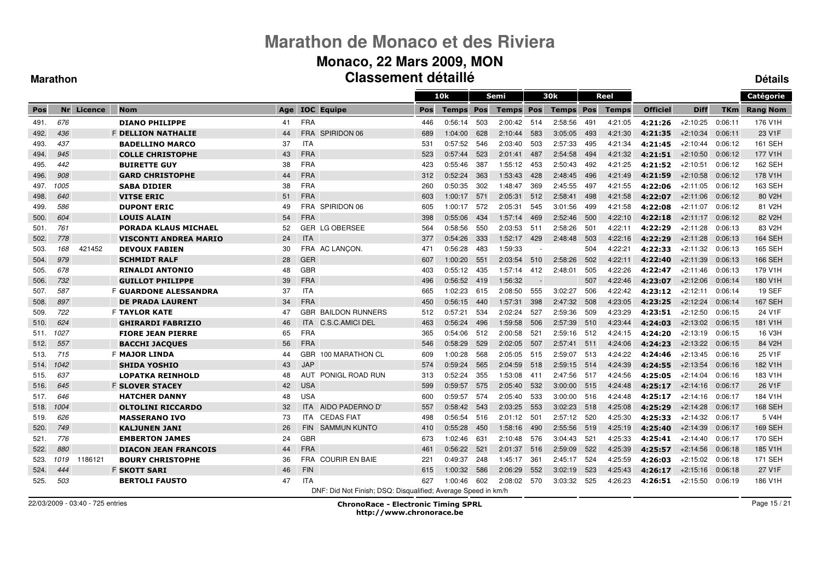#### **Monaco, 22 Mars 2009, MON Classement détailléDétails**

 $\equiv$ 

#### **Marathon**

|      |      |            |                              |     |            |                                                               |     | 10k          |     | <b>Semi</b>      |                          | 30k              |     | Reel         |                 |             |            | Catégorie           |
|------|------|------------|------------------------------|-----|------------|---------------------------------------------------------------|-----|--------------|-----|------------------|--------------------------|------------------|-----|--------------|-----------------|-------------|------------|---------------------|
| Pos  |      | Nr Licence | <b>Nom</b>                   | Age |            | <b>IOC</b> Equipe                                             | Pos | <b>Temps</b> | Pos | <b>Temps Pos</b> |                          | <b>Temps Pos</b> |     | <b>Temps</b> | <b>Officiel</b> | <b>Diff</b> | <b>TKm</b> | <b>Rang Nom</b>     |
| 491. | 676  |            | <b>DIANO PHILIPPE</b>        | 41  | <b>FRA</b> |                                                               | 446 | 0:56:14      | 503 | 2:00:42          | 514                      | 2:58:56          | 491 | 4:21:05      | 4:21:26         | $+2:10:25$  | 0:06:11    | 176 V1H             |
| 492. | 436  |            | <b>F DELLION NATHALIE</b>    | 44  | <b>FRA</b> | SPIRIDON 06                                                   | 689 | 1:04:00      | 628 | 2:10:44          | 583                      | 3:05:05          | 493 | 4:21:30      | 4:21:35         | $+2:10:34$  | 0:06:11    | 23 V <sub>1</sub> F |
| 493. | 437  |            | <b>BADELLINO MARCO</b>       | 37  | <b>ITA</b> |                                                               | 531 | 0:57:52      | 546 | 2:03:40          | 503                      | 2:57:33          | 495 | 4:21:34      | 4:21:45         | $+2:10:44$  | 0:06:12    | 161 SEH             |
| 494. | 945  |            | <b>COLLE CHRISTOPHE</b>      | 43  | <b>FRA</b> |                                                               | 523 | 0:57:44      | 523 | 2:01:41          | 487                      | 2:54:58          | 494 | 4:21:32      | 4:21:51         | $+2:10:50$  | 0:06:12    | 177 V1H             |
| 495. | 442  |            | <b>BUIRETTE GUY</b>          | 38  | <b>FRA</b> |                                                               | 423 | 0:55:46      | 387 | 1:55:12          | 453                      | 2:50:43          | 492 | 4:21:25      | 4:21:52         | $+2:10:51$  | 0:06:12    | 162 SEH             |
| 496. | 908  |            | <b>GARD CHRISTOPHE</b>       | 44  | <b>FRA</b> |                                                               | 312 | 0:52:24      | 363 | 1:53:43          | 428                      | 2:48:45          | 496 | 4:21:49      | 4:21:59         | $+2:10:58$  | 0:06:12    | 178 V1H             |
| 497. | 1005 |            | <b>SABA DIDIER</b>           | 38  | <b>FRA</b> |                                                               | 260 | 0:50:35      | 302 | 1:48:47          | 369                      | 2:45:55          | 497 | 4:21:55      | 4:22:06         | $+2:11:05$  | 0:06:12    | 163 SEH             |
| 498. | 640  |            | <b>VITSE ERIC</b>            | 51  | <b>FRA</b> |                                                               | 603 | 1:00:17      | 571 | 2:05:31          | 512                      | 2:58:41          | 498 | 4:21:58      | 4:22:07         | $+2:11:06$  | 0:06:12    | 80 V2H              |
| 499. | 586  |            | <b>DUPONT ERIC</b>           | 49  | <b>FRA</b> | SPIRIDON 06                                                   | 605 | 1:00:17      | 572 | 2:05:31          | 545                      | 3:01:56          | 499 | 4:21:58      | 4:22:08         | $+2:11:07$  | 0:06:12    | 81 V2H              |
| 500. | 604  |            | <b>LOUIS ALAIN</b>           | 54  | <b>FRA</b> |                                                               | 398 | 0:55:06      | 434 | 1.57.14          | 469                      | 2:52:46          | 500 | 4:22:10      | 4:22:18         | $+2:11:17$  | 0:06:12    | 82 V2H              |
| 501. | 761  |            | <b>PORADA KLAUS MICHAEL</b>  | 52  |            | <b>GER LG OBERSEE</b>                                         | 564 | 0:58:56      | 550 | 2:03:53          | 511                      | 2:58:26          | 501 | 4:22:11      | 4:22:29         | $+2:11:28$  | 0:06:13    | 83 V2H              |
| 502. | 778  |            | <b>VISCONTI ANDREA MARIO</b> | 24  | <b>ITA</b> |                                                               | 377 | 0:54:26      | 333 | 1:52:17          | 429                      | 2:48:48          | 503 | 4:22:16      | 4:22:29         | $+2:11:28$  | 0:06:13    | <b>164 SEH</b>      |
| 503. | 168  | 421452     | <b>DEVOUX FABIEN</b>         | 30  |            | FRA AC LANCON.                                                | 471 | 0:56:28      | 483 | 1:59:33          | $\overline{\phantom{a}}$ |                  | 504 | 4:22:21      | 4:22:33         | $+2:11:32$  | 0:06:13    | 165 SEH             |
| 504. | 979  |            | <b>SCHMIDT RALF</b>          | 28  | <b>GER</b> |                                                               | 607 | 1:00:20      | 551 | 2:03:54          | 510                      | 2:58:26          | 502 | 4:22:11      | 4:22:40         | $+2:11:39$  | 0:06:13    | 166 SEH             |
| 505. | 678  |            | <b>RINALDI ANTONIO</b>       | 48  | <b>GBR</b> |                                                               | 403 | 0:55:12      | 435 | 1 57:14          | 412                      | 2:48:01          | 505 | 4:22:26      | 4:22:47         | $+2:11:46$  | 0:06:13    | 179 V1H             |
| 506. | 732  |            | <b>GUILLOT PHILIPPE</b>      | 39  | <b>FRA</b> |                                                               | 496 | 0:56:52      | 419 | 1:56:32          | $\overline{\phantom{a}}$ |                  | 507 | 4:22:46      | 4:23:07         | $+2:12:06$  | 0:06:14    | 180 V1H             |
| 507. | 587  |            | <b>F GUARDONE ALESSANDRA</b> | 37  | <b>ITA</b> |                                                               | 665 | 1:02:23      | 615 | 2:08:50          | 555                      | 3:02:27          | 506 | 4:22:42      | 4:23:12         | $+2:12:11$  | 0:06:14    | <b>19 SEF</b>       |
| 508. | 897  |            | <b>DE PRADA LAURENT</b>      | 34  | <b>FRA</b> |                                                               | 450 | 0:56:15      | 440 | 1.57.31          | 398                      | 2:47:32          | 508 | 4:23:05      | 4:23:25         | $+2:12:24$  | 0:06:14    | <b>167 SEH</b>      |
| 509. | 722  |            | <b>F TAYLOR KATE</b>         | 47  | <b>GBR</b> | <b>BAILDON RUNNERS</b>                                        | 512 | 0:57:21      | 534 | 2:02:24          | 527                      | 2:59:36          | 509 | 4:23:29      | 4:23:51         | $+2:12:50$  | 0:06:15    | 24 V1F              |
| 510. | 624  |            | <b>GHIRARDI FABRIZIO</b>     | 46  | <b>ITA</b> | C.S.C.AMICI DEL                                               | 463 | 0:56:24      | 496 | 1:59:58          | 506                      | 2:57:39          | 510 | 4:23:44      | 4:24:03         | $+2:13:02$  | 0:06:15    | 181 V1H             |
| 511. | 1027 |            | <b>FIORE JEAN PIERRE</b>     | 65  | FRA        |                                                               | 365 | 0:54:06      | 512 | 2:00:58          | 521                      | 2:59:16          | 512 | 4:24:15      | 4:24:20         | $+2:13:19$  | 0:06:15    | 16 V3H              |
| 512. | 557  |            | <b>BACCHI JACQUES</b>        | 56  | <b>FRA</b> |                                                               | 546 | 0:58:29      | 529 | 2:02:05          | 507                      | 2:57:41          | 511 | 4:24:06      | 4:24:23         | $+2:13:22$  | 0:06:15    | 84 V2H              |
| 513. | 715  |            | <b>F MAJOR LINDA</b>         | 44  | <b>GBR</b> | 100 MARATHON CL                                               | 609 | 1:00:28      | 568 | 2:05:05          | 515                      | 2:59:07          | 513 | 4:24:22      | 4:24:46         | $+2:13:45$  | 0:06:16    | 25 V1F              |
| 514. | 1042 |            | <b>SHIDA YOSHIO</b>          | 43  | <b>JAP</b> |                                                               | 574 | 0:59:24      | 565 | 2:04:59          | 518                      | 2:59:15          | 514 | 4:24:39      | 4:24:55         | $+2:13:54$  | 0:06:16    | 182 V1H             |
| 515. | 637  |            | <b>LOPATKA REINHOLD</b>      | 48  | AUT        | PONIGL ROAD RUN                                               | 313 | 0:52:24      | 355 | 1:53:08          | 411                      | 2:47:56          | 517 | 4:24:56      | 4:25:05         | $+2:14:04$  | 0:06:16    | 183 V1H             |
| 516. | 645  |            | <b>F SLOVER STACEY</b>       | 42  | <b>USA</b> |                                                               | 599 | 0:59:57      | 575 | 2:05:40          | 532                      | 3:00:00          | 515 | 4:24:48      | 4:25:17         | $+2:14:16$  | 0:06:17    | 26 V <sub>1</sub> F |
| 517. | 646  |            | <b>HATCHER DANNY</b>         | 48  | <b>USA</b> |                                                               | 600 | 0:59:57      | 574 | 2:05:40          | 533                      | 3:00:00          | 516 | 4:24:48      | 4:25:17         | $+2:14:16$  | 0:06:17    | 184 V1H             |
| 518. | 1004 |            | <b>OLTOLINI RICCARDO</b>     | 32  | <b>ITA</b> | AIDO PADERNO D'                                               | 557 | 0:58:42      | 543 | 2:03:25          | 553                      | 3:02:23          | 518 | 4:25:08      | 4:25:29         | $+2:14:28$  | 0:06:17    | <b>168 SEH</b>      |
| 519. | 626  |            | <b>MASSERANO IVO</b>         | 73  | <b>ITA</b> | <b>CEDAS FIAT</b>                                             | 498 | 0:56:54      | 516 | 2:01:12          | 501                      | 2:57:12          | 520 | 4:25:30      | 4:25:33         | $+2:14:32$  | 0:06:17    | 5 V4H               |
| 520. | 749  |            | <b>KALJUNEN JANI</b>         | 26  | <b>FIN</b> | <b>SAMMUN KUNTO</b>                                           | 410 | 0:55:28      | 450 | 1:58:16          | 490                      | 2:55:56          | 519 | 4:25:19      | 4:25:40         | $+2:14:39$  | 0:06:17    | <b>169 SEH</b>      |
| 521. | 776  |            | <b>EMBERTON JAMES</b>        | 24  | <b>GBR</b> |                                                               | 673 | 1:02:46      | 631 | 2:10:48          | 576                      | 3:04:43          | 521 | 4:25:33      | 4:25:41         | $+2:14:40$  | 0:06:17    | 170 SEH             |
| 522. | 880  |            | <b>DIACON JEAN FRANCOIS</b>  | 44  | <b>FRA</b> |                                                               | 461 | 0:56:22      | 521 | 2:01:37          | 516                      | 2:59:09          | 522 | 4:25:39      | 4:25:57         | $+2:14:56$  | 0:06:18    | 185 V1H             |
| 523. | 1019 | 1186121    | <b>BOURY CHRISTOPHE</b>      | 36  | <b>FRA</b> | <b>COURIR EN BAIE</b>                                         | 221 | 0:49:37      | 248 | 1.45.17          | 361                      | 2:45:17          | 524 | 4:25:59      | 4:26:03         | $+2:15:02$  | 0:06:18    | 171 SEH             |
| 524. | 444  |            | <b>F SKOTT SARI</b>          | 46  | <b>FIN</b> |                                                               | 615 | 1:00:32      | 586 | 2:06:29          | 552                      | 3:02:19          | 523 | 4:25:43      | 4:26:17         | $+2:15:16$  | 0:06:18    | 27 V1F              |
| 525. | 503  |            | <b>BERTOLI FAUSTO</b>        | 47  | <b>ITA</b> |                                                               | 627 | 1:00:46      | 602 | 2:08:02 570      |                          | 3:03:32          | 525 | 4:26:23      | 4:26:51         | $+2:15:50$  | 0:06:19    | 186 V1H             |
|      |      |            |                              |     |            | DNF: Did Not Finish; DSQ: Disqualified; Average Speed in km/h |     |              |     |                  |                          |                  |     |              |                 |             |            |                     |

22/03/2009 - 03:40 - 725 entries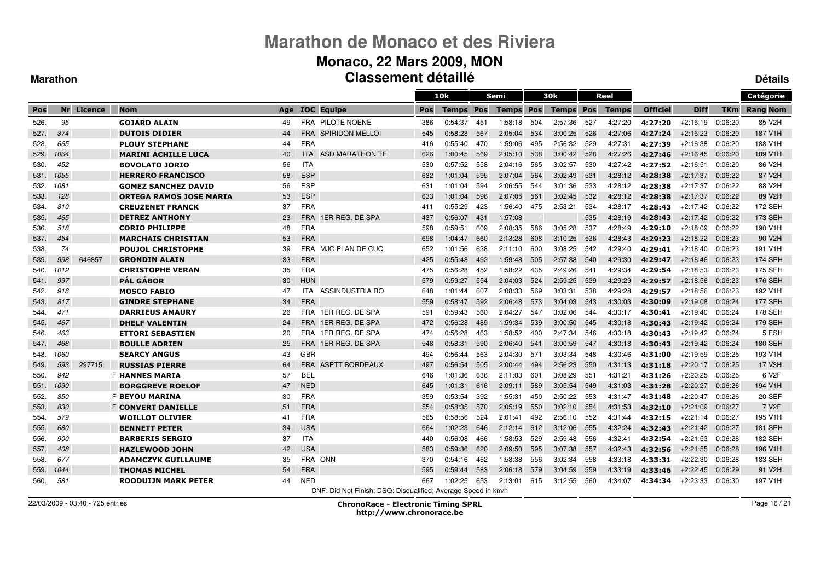### **Monaco, 22 Mars 2009, MON Classement détaillé**

#### **Marathon**

**Détails**

|      |      |            |                                |     |            |                                                               |     | 10k          |     | Semi         |      | 30k              |     | Reel         |                 |             |         | Catégorie           |
|------|------|------------|--------------------------------|-----|------------|---------------------------------------------------------------|-----|--------------|-----|--------------|------|------------------|-----|--------------|-----------------|-------------|---------|---------------------|
| Pos  |      | Nr Licence | <b>Nom</b>                     | Age |            | <b>IOC</b> Equipe                                             | Pos | <b>Temps</b> | Pos | <b>Temps</b> | Pos  | <b>Temps Pos</b> |     | <b>Temps</b> | <b>Officiel</b> | <b>Diff</b> | TKm     | <b>Rang Nom</b>     |
| 526. | 95   |            | <b>GOJARD ALAIN</b>            | 49  |            | FRA PILOTE NOENE                                              | 386 | 0:54:37      | 451 | 1:58:18      | 504  | 2:57:36          | 527 | 4:27:20      | 4:27:20         | $+2:16:19$  | 0:06:20 | 85 V2H              |
| 527. | 874  |            | <b>DUTOIS DIDIER</b>           | 44  |            | <b>FRA SPIRIDON MELLOI</b>                                    | 545 | 0:58:28      | 567 | 2:05:04      | 534  | 3:00:25          | 526 | 4:27:06      | 4:27:24         | $+2:16:23$  | 0:06:20 | 187 V1H             |
| 528. | 665  |            | <b>PLOUY STEPHANE</b>          | 44  | <b>FRA</b> |                                                               | 416 | 0:55:40      | 470 | 1:59:06      | 495  | 2:56:32          | 529 | 4:27:31      | 4:27:39         | $+2:16:38$  | 0:06:20 | 188 V1H             |
| 529. | 1064 |            | <b>MARINI ACHILLE LUCA</b>     | 40  | <b>ITA</b> | ASD MARATHON TE                                               | 626 | 1:00:45      | 569 | 2:05:10      | 538  | 3:00:42          | 528 | 4:27:26      | 4:27:46         | $+2:16:45$  | 0:06:20 | 189 V1H             |
| 530. | 452  |            | <b>BOVOLATO JORIO</b>          | 56  | <b>ITA</b> |                                                               | 530 | 0:57:52      | 558 | 2:04:16      | 565  | 3:02:57          | 530 | 4:27:42      | 4:27:52         | $+2:16:51$  | 0:06:20 | 86 V2H              |
| 531. | 1055 |            | <b>HERRERO FRANCISCO</b>       | 58  | <b>ESP</b> |                                                               | 632 | 1:01:04      | 595 | 2:07:04      | 564  | 3:02:49          | 531 | 4:28:12      | 4:28:38         | $+2:17:37$  | 0:06:22 | 87 V2H              |
| 532. | 1081 |            | <b>GOMEZ SANCHEZ DAVID</b>     | 56  | <b>ESP</b> |                                                               | 631 | 1:01:04      | 594 | 2:06:55      | 544  | 3:01:36          | 533 | 4:28:12      | 4:28:38         | $+2:17:37$  | 0:06:22 | 88 V2H              |
| 533. | 128  |            | <b>ORTEGA RAMOS JOSE MARIA</b> | 53  | <b>ESP</b> |                                                               | 633 | 1:01:04      | 596 | 2:07:05      | 561  | 3:02:45          | 532 | 4:28:12      | 4:28:38         | $+2:17:37$  | 0:06:22 | 89 V <sub>2</sub> H |
| 534. | 810  |            | <b>CREUZENET FRANCK</b>        | 37  | <b>FRA</b> |                                                               | 411 | 0:55:29      | 423 | 1:56:40      | 475  | 2:53:21          | 534 | 4:28:17      | 4:28:43         | $+2:17:42$  | 0:06:22 | 172 SEH             |
| 535. | 465  |            | <b>DETREZ ANTHONY</b>          | 23  | <b>FRA</b> | 1ER REG. DE SPA                                               | 437 | 0:56:07      | 431 | 1:57:08      |      |                  | 535 | 4:28:19      | 4:28:43         | $+2:17:42$  | 0:06:22 | 173 SEH             |
| 536. | 518  |            | <b>CORIO PHILIPPE</b>          | 48  | <b>FRA</b> |                                                               | 598 | 0:59:51      | 609 | 2:08:35      | 586  | 3:05:28          | 537 | 4:28:49      | 4:29:10         | $+2:18:09$  | 0:06:22 | 190 V1H             |
| 537. | 454  |            | <b>MARCHAIS CHRISTIAN</b>      | 53  | <b>FRA</b> |                                                               | 698 | 1:04:47      | 660 | 2:13:28      | 608  | 3:10:25          | 536 | 4:28:43      | 4:29:23         | $+2:18:22$  | 0:06:23 | 90 V2H              |
| 538. | 74   |            | <b>POUJOL CHRISTOPHE</b>       | 39  |            | FRA MJC PLAN DE CUQ                                           | 652 | 1:01:56      | 638 | 2:11:10      | 600  | 3:08:25          | 542 | 4:29:40      | 4:29:41         | $+2:18:40$  | 0:06:23 | 191 V1H             |
| 539. | 998  | 646857     | <b>GRONDIN ALAIN</b>           | 33  | <b>FRA</b> |                                                               | 425 | 0:55:48      | 492 | 1:59:48      | 505  | 2:57:38          | 540 | 4:29:30      | 4:29:47         | $+2:18:46$  | 0:06:23 | <b>174 SEH</b>      |
| 540. | 1012 |            | <b>CHRISTOPHE VERAN</b>        | 35  | <b>FRA</b> |                                                               | 475 | 0:56:28      | 452 | 1:58:22      | 435  | 2:49:26          | 541 | 4:29:34      | 4:29:54         | $+2:18:53$  | 0:06:23 | 175 SEH             |
| 541. | 997  |            | <b>PÁL GÁBOR</b>               | 30  | <b>HUN</b> |                                                               | 579 | 0:59:27      | 554 | 2:04:03      | 524  | 2:59:25          | 539 | 4:29:29      | 4:29:57         | $+2:18:56$  | 0:06:23 | 176 SEH             |
| 542. | 918  |            | <b>MOSCO FABIO</b>             | 47  | <b>ITA</b> | ASSINDUSTRIA RO                                               | 648 | 1:01:44      | 607 | 2:08:33      | 569  | 3:03:31          | 538 | 4:29:28      | 4:29:57         | $+2:18:56$  | 0:06:23 | 192 V1H             |
| 543. | 817  |            | <b>GINDRE STEPHANE</b>         | 34  | <b>FRA</b> |                                                               | 559 | 0:58:47      | 592 | 2:06:48      | 573  | 3:04:03          | 543 | 4:30:03      | 4:30:09         | $+2:19:08$  | 0:06:24 | <b>177 SEH</b>      |
| 544. | 471  |            | <b>DARRIEUS AMAURY</b>         | 26  | <b>FRA</b> | 1ER REG. DE SPA                                               | 591 | 0:59:43      | 560 | 2:04:27      | 547  | 3:02:06          | 544 | 4:30:17      | 4:30:41         | $+2:19:40$  | 0:06:24 | 178 SEH             |
| 545. | 467  |            | <b>DHELF VALENTIN</b>          | 24  | <b>FRA</b> | 1ER REG. DE SPA                                               | 472 | 0:56:28      | 489 | 1:59:34      | 539  | 3:00:50          | 545 | 4:30:18      | 4:30:43         | $+2:19:42$  | 0:06:24 | 179 SEH             |
| 546. | 463  |            | <b>ETTORI SEBASTIEN</b>        | 20  | <b>FRA</b> | 1ER REG. DE SPA                                               | 474 | 0:56:28      | 463 | 1:58:52      | 400  | 2:47:34          | 546 | 4:30:18      | 4:30:43         | $+2:19:42$  | 0:06:24 | 5 ESH               |
| 547. | 468  |            | <b>BOULLE ADRIEN</b>           | 25  | <b>FRA</b> | 1ER REG. DE SPA                                               | 548 | 0:58:31      | 590 | 2:06:40      | 541  | 3:00:59          | 547 | 4:30:18      | 4:30:43         | $+2:19:42$  | 0:06:24 | <b>180 SEH</b>      |
| 548. | 1060 |            | <b>SEARCY ANGUS</b>            | 43  | <b>GBR</b> |                                                               | 494 | 0:56:44      | 563 | 2:04:30      | 571  | 3:03:34          | 548 | 4:30:46      | 4:31:00         | $+2:19:59$  | 0:06:25 | 193 V1H             |
| 549. | 593  | 297715     | <b>RUSSIAS PIERRE</b>          | 64  |            | FRA ASPTT BORDEAUX                                            | 497 | 0:56:54      | 505 | 2:00:44      | 494  | 2:56:23          | 550 | 4:31:13      | 4:31:18         | $+2:20:17$  | 0:06:25 | 17 V3H              |
| 550. | 942  |            | <b>F HANNES MARIA</b>          | 57  | <b>BEL</b> |                                                               | 646 | 1:01:36      | 636 | 2:11:03      | -601 | 3:08:29          | 551 | 4:31:21      | 4:31:26         | $+2:20:25$  | 0:06:25 | 6 V2F               |
| 551. | 1090 |            | <b>BORGGREVE ROELOF</b>        | 47  | <b>NED</b> |                                                               | 645 | 1:01:31      | 616 | 2:09:11      | 589  | 3:05:54          | 549 | 4:31:03      | 4:31:28         | $+2:20:27$  | 0:06:26 | 194 V1H             |
| 552. | 350  |            | <b>F BEYOU MARINA</b>          | 30  | <b>FRA</b> |                                                               | 359 | 0:53:54      | 392 | 1:55:31      | 450  | 2:50:22          | 553 | 4:31:47      | 4:31:48         | $+2:20:47$  | 0:06:26 | <b>20 SEF</b>       |
| 553. | 830  |            | <b>F CONVERT DANIELLE</b>      | 51  | <b>FRA</b> |                                                               | 554 | 0:58:35      | 570 | 2:05:19      | 550  | 3:02:10          | 554 | 4:31:53      | 4:32:10         | $+2:21:09$  | 0:06:27 | 7 V <sub>2</sub> F  |
| 554. | 579  |            | <b>WOILLOT OLIVIER</b>         | 41  | <b>FRA</b> |                                                               | 565 | 0:58:56      | 524 | 2:01:41      | 492  | 2:56:10          | 552 | 4:31:44      | 4:32:15         | $+2:21:14$  | 0:06:27 | 195 V1H             |
| 555. | 680  |            | <b>BENNETT PETER</b>           | 34  | <b>USA</b> |                                                               | 664 | 1:02:23      | 646 | 2:12:14      | 612  | 3:12:06          | 555 | 4:32:24      | 4:32:43         | $+2:21:42$  | 0:06:27 | <b>181 SEH</b>      |
| 556. | 900  |            | <b>BARBERIS SERGIO</b>         | 37  | <b>ITA</b> |                                                               | 440 | 0:56:08      | 466 | 1:58:53      | 529  | 2:59:48          | 556 | 4:32:41      | 4:32:54         | $+2:21:53$  | 0:06:28 | 182 SEH             |
| 557. | 408  |            | <b>HAZLEWOOD JOHN</b>          | 42  | <b>USA</b> |                                                               | 583 | 0:59:36      | 620 | 2:09:50      | 595  | 3:07:38          | 557 | 4:32:43      | 4:32:56         | $+2:21:55$  | 0:06:28 | 196 V1H             |
| 558. | 677  |            | <b>ADAMCZYK GUILLAUME</b>      | 35  |            | FRA ONN                                                       | 370 | 0:54:16      | 462 | 1:58:38      | 556  | 3:02:34          | 558 | 4:33:18      | 4:33:31         | $+2:22:30$  | 0:06:28 | 183 SEH             |
| 559. | 1044 |            | <b>THOMAS MICHEL</b>           | 54  | <b>FRA</b> |                                                               | 595 | 0:59:44      | 583 | 2:06:18      | 579  | 3:04:59          | 559 | 4:33:19      | 4:33:46         | $+2:22:45$  | 0:06:29 | 91 V2H              |
| 560. | 581  |            | <b>ROODUIJN MARK PETER</b>     | 44  | <b>NED</b> |                                                               | 667 | 1:02:25      | 653 | 2:13:01      | 615  | 3:12:55          | 560 | 4:34:07      | 4:34:34         | $+2:23:33$  | 0:06:30 | 197 V1H             |
|      |      |            |                                |     |            | DNF: Did Not Finish; DSQ: Disqualified; Average Speed in km/h |     |              |     |              |      |                  |     |              |                 |             |         |                     |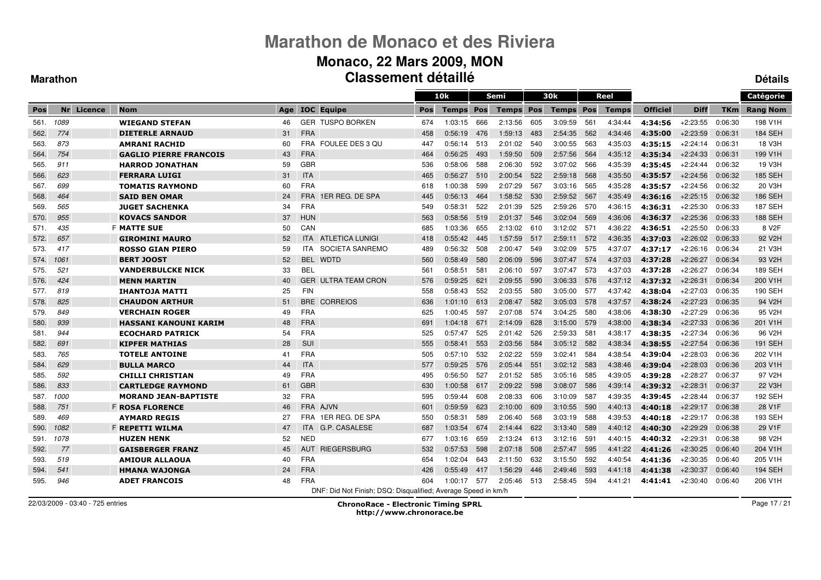### **Monaco, 22 Mars 2009, MON Classement détaillé**

#### **Marathon**

**Détails**

|      |      |            |                               |     |            |                                                               |     | 10k     |     | Semi         |     | 30k              |     | Reel         |                 |             |         | Catégorie           |
|------|------|------------|-------------------------------|-----|------------|---------------------------------------------------------------|-----|---------|-----|--------------|-----|------------------|-----|--------------|-----------------|-------------|---------|---------------------|
| Pos  |      | Nr Licence | <b>Nom</b>                    | Age |            | <b>IOC</b> Equipe                                             | Pos | Temps   | Pos | <b>Temps</b> | Pos | <b>Temps Pos</b> |     | <b>Temps</b> | <b>Officiel</b> | <b>Diff</b> | TKm     | <b>Rang Nom</b>     |
| 561. | 1089 |            | <b>WIEGAND STEFAN</b>         | 46  |            | <b>GER TUSPO BORKEN</b>                                       | 674 | 1:03:15 | 666 | 2:13:56      | 605 | 3:09:59          | 561 | 4:34:44      | 4:34:56         | $+2:23:55$  | 0:06:30 | 198 V1H             |
| 562. | 774  |            | <b>DIETERLE ARNAUD</b>        | 31  | <b>FRA</b> |                                                               | 458 | 0:56:19 | 476 | 1:59:13      | 483 | 2:54:35          | 562 | 4:34:46      | 4:35:00         | $+2:23:59$  | 0:06:31 | <b>184 SEH</b>      |
| 563. | 873  |            | <b>AMRANI RACHID</b>          | 60  |            | FRA FOULEE DES 3 QU                                           | 447 | 0:56:14 | 513 | 2:01:02      | 540 | 3:00:55          | 563 | 4:35:03      | 4:35:15         | $+2:24:14$  | 0:06:31 | 18 V3H              |
| 564. | 754  |            | <b>GAGLIO PIERRE FRANCOIS</b> | 43  | <b>FRA</b> |                                                               | 464 | 0:56:25 | 493 | 1:59:50      | 509 | 2:57:56          | 564 | 4:35:12      | 4:35:34         | $+2:24:33$  | 0:06:31 | 199 V1H             |
| 565. | 911  |            | <b>HARROD JONATHAN</b>        | 59  | <b>GBR</b> |                                                               | 536 | 0.58:06 | 588 | 2:06:30      | 592 | 3:07:02          | 566 | 4:35:39      | 4:35:45         | $+2:24:44$  | 0:06:32 | 19 V3H              |
| 566. | 623  |            | <b>FERRARA LUIGI</b>          | 31  | <b>ITA</b> |                                                               | 465 | 0:56:27 | 510 | 2:00:54      | 522 | 2:59:18          | 568 | 4:35:50      | 4:35:57         | $+2:24:56$  | 0:06:32 | <b>185 SEH</b>      |
| 567. | 699  |            | <b>TOMATIS RAYMOND</b>        | 60  | <b>FRA</b> |                                                               | 618 | 1:00:38 | 599 | 2:07:29      | 567 | 3:03:16          | 565 | 4:35:28      | 4:35:57         | $+2:24:56$  | 0:06:32 | 20 V3H              |
| 568. | 464  |            | <b>SAID BEN OMAR</b>          | 24  | <b>FRA</b> | 1ER REG. DE SPA                                               | 445 | 0:56:13 | 464 | 1:58:52      | 530 | 2:59:52          | 567 | 4:35:49      | 4:36:16         | $+2:25:15$  | 0:06:32 | 186 SEH             |
| 569. | 565  |            | <b>JUGET SACHENKA</b>         | 34  | <b>FRA</b> |                                                               | 549 | 0:58:31 | 522 | 2:01:39      | 525 | 2:59:26          | 570 | 4:36:15      | 4:36:31         | $+2:25:30$  | 0:06:33 | <b>187 SEH</b>      |
| 570. | 955  |            | <b>KOVACS SANDOR</b>          | 37  | <b>HUN</b> |                                                               | 563 | 0:58:56 | 519 | 2:01:37      | 546 | 3:02:04          | 569 | 4:36:06      | 4:36:37         | $+2:25:36$  | 0:06:33 | <b>188 SEH</b>      |
| 571. | 435  |            | <b>F MATTE SUE</b>            | 50  | CAN        |                                                               | 685 | 1:03:36 | 655 | 2:13:02      | 610 | 3:12:02          | 571 | 4:36:22      | 4:36:51         | $+2:25:50$  | 0:06:33 | 8 V <sub>2</sub> F  |
| 572. | 657  |            | <b>GIROMINI MAURO</b>         | 52  | <b>ITA</b> | ATLETICA LUNIGI                                               | 418 | 0:55:42 | 445 | 1.57.59      | 517 | 2:59:11          | 572 | 4:36:35      | 4:37:03         | $+2:26:02$  | 0:06:33 | 92 V <sub>2</sub> H |
| 573. | 417  |            | <b>ROSSO GIAN PIERO</b>       | 59  | <b>ITA</b> | SOCIETA SANREMO                                               | 489 | 0:56:32 | 508 | 2:00:47      | 549 | 3:02:09          | 575 | 4:37:07      | 4:37:17         | $+2:26:16$  | 0:06:34 | 21 V3H              |
| 574. | 1061 |            | <b>BERT JOOST</b>             | 52  | <b>BEL</b> | <b>WDTD</b>                                                   | 560 | 0:58:49 | 580 | 2:06:09      | 596 | 3:07:47          | 574 | 4:37:03      | 4:37:28         | $+2:26:27$  | 0:06:34 | 93 V <sub>2</sub> H |
| 575. | 521  |            | <b>VANDERBULCKE NICK</b>      | 33  | <b>BEL</b> |                                                               | 561 | 0:58:51 | 581 | 2:06:10      | 597 | 3:07:47          | 573 | 4:37:03      | 4:37:28         | $+2:26:27$  | 0:06:34 | 189 SEH             |
| 576. | 424  |            | <b>MENN MARTIN</b>            | 40  | <b>GER</b> | <b>ULTRA TEAM CRON</b>                                        | 576 | 0:59:25 | 621 | 2:09:55      | 590 | 3:06:33          | 576 | 4:37:12      | 4:37:32         | $+2:26:31$  | 0:06:34 | 200 V1H             |
| 577. | 819  |            | <b>IHANTOJA MATTI</b>         | 25  | <b>FIN</b> |                                                               | 558 | 0:58:43 | 552 | 2:03:55      | 580 | 3:05:00          | 577 | 4:37:42      | 4:38:04         | $+2:27:03$  | 0:06:35 | 190 SEH             |
| 578. | 825  |            | <b>CHAUDON ARTHUR</b>         | 51  | <b>BRE</b> | <b>CORREIOS</b>                                               | 636 | 1:01:10 | 613 | 2:08:47      | 582 | 3:05:03          | 578 | 4:37:57      | 4:38:24         | $+2:27:23$  | 0:06:35 | 94 V <sub>2</sub> H |
| 579. | 849  |            | <b>VERCHAIN ROGER</b>         | 49  | <b>FRA</b> |                                                               | 625 | 1:00:45 | 597 | 2:07:08      | 574 | 3:04:25          | 580 | 4:38:06      | 4:38:30         | $+2:27:29$  | 0:06:36 | 95 V <sub>2</sub> H |
| 580. | 939  |            | <b>HASSANI KANOUNI KARIM</b>  | 48  | <b>FRA</b> |                                                               | 691 | 1:04:18 | 671 | 2:14:09      | 628 | 3:15:00          | 579 | 4:38:00      | 4:38:34         | $+2:27:33$  | 0:06:36 | 201 V1H             |
| 581. | 944  |            | <b>ECOCHARD PATRICK</b>       | 54  | <b>FRA</b> |                                                               | 525 | 0:57:47 | 525 | 2:01:42      | 526 | 2:59:33          | 581 | 4:38:17      | 4:38:35         | $+2:27:34$  | 0:06:36 | 96 V2H              |
| 582. | 691  |            | <b>KIPFER MATHIAS</b>         | 28  | <b>SUI</b> |                                                               | 555 | 0:58:41 | 553 | 2:03:56      | 584 | 3:05:12          | 582 | 4:38:34      | 4:38:55         | $+2:27:54$  | 0:06:36 | <b>191 SEH</b>      |
| 583. | 765  |            | <b>TOTELE ANTOINE</b>         | 41  | <b>FRA</b> |                                                               | 505 | 0:57:10 | 532 | 2:02:22      | 559 | 3:02:41          | 584 | 4:38:54      | 4:39:04         | $+2:28:03$  | 0:06:36 | 202 V1H             |
| 584. | 629  |            | <b>BULLA MARCO</b>            | 44  | <b>ITA</b> |                                                               | 577 | 0:59:25 | 576 | 2:05:44      | 551 | 3:02:12          | 583 | 4:38:46      | 4:39:04         | $+2:28:03$  | 0:06:36 | 203 V1H             |
| 585. | 592  |            | <b>CHILLI CHRISTIAN</b>       | 49  | <b>FRA</b> |                                                               | 495 | 0:56:50 | 527 | 2:01:52      | 585 | 3:05:16          | 585 | 4:39:05      | 4:39:28         | $+2:28:27$  | 0:06:37 | 97 V2H              |
| 586. | 833  |            | <b>CARTLEDGE RAYMOND</b>      | 61  | <b>GBR</b> |                                                               | 630 | 1:00:58 | 617 | 2:09:22      | 598 | 3:08:07          | 586 | 4:39:14      | 4:39:32         | $+2:28:31$  | 0:06:37 | 22 V3H              |
| 587. | 1000 |            | <b>MORAND JEAN-BAPTISTE</b>   | 32  | <b>FRA</b> |                                                               | 595 | 0:59:44 | 608 | 2:08:33      | 606 | 3:10:09          | 587 | 4:39:35      | 4:39:45         | $+2:28:44$  | 0:06:37 | 192 SEH             |
| 588. | 751  |            | <b>F ROSA FLORENCE</b>        | 46  | <b>FRA</b> | <b>AJVN</b>                                                   | 601 | 0:59:59 | 623 | 2:10:00      | 609 | 3:10:55          | 590 | 4:40:13      | 4:40:18         | $+2:29:17$  | 0:06:38 | 28 V1F              |
| 589. | 469  |            | <b>AYMARD REGIS</b>           | 27  | <b>FRA</b> | 1ER REG. DE SPA                                               | 550 | 0:58:31 | 589 | 2:06:40      | 568 | 3:03:19          | 588 | 4:39:53      | 4:40:18         | $+2:29:17$  | 0:06:38 | 193 SEH             |
| 590. | 1082 |            | <b>F REPETTI WILMA</b>        | 47  | <b>ITA</b> | G.P. CASALESE                                                 | 687 | 1:03:54 | 674 | 2:14:44      | 622 | 3:13:40          | 589 | 4:40:12      | 4:40:30         | $+2:29:29$  | 0:06:38 | 29 V1F              |
| 591. | 1078 |            | <b>HUZEN HENK</b>             | 52  | <b>NED</b> |                                                               | 677 | 1:03:16 | 659 | 2:13:24      | 613 | 3:12:16          | 591 | 4:40:15      | 4:40:32         | $+2:29:31$  | 0:06:38 | 98 V <sub>2</sub> H |
| 592. | 77   |            | <b>GAISBERGER FRANZ</b>       | 45  | <b>AUT</b> | <b>RIEGERSBURG</b>                                            | 532 | 0:57:53 | 598 | 2:07:18      | 508 | 2:57:47          | 595 | 4:41:22      | 4:41:26         | $+2:30:25$  | 0:06:40 | 204 V1H             |
| 593. | 519  |            | <b>AMIOUR ALLAOUA</b>         | 40  | <b>FRA</b> |                                                               | 654 | 1:02:04 | 643 | 2:11:50      | 632 | 3:15:50          | 592 | 4:40:54      | 4:41:36         | $+2:30:35$  | 0:06:40 | 205 V1H             |
| 594. | 541  |            | <b>HMANA WAJONGA</b>          | 24  | <b>FRA</b> |                                                               | 426 | 0:55:49 | 417 | 1:56:29      | 446 | 2:49:46          | 593 | 4:41:18      | 4:41:38         | $+2:30:37$  | 0:06:40 | <b>194 SEH</b>      |
| 595. | 946  |            | <b>ADET FRANCOIS</b>          | 48  | <b>FRA</b> |                                                               | 604 | 1:00:17 | 577 | 2:05:46      | 513 | 2:58:45          | 594 | 4:41:21      | 4:41:41         | $+2:30:40$  | 0:06:40 | 206 V1H             |
|      |      |            |                               |     |            | DNF: Did Not Finish; DSQ: Disqualified; Average Speed in km/h |     |         |     |              |     |                  |     |              |                 |             |         |                     |

22/03/2009 - 03:40 - 725 entries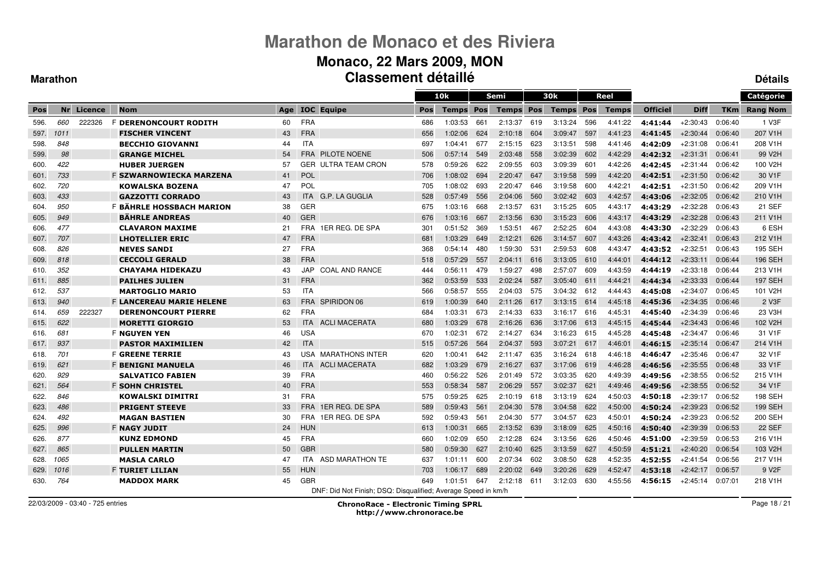#### **Monaco, 22 Mars 2009, MON Classement détailléDétails**

 $\equiv$ 

#### **Marathon**

|      |      |                |                                 |     |            |                                                               |     | 10k          |     | Semi         |     | 30k              |     | Reel         |                 |             |            | Catégorie            |
|------|------|----------------|---------------------------------|-----|------------|---------------------------------------------------------------|-----|--------------|-----|--------------|-----|------------------|-----|--------------|-----------------|-------------|------------|----------------------|
| Pos  | Nr   | <b>Licence</b> | <b>Nom</b>                      | Age |            | <b>IOC</b> Equipe                                             | Pos | <b>Temps</b> | Pos | <b>Temps</b> | Pos | <b>Temps Pos</b> |     | <b>Temps</b> | <b>Officiel</b> | <b>Diff</b> | <b>TKm</b> | <b>Rang Nom</b>      |
| 596. | 660  | 222326         | F DERENONCOURT RODITH           | 60  | <b>FRA</b> |                                                               | 686 | 1:03:53      | 661 | 2:13:37      | 619 | 3:13:24          | 596 | 4:41:22      | 4:41:44         | $+2:30:43$  | 0:06:40    | 1 V3F                |
| 597. | 1011 |                | <b>FISCHER VINCENT</b>          | 43  | <b>FRA</b> |                                                               | 656 | 1:02:06      | 624 | 2:10:18      | 604 | 3:09:47          | 597 | 4:41:23      | 4:41:45         | $+2:30:44$  | 0:06:40    | 207 V1H              |
| 598. | 848  |                | <b>BECCHIO GIOVANNI</b>         | 44  | <b>ITA</b> |                                                               | 697 | 1:04:41      | 677 | 2:15:15      | 623 | 3:13:51          | 598 | 4:41:46      | 4:42:09         | $+2:31:08$  | 0:06:41    | 208 V1H              |
| 599. | 98   |                | <b>GRANGE MICHEL</b>            | 54  | FRA        | <b>PILOTE NOENE</b>                                           | 506 | 0:57:14      | 549 | 2:03:48      | 558 | 3:02:39          | 602 | 4:42:29      | 4:42:32         | $+2.31.31$  | 0:06:41    | 99 V <sub>2</sub> H  |
| 600. | 422  |                | <b>HUBER JUERGEN</b>            | 57  | <b>GER</b> | ULTRA TEAM CRON                                               | 578 | 0:59:26      | 622 | 2:09:55      | 603 | 3:09:39          | 601 | 4:42:26      | 4:42:45         | $+2.31.44$  | 0:06:42    | 100 V2H              |
| 601. | 733  |                | F SZWARNOWIECKA MARZENA         | 41  | <b>POL</b> |                                                               | 706 | 1:08:02      | 694 | 2:20:47      | 647 | 3:19:58          | 599 | 4:42:20      | 4:42:51         | $+2:31:50$  | 0:06:42    | 30 V <sub>1</sub> F  |
| 602. | 720  |                | <b>KOWALSKA BOZENA</b>          | 47  | POL        |                                                               | 705 | 1:08:02      | 693 | 2:20:47      | 646 | 3:19:58          | 600 | 4:42:21      | 4:42:51         | $+2:31:50$  | 0:06:42    | 209 V1H              |
| 603. | 433  |                | <b>GAZZOTTI CORRADO</b>         | 43  | <b>ITA</b> | G.P. LA GUGLIA                                                | 528 | 0:57:49      | 556 | 2:04:06      | 560 | 3:02:42          | 603 | 4:42:57      | 4:43:06         | $+2:32:05$  | 0:06:42    | 210 V1H              |
| 604. | 950  |                | <b>F BÄHRLE HOSSBACH MARION</b> | 38  | GER        |                                                               | 675 | 1:03:16      | 668 | 2:13:57      | 631 | 3:15:25          | 605 | 4:43:17      | 4:43:29         | $+2:32:28$  | 0:06:43    | 21 SEF               |
| 605. | 949  |                | <b>BÂHRLE ANDREAS</b>           | 40  | <b>GER</b> |                                                               | 676 | 1:03:16      | 667 | 2:13:56      | 630 | 3:15:23          | 606 | 4:43:17      | 4:43:29         | $+2:32:28$  | 0:06:43    | 211 V1H              |
| 606. | 477  |                | <b>CLAVARON MAXIME</b>          | 21  | <b>FRA</b> | 1ER REG. DE SPA                                               | 301 | 0:51:52      | 369 | 1:53:51      | 467 | 2:52:25          | 604 | 4:43:08      | 4:43:30         | $+2:32:29$  | 0:06:43    | 6 ESH                |
| 607. | 707  |                | <b>LHOTELLIER ERIC</b>          | 47  | <b>FRA</b> |                                                               | 681 | 1:03:29      | 649 | 2:12:21      | 626 | 3:14:57          | 607 | 4:43:26      | 4:43:42         | $+2:32:41$  | 0:06:43    | 212 V1H              |
| 608. | 826  |                | <b>NEVES SANDI</b>              | 27  | <b>FRA</b> |                                                               | 368 | 0:54:14      | 480 | 1.59.30      | 531 | 2:59:53          | 608 | 4:43:47      | 4:43:52         | $+2:32:51$  | 0:06:43    | <b>195 SEH</b>       |
| 609. | 818  |                | <b>CECCOLI GERALD</b>           | 38  | <b>FRA</b> |                                                               | 518 | 0:57:29      | 557 | 2:04:11      | 616 | 3:13:05          | 610 | 4:44:01      | 4:44:12         | $+2:33:11$  | 0:06:44    | 196 SEH              |
| 610. | 352  |                | <b>CHAYAMA HIDEKAZU</b>         | 43  | JAP        | <b>COAL AND RANCE</b>                                         | 444 | 0:56:11      | 479 | 1:59:27      | 498 | 2:57:07          | 609 | 4:43:59      | 4:44:19         | $+2:33:18$  | 0:06:44    | 213 V1H              |
| 611. | 885  |                | <b>PAILHES JULIEN</b>           | 31  | <b>FRA</b> |                                                               | 362 | 0:53:59      | 533 | 2:02:24      | 587 | 3:05:40          | 611 | 4:44:21      | 4:44:34         | $+2:33:33$  | 0:06:44    | <b>197 SEH</b>       |
| 612. | 537  |                | <b>MARTOGLIO MARIO</b>          | 53  | <b>ITA</b> |                                                               | 566 | 0:58:57      | 555 | 2:04:03      | 575 | 3:04:32          | 612 | 4:44:43      | 4:45:08         | $+2:34:07$  | 0:06:45    | 101 V <sub>2</sub> H |
| 613. | 940  |                | <b>F LANCEREAU MARIE HELENE</b> | 63  | <b>FRA</b> | SPIRIDON 06                                                   | 619 | 1:00:39      | 640 | 2:11:26      | 617 | 3:13:15          | 614 | 4:45:18      | 4:45:36         | $+2:34:35$  | 0:06:46    | 2 V3F                |
| 614. | 659  | 222327         | <b>DERENONCOURT PIERRE</b>      | 62  | FRA        |                                                               | 684 | 1:03:31      | 673 | 2:14:33      | 633 | 3:16:17          | 616 | 4:45:31      | 4:45:40         | $+2:34:39$  | 0:06:46    | 23 V3H               |
| 615. | 622  |                | <b>MORETTI GIORGIO</b>          | 53  | <b>ITA</b> | <b>ACLI MACERATA</b>                                          | 680 | 1:03:29      | 678 | 2:16:26      | 636 | 3:17:06          | 613 | 4:45:15      | 4:45:44         | $+2:34:43$  | 0:06:46    | 102 V2H              |
| 616. | 681  |                | <b>F NGUYEN YEN</b>             | 46  | USA        |                                                               | 670 | 1:02:31      | 672 | 2:14:27      | 634 | 3:16:23          | 615 | 4:45:28      | 4:45:48         | $+2:34:47$  | 0:06:46    | 31 V1F               |
| 617. | 937  |                | <b>PASTOR MAXIMILIEN</b>        | 42  | <b>ITA</b> |                                                               | 515 | 0:57:26      | 564 | 2:04:37      | 593 | 3:07:21          | 617 | 4:46:01      | 4:46:15         | $+2:35:14$  | 0:06:47    | 214 V1H              |
| 618. | 701  |                | <b>F GREENE TERRIE</b>          | 43  |            | USA MARATHONS INTER                                           | 620 | 1:00:41      | 642 | 2:11:47      | 635 | 3:16:24          | 618 | 4:46:18      | 4:46:47         | $+2:35:46$  | 0:06:47    | 32 V1F               |
| 619. | 621  |                | <b>F BENIGNI MANUELA</b>        | 46  | <b>ITA</b> | <b>ACLI MACERATA</b>                                          | 682 | 1:03:29      | 679 | 2:16:27      | 637 | 3:17:06          | 619 | 4:46:28      | 4:46:56         | $+2:35:55$  | 0:06:48    | 33 V <sub>1</sub> F  |
| 620. | 929  |                | <b>SALVATICO FABIEN</b>         | 39  | <b>FRA</b> |                                                               | 460 | 0:56:22      | 526 | 2:01:49      | 572 | 3:03:35          | 620 | 4:49:39      | 4:49:56         | $+2:38:55$  | 0:06:52    | 215 V1H              |
| 621. | 564  |                | <b>F SOHN CHRISTEL</b>          | 40  | <b>FRA</b> |                                                               | 553 | 0:58:34      | 587 | 2:06:29      | 557 | 3:02:37          | 621 | 4:49:46      | 4:49:56         | $+2:38:55$  | 0:06:52    | 34 V1F               |
| 622. | 846  |                | <b>KOWALSKI DIMITRI</b>         | 31  | <b>FRA</b> |                                                               | 575 | 0:59:25      | 625 | 2:10:19      | 618 | 3:13:19          | 624 | 4:50:03      | 4:50:18         | $+2:39:17$  | 0:06:52    | 198 SEH              |
| 623. | 486  |                | <b>PRIGENT STEEVE</b>           | 33  | <b>FRA</b> | 1ER REG. DE SPA                                               | 589 | 0:59:43      | 561 | 2:04:30      | 578 | 3:04:58          | 622 | 4:50:00      | 4:50:24         | $+2:39:23$  | 0:06:52    | <b>199 SEH</b>       |
| 624. | 492  |                | <b>MAGAN BASTIEN</b>            | 30  | <b>FRA</b> | 1ER REG. DE SPA                                               | 592 | 0:59:43      | 561 | 2:04:30      | 577 | 3:04:57          | 623 | 4:50:01      | 4:50:24         | $+2:39:23$  | 0:06:52    | 200 SEH              |
| 625. | 996  |                | <b>F NAGY JUDIT</b>             | 24  | <b>HUN</b> |                                                               | 613 | 1:00:31      | 665 | 2:13:52      | 639 | 3:18:09          | 625 | 4:50:16      | 4:50:40         | $+2:39:39$  | 0:06:53    | <b>22 SEF</b>        |
| 626. | 877  |                | <b>KUNZ EDMOND</b>              | 45  | <b>FRA</b> |                                                               | 660 | 1:02:09      | 650 | 2:12:28      | 624 | 3:13:56          | 626 | 4:50:46      | 4:51:00         | $+2:39:59$  | 0:06:53    | 216 V1H              |
| 627. | 865  |                | <b>PULLEN MARTIN</b>            | 50  | <b>GBR</b> |                                                               | 580 | 0:59:30      | 627 | 2:10:40      | 625 | 3:13:59          | 627 | 4:50:59      | 4:51:21         | $+2:40:20$  | 0:06:54    | 103 V2H              |
| 628. | 1065 |                | <b>MASLA CARLO</b>              | 47  | <b>ITA</b> | ASD MARATHON TE                                               | 637 | 1:01:11      | 600 | 2:07:34      | 602 | 3:08:50          | 628 | 4:52:35      | 4:52:55         | $+2:41:54$  | 0:06:56    | 217 V1H              |
| 629. | 1016 |                | <b>F TURIET LILIAN</b>          | 55  | <b>HUN</b> |                                                               | 703 | 1:06:17      | 689 | 2:20:02      | 649 | 3:20:26          | 629 | 4 52:47      | 4:53:18         | $+2:42:17$  | 0:06:57    | 9 V <sub>2</sub> F   |
| 630. | 764  |                | <b>MADDOX MARK</b>              | 45  | <b>GBR</b> |                                                               | 649 | 1:01:51      | 647 | 2:12:18      | 611 | 3:12:03          | 630 | 4:55:56      | 4:56:15         | +2:45:14    | 0:07:01    | 218 V1H              |
|      |      |                |                                 |     |            | DNF: Did Not Finish; DSQ: Disqualified; Average Speed in km/h |     |              |     |              |     |                  |     |              |                 |             |            |                      |

22/03/2009 - 03:40 - 725 entries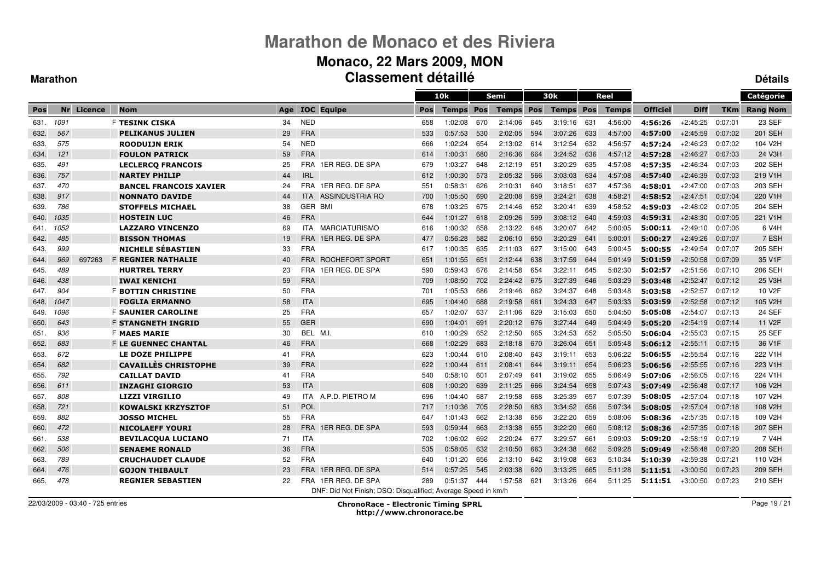#### **Monaco, 22 Mars 2009, MON Classement détailléDétails**

#### **Marathon**

|      |      |         |                               |     |            |                                                               |            | 10k          |     | Semi         |     | 30k              |     | Reel         |                 |             |         | Catégorie           |
|------|------|---------|-------------------------------|-----|------------|---------------------------------------------------------------|------------|--------------|-----|--------------|-----|------------------|-----|--------------|-----------------|-------------|---------|---------------------|
| Pos  | Nr   | Licence | <b>Nom</b>                    | Age |            | <b>IOC</b> Equipe                                             | <b>Pos</b> | <b>Temps</b> | Pos | <b>Temps</b> | Pos | <b>Temps Pos</b> |     | <b>Temps</b> | <b>Officiel</b> | <b>Diff</b> | TKm     | <b>Rang Nom</b>     |
| 631. | 1091 |         | F <b>TESINK CISKA</b>         | 34  | <b>NED</b> |                                                               | 658        | 1:02:08      | 670 | 2:14:06      | 645 | 3:19:16          | 631 | 4:56:00      | 4:56:26         | $+2:45:25$  | 0:07:01 | 23 SEF              |
| 632. | 567  |         | <b>PELIKANUS JULIEN</b>       | 29  | <b>FRA</b> |                                                               | 533        | 0:57:53      | 530 | 2:02:05      | 594 | 3:07:26          | 633 | 4:57:00      | 4:57:00         | $+2:45:59$  | 0:07:02 | <b>201 SEH</b>      |
| 633. | 575  |         | <b>ROODUIJN ERIK</b>          | 54  | <b>NED</b> |                                                               | 666        | 1:02:24      | 654 | 2:13:02      | 614 | 3:12:54          | 632 | 4:56:57      | 4:57:24         | $+2:46:23$  | 0:07:02 | 104 V2H             |
| 634. | 121  |         | <b>FOULON PATRICK</b>         | 59  | <b>FRA</b> |                                                               | 614        | 1:00:31      | 680 | 2:16:36      | 664 | 3:24:52          | 636 | 4:57:12      | 4:57:28         | $+2:46:27$  | 0:07:03 | 24 V3H              |
| 635. | 491  |         | <b>LECLERCO FRANCOIS</b>      | 25  | FRA        | 1ER REG. DE SPA                                               | 679        | 1:03:27      | 648 | 2:12:19      | 651 | 3:20:29          | 635 | 4:57:08      | 4:57:35         | $+2.46.34$  | 0:07:03 | 202 SEH             |
| 636. | 757  |         | <b>NARTEY PHILIP</b>          | 44  | <b>IRL</b> |                                                               | 612        | 1:00:30      | 573 | 2:05:32      | 566 | 3:03:03          | 634 | 4:57:08      | 4:57:40         | $+2.46.39$  | 0:07:03 | 219 V1H             |
| 637. | 470  |         | <b>BANCEL FRANCOIS XAVIER</b> | 24  | <b>FRA</b> | 1ER REG. DE SPA                                               | 551        | 0:58:31      | 626 | 2:10:31      | 640 | 3:18:51          | 637 | 4:57:36      | 4:58:01         | $+2:47:00$  | 0:07:03 | 203 SEH             |
| 638. | 917  |         | <b>NONNATO DAVIDE</b>         | 44  | <b>ITA</b> | <b>ASSINDUSTRIA RO</b>                                        | 700        | 1:05:50      | 690 | 2:20:08      | 659 | 3:24:21          | 638 | 4:58:21      | 4:58:52         | $+2.47:51$  | 0:07:04 | 220 V1H             |
| 639. | 786  |         | <b>STOFFELS MICHAEL</b>       | 38  | GER BMI    |                                                               | 678        | 1:03:25      | 675 | 2:14:46      | 652 | 3:20:41          | 639 | 4:58:52      | 4:59:03         | $+2:48:02$  | 0:07:05 | 204 SEH             |
| 640. | 1035 |         | <b>HOSTEIN LUC</b>            | 46  | <b>FRA</b> |                                                               | 644        | 1:01:27      | 618 | 2:09:26      | 599 | 3:08:12 640      |     | 4:59:03      | 4:59:31         | $+2:48:30$  | 0:07:05 | 221 V1H             |
| 641. | 1052 |         | <b>LAZZARO VINCENZO</b>       | 69  | ITA.       | MARCIATURISMO                                                 | 616        | 1:00:32      | 658 | 2:13:22      | 648 | 3:20:07          | 642 | 5:00:05      | 5:00:11         | $+2:49:10$  | 0:07:06 | 6 V4H               |
| 642. | 485  |         | <b>BISSON THOMAS</b>          | 19  | <b>FRA</b> | 1ER REG. DE SPA                                               | 477        | 0:56:28      | 582 | 2:06:10      | 650 | 3:20:29          | 641 | 5:00:01      | 5:00:27         | $+2.49:26$  | 0:07:07 | 7 ESH               |
| 643. | 999  |         | <b>NICHELE SÉBASTIEN</b>      | 33  | <b>FRA</b> |                                                               | 617        | 1:00:35      | 635 | 2:11:03      | 627 | 3:15:00          | 643 | 5:00:45      | 5:00:55         | $+2:49:54$  | 0:07:07 | 205 SEH             |
| 644. | 969  | 697263  | <b>F REGNIER NATHALIE</b>     | 40  | <b>FRA</b> | ROCHEFORT SPORT                                               | 651        | 1:01:55      | 651 | 2:12:44      | 638 | 3:17:59          | 644 | 5:01:49      | 5:01:59         | $+2:50:58$  | 0:07:09 | 35 V1F              |
| 645. | 489  |         | <b>HURTREL TERRY</b>          | 23  | <b>FRA</b> | 1ER REG. DE SPA                                               | 590        | 0:59:43      | 676 | 2:14:58      | 654 | 3:22:11          | 645 | 5:02:30      | 5:02:57         | $+2:51:56$  | 0:07:10 | 206 SEH             |
| 646. | 438  |         | <b>IWAI KENICHI</b>           | 59  | <b>FRA</b> |                                                               | 709        | 1:08:50      | 702 | 2:24:42      | 675 | 3:27:39          | 646 | 5:03:29      | 5:03:48         | $+2:52:47$  | 0:07:12 | 25 V3H              |
| 647. | 904  |         | <b>F BOTTIN CHRISTINE</b>     | 50  | <b>FRA</b> |                                                               | 701        | 1:05:53      | 686 | 2:19:46      | 662 | 3:24:37          | 648 | 5:03:48      | 5:03:58         | $+2:52:57$  | 0:07:12 | 10 V <sub>2</sub> F |
| 648. | 1047 |         | <b>FOGLIA ERMANNO</b>         | 58  | <b>ITA</b> |                                                               | 695        | 1:04:40      | 688 | 2:19:58      | 661 | 3:24:33          | 647 | 5:03:33      | 5:03:59         | $+2:52:58$  | 0:07:12 | 105 V2H             |
| 649. | 1096 |         | <b>F SAUNIER CAROLINE</b>     | 25  | <b>FRA</b> |                                                               | 657        | 1:02:07      | 637 | 2:11:06      | 629 | 3:15:03          | 650 | 5:04:50      | 5:05:08         | $+2:54:07$  | 0:07:13 | <b>24 SEF</b>       |
| 650. | 643  |         | <b>F STANGNETH INGRID</b>     | 55  | GER        |                                                               | 690        | 1:04:01      | 691 | 2:20:12      | 676 | 3:27:44          | 649 | 5:04:49      | 5:05:20         | $+2:54:19$  | 0:07:14 | 11 V <sub>2</sub> F |
| 651. | 936  |         | <b>F MAES MARIE</b>           | 30  | BEL M.I.   |                                                               | 610        | 1:00:29      | 652 | 2:12:50      | 665 | 3:24:53          | 652 | 5:05:50      | 5:06:04         | $+2:55:03$  | 0:07:15 | <b>25 SEF</b>       |
| 652. | 683  |         | <b>F LE GUENNEC CHANTAL</b>   | 46  | <b>FRA</b> |                                                               | 668        | 1:02:29      | 683 | 2:18:18      | 670 | 3:26:04          | 651 | 5:05:48      | 5:06:12         | $+2:55:11$  | 0:07:15 | 36 V1F              |
| 653. | 672  |         | LE DOZE PHILIPPE              | 41  | <b>FRA</b> |                                                               | 623        | 1:00:44      | 610 | 2:08:40      | 643 | 3:19:11          | 653 | 5:06:22      | 5:06:55         | $+2:55:54$  | 0:07:16 | 222 V1H             |
| 654. | 682  |         | <b>CAVAILLÈS CHRISTOPHE</b>   | 39  | <b>FRA</b> |                                                               | 622        | 1:00:44      | 611 | 2:08:41      | 644 | 3:19:11          | 654 | 5:06:23      | 5:06:56         | $+2:55:55$  | 0.07:16 | 223 V1H             |
| 655. | 792  |         | <b>CAILLAT DAVID</b>          | 41  | <b>FRA</b> |                                                               | 540        | 0:58:10      | 601 | 2:07:49      | 64  | 3:19:02          | 655 | 5:06:49      | 5:07:06         | $+2:56:05$  | 0:07:16 | 224 V1H             |
| 656. | 611  |         | <b>INZAGHI GIORGIO</b>        | 53  | <b>ITA</b> |                                                               | 608        | 1:00:20      | 639 | 2:11:25      | 666 | 3:24:54          | 658 | 5:07:43      | 5:07:49         | $+2:56:48$  | 0:07:17 | 106 V2H             |
| 657. | 808  |         | <b>LIZZI VIRGILIO</b>         | 49  | <b>ITA</b> | A.P.D. PIETRO M                                               | 696        | 1:04:40      | 687 | 2:19:58      | 668 | 3:25:39          | 657 | 5:07:39      | 5:08:05         | $+2:57:04$  | 0:07:18 | 107 V2H             |
| 658. | 721  |         | <b>KOWALSKI KRZYSZTOF</b>     | 51  | <b>POL</b> |                                                               | 717        | 1:10:36      | 705 | 2:28:50      | 683 | 3:34:52          | 656 | 5:07:34      | 5:08:05         | $+2.57:04$  | 0.07:18 | 108 V2H             |
| 659. | 882  |         | <b>JOSSO MICHEL</b>           | 55  | <b>FRA</b> |                                                               | 647        | 1:01:43      | 662 | 2:13:38      | 656 | 3:22:20          | 659 | 5:08:06      | 5:08:36         | $+2.57.35$  | 0:07:18 | 109 V2H             |
| 660. | 472  |         | <b>NICOLAEFF YOURI</b>        | 28  | <b>FRA</b> | 1ER REG. DE SPA                                               | 593        | 0:59:44      | 663 | 2:13:38      | 655 | 3:22:20          | 660 | 5:08:12      | 5:08:36         | $+2.57.35$  | 0:07:18 | 207 SEH             |
| 661. | 538  |         | <b>BEVILACQUA LUCIANO</b>     | 71  | <b>ITA</b> |                                                               | 702        | 1:06:02      | 692 | 2:20:24      | 677 | 3:29:57          | 661 | 5:09:03      | 5:09:20         | $+2:58:19$  | 0:07:19 | 7 V4H               |
| 662. | 506  |         | <b>SENAEME RONALD</b>         | 36  | <b>FRA</b> |                                                               | 535        | 0:58:05      | 632 | 2:10:50      | 663 | 3:24:38          | 662 | 5:09:28      | 5:09:49         | $+2:58:48$  | 0:07:20 | 208 SEH             |
| 663. | 789  |         | <b>CRUCHAUDET CLAUDE</b>      | 52  | <b>FRA</b> |                                                               | 640        | 1:01:20      | 656 | 2:13:10      | 642 | 3:19:08          | 663 | 5:10:34      | 5:10:39         | $+2.59.38$  | 0.07:21 | 110 V2H             |
| 664. | 476  |         | <b>GOJON THIBAULT</b>         | 23  |            | FRA 1ER REG. DE SPA                                           | 514        | 0:57:25      | 545 | 2:03:38      | 620 | 3:13:25          | 665 | 5:11:28      | 5:11:51         | $+3:00:50$  | 0:07:23 | 209 SEH             |
| 665. | 478  |         | <b>REGNIER SEBASTIEN</b>      | 22  | <b>FRA</b> | 1ER REG. DE SPA                                               | 289        | 0:51:37      | 444 | 1:57:58      | 621 | 3:13:26          | 664 | 5:11:25      | 5:11:51         | $+3:00:50$  | 0:07:23 | 210 SEH             |
|      |      |         |                               |     |            | DNF: Did Not Finish; DSQ: Disqualified; Average Speed in km/h |            |              |     |              |     |                  |     |              |                 |             |         |                     |

22/03/2009 - 03:40 - 725 entries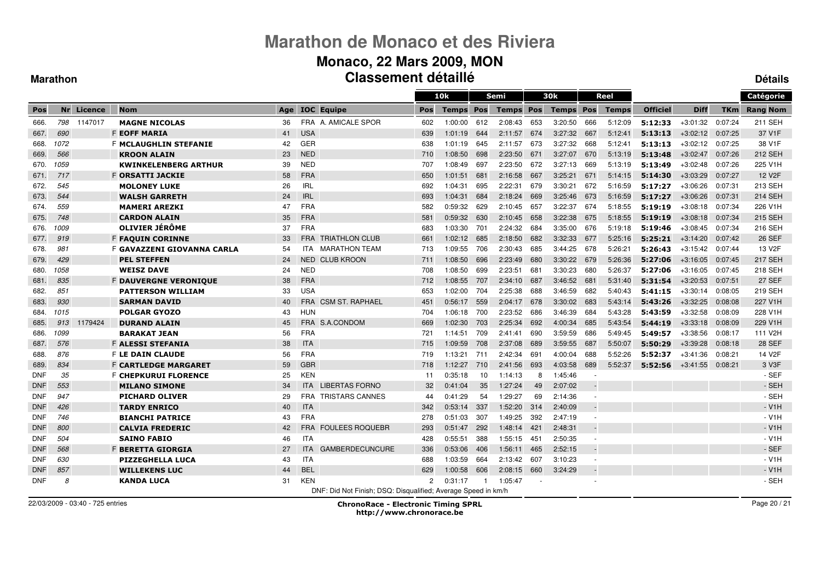### **Monaco, 22 Mars 2009, MON Classement détaillé**

#### **Marathon**

**Détails**

|            |      |         |                              |     |            |                                                               |     | 10k          |     | Semi         |     | 30k              |                          | Reel         |                 |             |            | Catégorie            |
|------------|------|---------|------------------------------|-----|------------|---------------------------------------------------------------|-----|--------------|-----|--------------|-----|------------------|--------------------------|--------------|-----------------|-------------|------------|----------------------|
| Pos        | Nr   | Licence | <b>Nom</b>                   | Age |            | <b>IOC Equipe</b>                                             | Pos | <b>Temps</b> | Pos | <b>Temps</b> | Pos | <b>Temps Pos</b> |                          | <b>Temps</b> | <b>Officiel</b> | <b>Diff</b> | <b>TKm</b> | <b>Rang Nom</b>      |
| 666.       | 798  | 1147017 | <b>MAGNE NICOLAS</b>         | 36  |            | FRA A. AMICALE SPOR                                           | 602 | 1:00:00      | 612 | 2:08:43      | 653 | 3:20:50          | 666                      | 5:12:09      | 5:12:33         | $+3:01:32$  | 0:07:24    | 211 SEH              |
| 667.       | 690  |         | <b>F EOFF MARIA</b>          | 41  | <b>USA</b> |                                                               | 639 | 1:01:19      | 644 | 2:11:57      | 674 | 3:27:32          | 667                      | 5:12:41      | 5:13:13         | $+3:02:12$  | 0:07:25    | 37 V1F               |
| 668.       | 1072 |         | F MCLAUGHLIN STEFANIE        | 42  | GER        |                                                               | 638 | 1:01:19      | 645 | 2:11:57      | 673 | 3:27:32          | 668                      | 5:12:41      | 5:13:13         | $+3:02:12$  | 0:07:25    | 38 V1F               |
| 669.       | 566  |         | <b>KROON ALAIN</b>           | 23  | <b>NED</b> |                                                               | 710 | 1:08:50      | 698 | 2:23:50      | 671 | 3:27:07          | 670                      | 5:13:19      | 5:13:48         | $+3:02:47$  | 0:07:26    | 212 SEH              |
| 670.       | 1059 |         | <b>KWINKELENBERG ARTHUR</b>  | 39  | <b>NED</b> |                                                               | 707 | 1:08:49      | 697 | 2:23:50      | 672 | 3:27:13          | 669                      | 5:13:19      | 5:13:49         | $+3:02:48$  | 0:07:26    | 225 V1H              |
| 671.       | 717  |         | <b>F ORSATTI JACKIE</b>      | 58  | <b>FRA</b> |                                                               | 650 | 1:01:51      | 681 | 2:16:58      | 667 | 3:25:21          | 671                      | 5:14:15      | 5:14:30         | $+3:03:29$  | 0:07:27    | 12 V <sub>2</sub> F  |
| 672.       | 545  |         | <b>MOLONEY LUKE</b>          | 26  | <b>IRL</b> |                                                               | 692 | 1:04:31      | 695 | 2:22:31      | 679 | 3:30:21          | 672                      | 5:16:59      | 5:17:27         | $+3:06:26$  | 0:07:31    | 213 SEH              |
| 673.       | 544  |         | <b>WALSH GARRETH</b>         | 24  | <b>IRL</b> |                                                               | 693 | 1:04:31      | 684 | 2:18:24      | 669 | 3:25:46          | 673                      | 5:16:59      | 5:17:27         | $+3:06:26$  | 0:07:31    | 214 SEH              |
| 674.       | 559  |         | <b>MAMERI AREZKI</b>         | 47  | <b>FRA</b> |                                                               | 582 | 0:59:32      | 629 | 2:10:45      | 657 | 3:22:37          | 674                      | 5:18:55      | 5:19:19         | $+3:08:18$  | 0:07:34    | 226 V1H              |
| 675.       | 748  |         | <b>CARDON ALAIN</b>          | 35  | <b>FRA</b> |                                                               | 581 | 0:59:32      | 630 | 2:10:45      | 658 | 3:22:38          | 675                      | 5:18:55      | 5:19:19         | $+3:08:18$  | 0:07:34    | 215 SEH              |
| 676.       | 1009 |         | OLIVIER JÉRÔME               | 37  | <b>FRA</b> |                                                               | 683 | 1:03:30      | 701 | 2:24:32      | 684 | 3:35:00          | 676                      | 5:19:18      | 5:19:46         | $+3:08:45$  | 0:07:34    | 216 SEH              |
| 677.       | 919  |         | <b>F FAQUIN CORINNE</b>      | 33  | <b>FRA</b> | <b>TRIATHLON CLUB</b>                                         | 661 | 1:02:12      | 685 | 2:18:50      | 682 | 3:32:33          | 677                      | 5:25:16      | 5:25:21         | $+3:14:20$  | 0:07:42    | <b>26 SEF</b>        |
| 678.       | 981  |         | F GAVAZZENI GIOVANNA CARLA   | 54  | ITA        | <b>MARATHON TEAM</b>                                          | 713 | 1:09:55      | 706 | 2:30:43      | 685 | 3:44:25          | 678                      | 5:26:21      | 5:26:43         | $+3:15:42$  | 0:07:44    | 13 V <sub>2</sub> F  |
| 679.       | 429  |         | <b>PEL STEFFEN</b>           | 24  | NED.       | <b>CLUB KROON</b>                                             | 711 | 1:08:50      | 696 | 2:23:49      | 680 | 3:30:22          | 679                      | 5:26:36      | 5:27:06         | $+3:16:05$  | 0:07:45    | <b>217 SEH</b>       |
| 680.       | 1058 |         | <b>WEISZ DAVE</b>            | 24  | <b>NED</b> |                                                               | 708 | 1:08:50      | 699 | 2:23:51      | 681 | 3:30:23          | 680                      | 5:26:37      | 5:27:06         | $+3:16:05$  | 0:07:45    | 218 SEH              |
| 681.       | 835  |         | <b>F DAUVERGNE VERONIQUE</b> | 38  | <b>FRA</b> |                                                               | 712 | 1:08:55      | 707 | 2:34:10      | 687 | 3:46:52          | 681                      | 5:31:40      | 5:31:54         | $+3:20:53$  | 0:07:51    | <b>27 SEF</b>        |
| 682.       | 851  |         | <b>PATTERSON WILLIAM</b>     | 33  | <b>USA</b> |                                                               | 653 | 1:02:00      | 704 | 2:25:38      | 688 | 3:46:59          | 682                      | 5:40:43      | 5:41:15         | $+3:30:14$  | 0:08:05    | 219 SEH              |
| 683.       | 930  |         | <b>SARMAN DAVID</b>          | 40  |            | FRA CSM ST. RAPHAEL                                           | 451 | 0:56:17      | 559 | 2:04:17      | 678 | 3:30:02          | 683                      | 5:43:14      | 5:43:26         | $+3:32:25$  | 0:08:08    | 227 V1H              |
| 684.       | 1015 |         | <b>POLGAR GYOZO</b>          | 43  | HUN        |                                                               | 704 | 1:06:18      | 700 | 2:23:52      | 686 | 3:46:39          | 684                      | 5:43:28      | 5:43:59         | $+3:32:58$  | 0.08:09    | 228 V1H              |
| 685.       | 913  | 1179424 | <b>DURAND ALAIN</b>          | 45  | <b>FRA</b> | S.A.CONDOM                                                    | 669 | 1:02:30      | 703 | 2:25:34      | 692 | 4:00:34          | 685                      | 5:43:54      | 5:44:19         | $+3:33:18$  | 0:08:09    | 229 V1H              |
| 686.       | 1099 |         | <b>BARAKAT JEAN</b>          | 56  | <b>FRA</b> |                                                               | 721 | 1:14:51      | 709 | 2:41:41      | 690 | 3:59:59          | 686                      | 5:49:45      | 5:49:57         | $+3:38:56$  | 0:08:17    | 111 V <sub>2</sub> H |
| 687.       | 576  |         | <b>F ALESSI STEFANIA</b>     | 38  | <b>ITA</b> |                                                               | 715 | 1:09:59      | 708 | 2:37:08      | 689 | 3:59:55          | 687                      | 5:50:07      | 5:50:29         | $+3:39:28$  | 0:08:18    | <b>28 SEF</b>        |
| 688        | 876  |         | <b>F LE DAIN CLAUDE</b>      | 56  | <b>FRA</b> |                                                               | 719 | 1:13:21      | 711 | 2:42:34      | 691 | 4:00:04          | 688                      | 5:52:26      | 5:52:37         | $+3:41:36$  | 0:08:21    | 14 V <sub>2</sub> F  |
| 689.       | 834  |         | <b>F CARTLEDGE MARGARET</b>  | 59  | <b>GBR</b> |                                                               | 718 | 1:12:27      | 710 | 2:41:56      | 693 | 4:03:58          | 689                      | 5:52:37      | 5:52:56         | $+3.41.55$  | 0:08:21    | 3 V3F                |
| <b>DNF</b> | 35   |         | <b>F CHEPKURUI FLORENCE</b>  | 25  | <b>KEN</b> |                                                               | 11  | 0:35:18      | 10  | 1:14:13      | 8   | 1:45:46          | $\overline{\phantom{a}}$ |              |                 |             |            | - SEF                |
| <b>DNF</b> | 553  |         | <b>MILANO SIMONE</b>         | 34  | <b>ITA</b> | <b>LIBERTAS FORNO</b>                                         | 32  | 0:41:04      | 35  | 1:27:24      | 49  | 2:07:02          | $\overline{\phantom{a}}$ |              |                 |             |            | - SEH                |
| <b>DNF</b> | 947  |         | <b>PICHARD OLIVER</b>        | 29  | <b>FRA</b> | <b>TRISTARS CANNES</b>                                        | 44  | 0:41:29      | 54  | 1:29:27      | 69  | 2:14:36          | $\sim$                   |              |                 |             |            | - SEH                |
| <b>DNF</b> | 426  |         | <b>TARDY ENRICO</b>          | 40  | <b>ITA</b> |                                                               | 342 | 0:53:14      | 337 | 1:52:20      | 314 | 2:40:09          | $\overline{\phantom{a}}$ |              |                 |             |            | $- V1H$              |
| <b>DNF</b> | 746  |         | <b>BIANCHI PATRICE</b>       | 43  | <b>FRA</b> |                                                               | 278 | 0:51:03      | 307 | 1:49:25      | 392 | 2:47:19          | $\overline{\phantom{a}}$ |              |                 |             |            | $- V1H$              |
| <b>DNF</b> | 800  |         | <b>CALVIA FREDERIC</b>       | 42  | <b>FRA</b> | <b>FOULEES ROQUEBR</b>                                        | 293 | 0:51:47      | 292 | 1.48.14      | 421 | 2:48:31          | $\overline{\phantom{a}}$ |              |                 |             |            | $- V1H$              |
| <b>DNF</b> | 504  |         | <b>SAINO FABIO</b>           | 46  | <b>ITA</b> |                                                               | 428 | 0:55:51      | 388 | 1:55:15      | 451 | 2:50:35          | $\sim$                   |              |                 |             |            | $- V1H$              |
| <b>DNF</b> | 568  |         | <b>F BERETTA GIORGIA</b>     | 27  | <b>ITA</b> | <b>GAMBERDECUNCURE</b>                                        | 336 | 0:53:06      | 406 | 1:56:11      | 465 | 2:52:15          | $\overline{\phantom{a}}$ |              |                 |             |            | - SEF                |
| <b>DNF</b> | 630  |         | <b>PIZZEGHELLA LUCA</b>      | 43  | <b>ITA</b> |                                                               | 688 | 1:03:59      | 664 | 2:13:42      | 607 | 3:10:23          | $\sim$                   |              |                 |             |            | $- V1H$              |
| <b>DNF</b> | 857  |         | <b>WILLEKENS LUC</b>         | 44  | <b>BEL</b> |                                                               | 629 | 1:00:58      | 606 | 2:08:15      | 660 | 3:24:29          | $\overline{\phantom{a}}$ |              |                 |             |            | $- V1H$              |
| <b>DNF</b> | 8    |         | <b>KANDA LUCA</b>            | 31  | <b>KEN</b> |                                                               | 2   | 0:31:17      |     | 1:05:47      |     |                  |                          |              |                 |             |            | - SEH                |
|            |      |         |                              |     |            | DNF: Did Not Finish; DSQ: Disqualified; Average Speed in km/h |     |              |     |              |     |                  |                          |              |                 |             |            |                      |

22/03/2009 - 03:40 - 725 entries